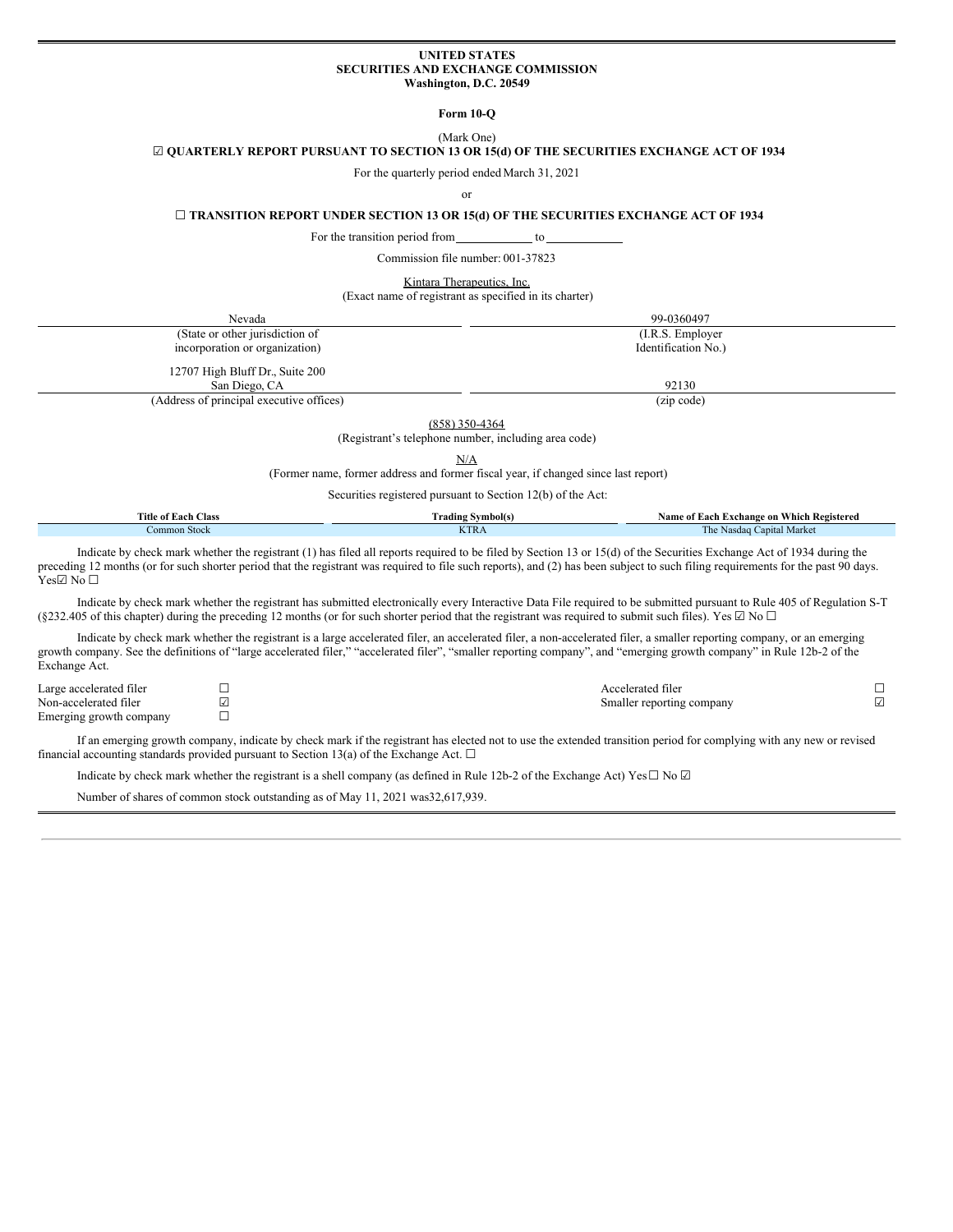#### **UNITED STATES SECURITIES AND EXCHANGE COMMISSION Washington, D.C. 20549**

**Form 10-Q**

(Mark One)

**☑ QUARTERLY REPORT PURSUANT TO SECTION 13 OR 15(d) OF THE SECURITIES EXCHANGE ACT OF 1934**

For the quarterly period ended March 31, 2021

or

# **☐ TRANSITION REPORT UNDER SECTION 13 OR 15(d) OF THE SECURITIES EXCHANGE ACT OF 1934**

For the transition period from \_\_\_\_\_\_\_\_\_\_\_\_\_ to

Commission file number: 001-37823

Kintara Therapeutics, Inc.

(Exact name of registrant as specified in its charter)

| Nevada                                                                   | 99-0360497          |  |  |  |
|--------------------------------------------------------------------------|---------------------|--|--|--|
| (State or other jurisdiction of                                          | (I.R.S. Employer)   |  |  |  |
| incorporation or organization)                                           | Identification No.) |  |  |  |
| 12707 High Bluff Dr., Suite 200                                          |                     |  |  |  |
| San Diego, CA                                                            | 92130               |  |  |  |
| (Address of principal executive offices)                                 | (zip code)          |  |  |  |
| $(858)$ 350-4364<br>(Registrant's telephone number, including area code) |                     |  |  |  |

N/A

(Former name, former address and former fiscal year, if changed since last report)

Securities registered pursuant to Section 12(b) of the Act:

| me at<br>1 itle<br>Class<br>: of Each | $\sim$<br>Symbol(s)<br>. ading | $-1$<br>-Res<br><b>Name</b><br>istered<br>lge on<br>Excha<br>01 |
|---------------------------------------|--------------------------------|-----------------------------------------------------------------|
| common<br>Stock                       | <b>KTRA</b>                    | Market<br>Capital<br>The.<br>≅ Nasdau                           |

Indicate by check mark whether the registrant (1) has filed all reports required to be filed by Section 13 or 15(d) of the Securities Exchange Act of 1934 during the preceding 12 months (or for such shorter period that the registrant was required to file such reports), and (2) has been subject to such filing requirements for the past 90 days. Yes☑ No ☐

Indicate by check mark whether the registrant has submitted electronically every Interactive Data File required to be submitted pursuant to Rule 405 of Regulation S-T (§232.405 of this chapter) during the preceding 12 months (or for such shorter period that the registrant was required to submit such files). Yes  $\Box$  No  $\Box$ 

Indicate by check mark whether the registrant is a large accelerated filer, an accelerated filer, a non-accelerated filer, a smaller reporting company, or an emerging growth company. See the definitions of "large accelerated filer," "accelerated filer", "smaller reporting company", and "emerging growth company" in Rule 12b-2 of the Exchange Act.

| Large accelerated filer | Accelerated filer         |  |
|-------------------------|---------------------------|--|
| Non-accelerated filer   | Smaller reporting company |  |
| Emerging growth company |                           |  |

If an emerging growth company, indicate by check mark if the registrant has elected not to use the extended transition period for complying with any new or revised financial accounting standards provided pursuant to Section 13(a) of the Exchange Act.  $\Box$ 

Indicate by check mark whether the registrant is a shell company (as defined in Rule 12b-2 of the Exchange Act) Yes $\Box$  No  $\Box$ 

Number of shares of common stock outstanding as of May 11, 2021 was32,617,939.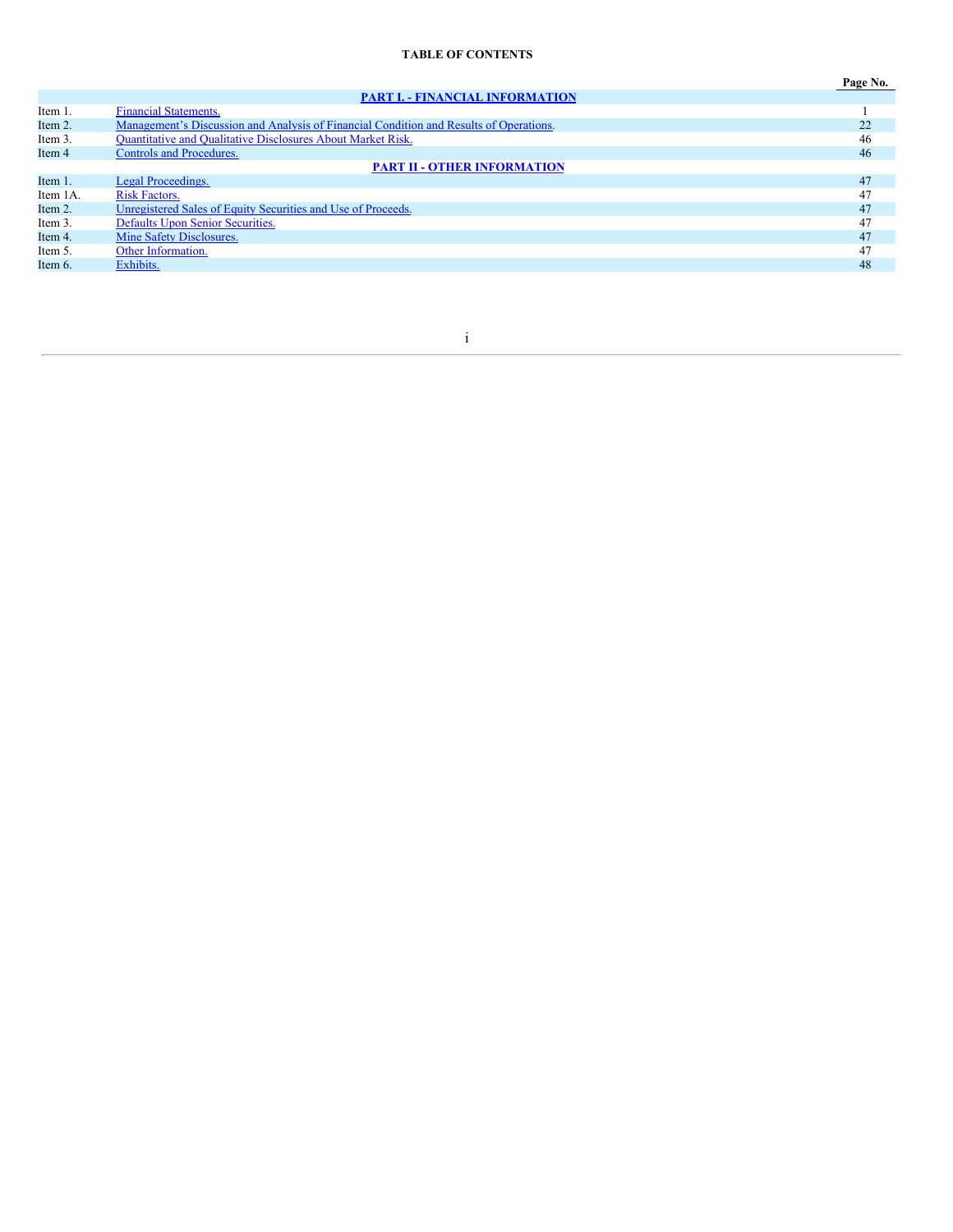# **TABLE OF CONTENTS**

|                   |                                                                                        | Page No. |
|-------------------|----------------------------------------------------------------------------------------|----------|
|                   | <b>PART I. - FINANCIAL INFORMATION</b>                                                 |          |
| Item 1.           | <b>Financial Statements.</b>                                                           |          |
| Item 2.           | Management's Discussion and Analysis of Financial Condition and Results of Operations. | 22       |
| Item 3.           | Quantitative and Qualitative Disclosures About Market Risk.                            | 46       |
| Item <sub>4</sub> | Controls and Procedures.                                                               | 46       |
|                   | <b>PART II - OTHER INFORMATION</b>                                                     |          |
| Item 1.           | Legal Proceedings.                                                                     | 47       |
| Item 1A.          | <b>Risk Factors.</b>                                                                   | 47       |
| Item 2.           | Unregistered Sales of Equity Securities and Use of Proceeds.                           | 47       |
| Item 3.           | Defaults Upon Senior Securities.                                                       | 47       |
| Item 4.           | Mine Safety Disclosures.                                                               | 47       |
| Item 5.           | Other Information.                                                                     | 47       |
| Item 6.           | Exhibits.                                                                              | 48       |
|                   |                                                                                        |          |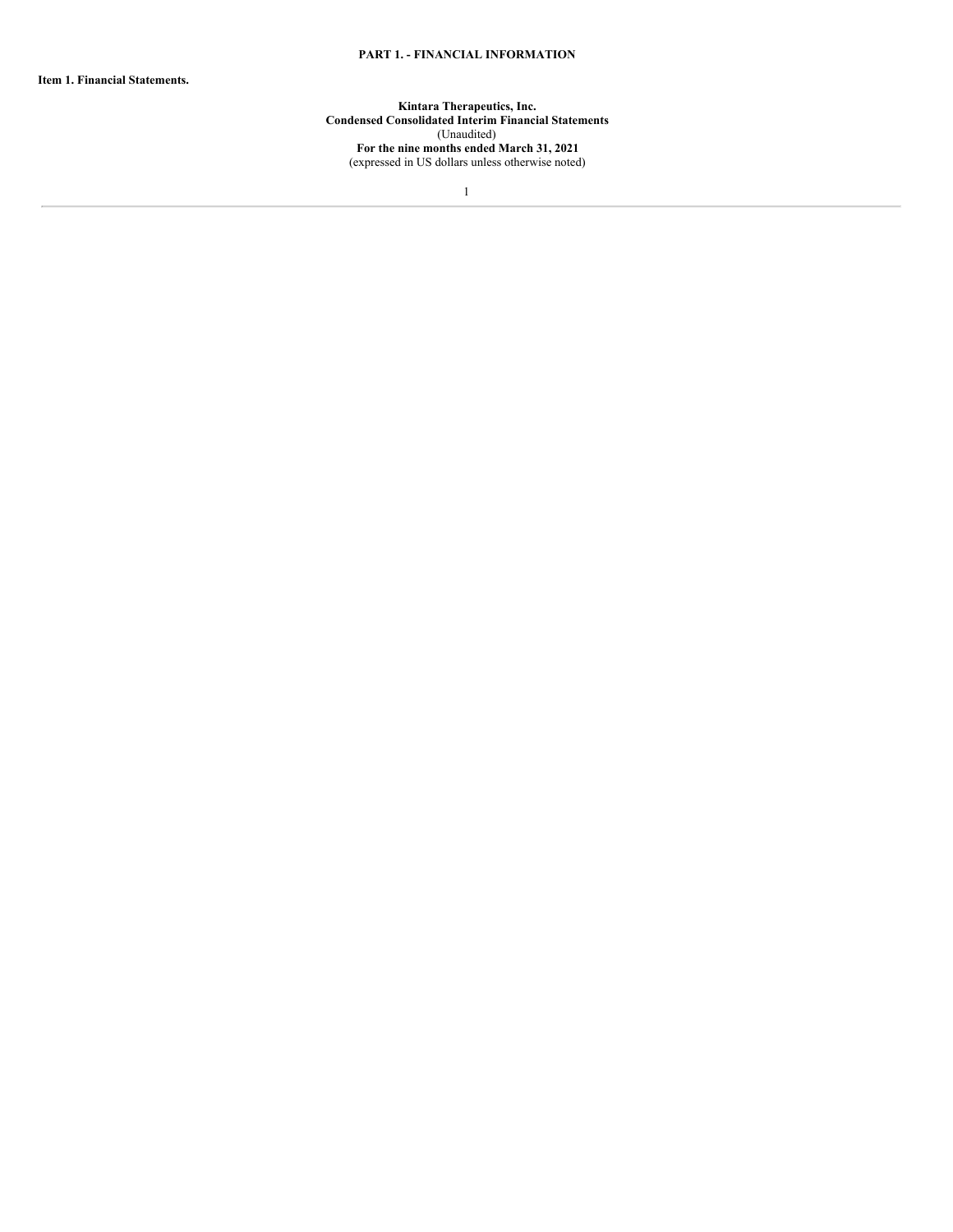# **PART 1. - FINANCIAL INFORMATION**

<span id="page-2-1"></span><span id="page-2-0"></span>**Kintara Therapeutics, Inc. Condensed Consolidated Interim Financial Statements** (Unaudited) **For the nine months ended March 31, 2021** (expressed in US dollars unless otherwise noted)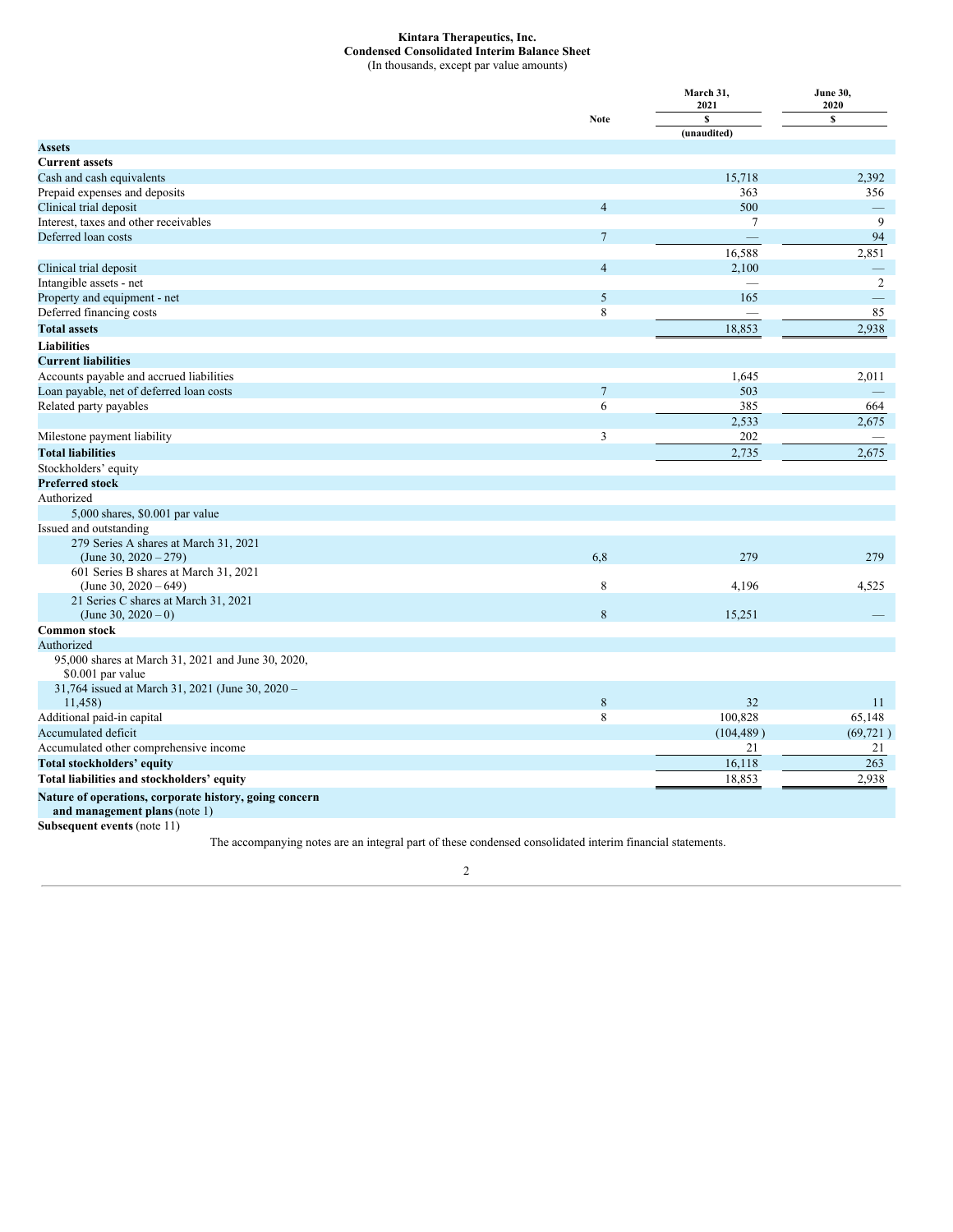# **Kintara Therapeutics, Inc. Condensed Consolidated Interim Balance Sheet**

(In thousands, except par value amounts)

|                                                                                         |                | March 31,<br>2021 | June 30,<br>2020         |  |
|-----------------------------------------------------------------------------------------|----------------|-------------------|--------------------------|--|
|                                                                                         | <b>Note</b>    | s                 | $\mathbf S$              |  |
|                                                                                         |                | (unaudited)       |                          |  |
| <b>Assets</b>                                                                           |                |                   |                          |  |
| <b>Current assets</b>                                                                   |                |                   |                          |  |
| Cash and cash equivalents                                                               |                | 15,718            | 2,392                    |  |
| Prepaid expenses and deposits                                                           |                | 363               | 356                      |  |
| Clinical trial deposit                                                                  | $\overline{4}$ | 500               | $\overline{\phantom{0}}$ |  |
| Interest, taxes and other receivables                                                   |                | $\tau$            | 9                        |  |
| Deferred loan costs                                                                     | $\overline{7}$ | $\equiv$          | 94                       |  |
|                                                                                         |                | 16,588            | 2,851                    |  |
| Clinical trial deposit                                                                  | $\overline{4}$ | 2,100             |                          |  |
| Intangible assets - net                                                                 |                |                   | 2                        |  |
| Property and equipment - net                                                            | 5              | 165               | $\qquad \qquad$          |  |
| Deferred financing costs                                                                | 8              |                   | 85                       |  |
| <b>Total assets</b>                                                                     |                | 18,853            | 2,938                    |  |
| <b>Liabilities</b>                                                                      |                |                   |                          |  |
| <b>Current liabilities</b>                                                              |                |                   |                          |  |
| Accounts payable and accrued liabilities                                                |                | 1,645             | 2,011                    |  |
| Loan payable, net of deferred loan costs                                                | $\overline{7}$ | 503               |                          |  |
| Related party payables                                                                  | 6              | 385               | 664                      |  |
|                                                                                         |                | 2,533             | 2,675                    |  |
| Milestone payment liability                                                             | 3              | 202               |                          |  |
| <b>Total liabilities</b>                                                                |                | 2,735             | 2,675                    |  |
| Stockholders' equity                                                                    |                |                   |                          |  |
| <b>Preferred stock</b>                                                                  |                |                   |                          |  |
| Authorized                                                                              |                |                   |                          |  |
| 5,000 shares, \$0.001 par value                                                         |                |                   |                          |  |
| Issued and outstanding                                                                  |                |                   |                          |  |
| 279 Series A shares at March 31, 2021                                                   |                |                   |                          |  |
| (June 30, $2020 - 279$ )                                                                | 6,8            | 279               | 279                      |  |
| 601 Series B shares at March 31, 2021                                                   |                |                   |                          |  |
| (June 30, $2020 - 649$ )                                                                | $\,$ 8 $\,$    | 4,196             | 4,525                    |  |
| 21 Series C shares at March 31, 2021                                                    |                |                   |                          |  |
| (June 30, $2020 - 0$ )                                                                  | $\,$ 8 $\,$    | 15,251            |                          |  |
| <b>Common stock</b>                                                                     |                |                   |                          |  |
| Authorized                                                                              |                |                   |                          |  |
| 95,000 shares at March 31, 2021 and June 30, 2020,<br>\$0.001 par value                 |                |                   |                          |  |
| 31,764 issued at March 31, 2021 (June 30, 2020 -                                        |                |                   |                          |  |
| 11,458)                                                                                 | $\,$ 8 $\,$    | 32                | 11                       |  |
| Additional paid-in capital                                                              | 8              | 100.828           | 65,148                   |  |
| Accumulated deficit                                                                     |                | (104, 489)        | (69, 721)                |  |
| Accumulated other comprehensive income                                                  |                | 21                | 21                       |  |
| Total stockholders' equity                                                              |                | 16,118            | 263                      |  |
| Total liabilities and stockholders' equity                                              |                | 18,853            | 2,938                    |  |
| Nature of operations, corporate history, going concern<br>and management plans (note 1) |                |                   |                          |  |
| Subsequent events (note 11)                                                             |                |                   |                          |  |

**Subsequent events** (note 11)

The accompanying notes are an integral part of these condensed consolidated interim financial statements.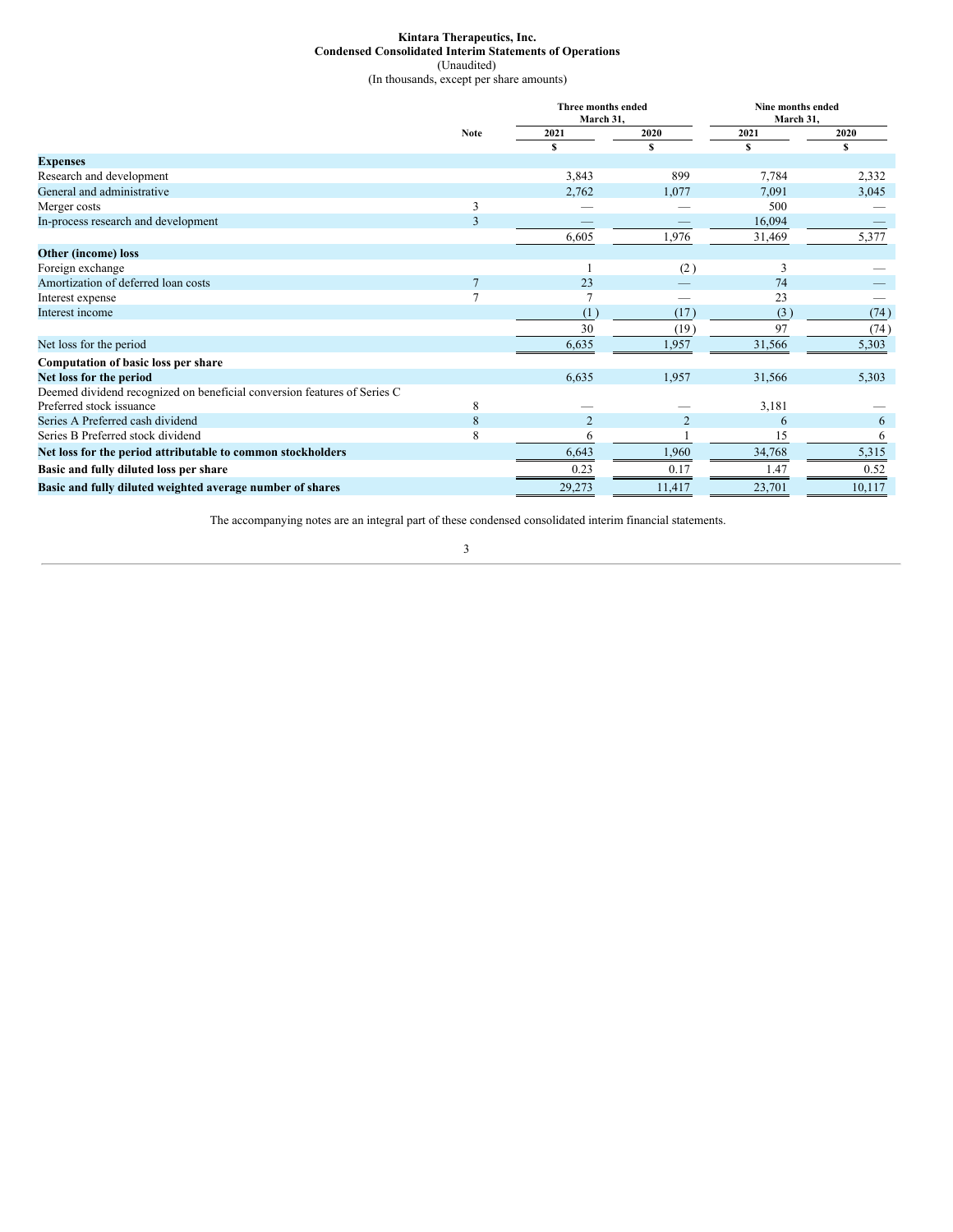# **Kintara Therapeutics, Inc. Condensed Consolidated Interim Statements of Operations** (Unaudited)

(In thousands, except per share amounts)

|                                                                          | Three months ended<br>March 31, |                |                | Nine months ended<br>March 31, |        |  |
|--------------------------------------------------------------------------|---------------------------------|----------------|----------------|--------------------------------|--------|--|
|                                                                          | <b>Note</b>                     | 2021           | 2020           | 2021                           | 2020   |  |
|                                                                          |                                 | S              | S              | S                              | S      |  |
| <b>Expenses</b>                                                          |                                 |                |                |                                |        |  |
| Research and development                                                 |                                 | 3,843          | 899            | 7,784                          | 2,332  |  |
| General and administrative                                               |                                 | 2,762          | 1,077          | 7,091                          | 3,045  |  |
| Merger costs                                                             | 3                               |                |                | 500                            |        |  |
| In-process research and development                                      | 3                               |                |                | 16,094                         |        |  |
|                                                                          |                                 | 6,605          | 1,976          | 31,469                         | 5,377  |  |
| Other (income) loss                                                      |                                 |                |                |                                |        |  |
| Foreign exchange                                                         |                                 |                | (2)            | 3                              |        |  |
| Amortization of deferred loan costs                                      | 7                               | 23             |                | 74                             |        |  |
| Interest expense                                                         | 7                               |                |                | 23                             |        |  |
| Interest income                                                          |                                 | (1)            | (17)           | (3)                            | (74)   |  |
|                                                                          |                                 | 30             | (19)           | 97                             | (74)   |  |
| Net loss for the period                                                  |                                 | 6,635          | 1,957          | 31,566                         | 5,303  |  |
| Computation of basic loss per share                                      |                                 |                |                |                                |        |  |
| Net loss for the period                                                  |                                 | 6,635          | 1,957          | 31,566                         | 5,303  |  |
| Deemed dividend recognized on beneficial conversion features of Series C |                                 |                |                |                                |        |  |
| Preferred stock issuance                                                 | 8                               |                |                | 3,181                          |        |  |
| Series A Preferred cash dividend                                         | 8                               | $\overline{2}$ | $\overline{2}$ | 6                              | 6      |  |
| Series B Preferred stock dividend                                        | 8                               | 6              |                | 15                             | 6      |  |
| Net loss for the period attributable to common stockholders              |                                 | 6,643          | 1,960          | 34,768                         | 5,315  |  |
| Basic and fully diluted loss per share                                   |                                 | 0.23           | 0.17           | 1.47                           | 0.52   |  |
| Basic and fully diluted weighted average number of shares                |                                 | 29,273         | 11,417         | 23,701                         | 10,117 |  |

The accompanying notes are an integral part of these condensed consolidated interim financial statements.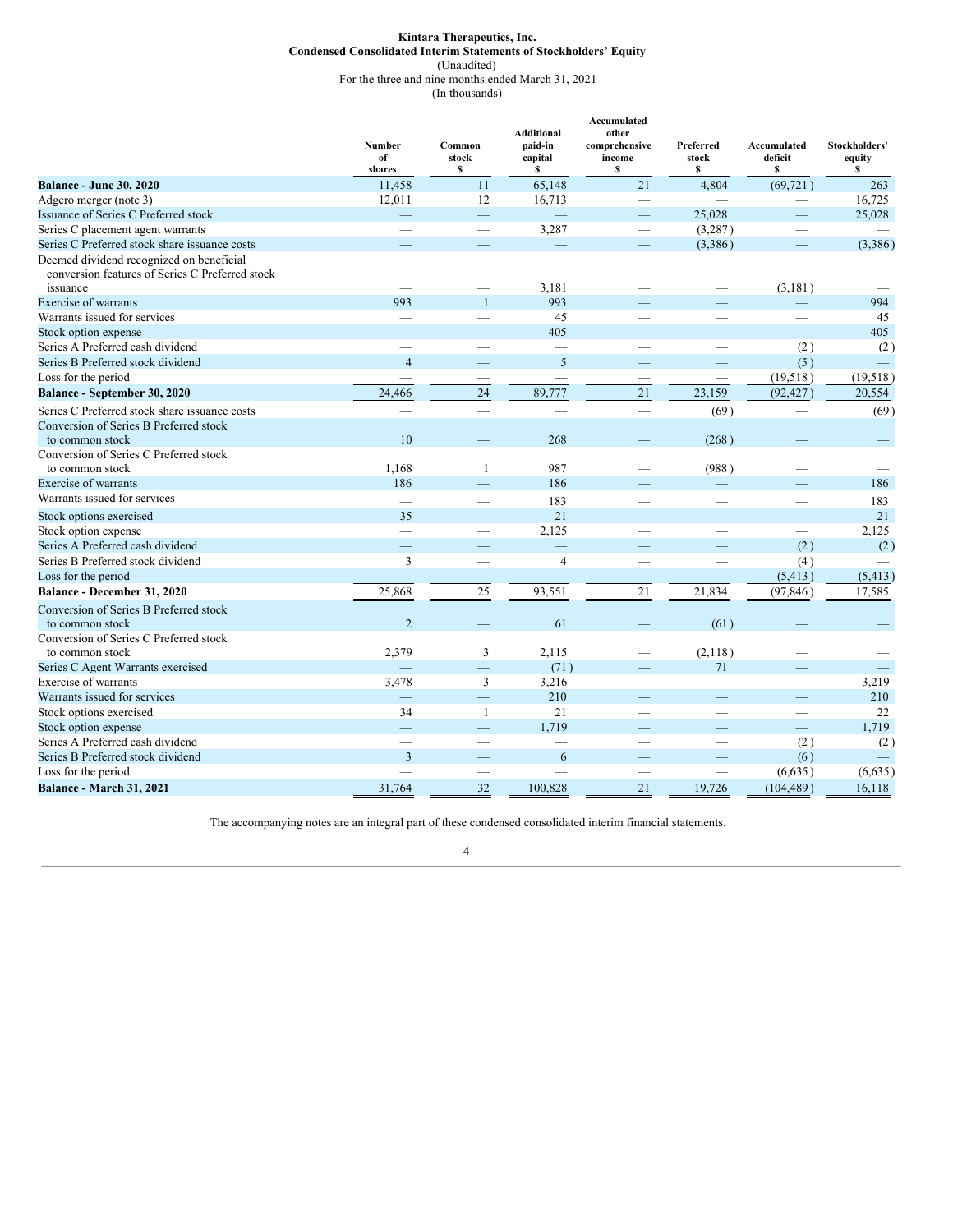## **Kintara Therapeutics, Inc. Condensed Consolidated Interim Statements of Stockholders' Equity** (Unaudited) For the three and nine months ended March 31, 2021 (In thousands)

|                                                                                                         | <b>Number</b><br>of<br>shares | Common<br>stock<br><b>S</b> | Additional<br>paid-in<br>capital<br>s | Accumulated<br>other<br>comprehensive<br>income<br>S | Preferred<br>stock<br>S  | Accumulated<br>deficit<br>s | Stockholders'<br>equity<br>s |
|---------------------------------------------------------------------------------------------------------|-------------------------------|-----------------------------|---------------------------------------|------------------------------------------------------|--------------------------|-----------------------------|------------------------------|
| <b>Balance - June 30, 2020</b>                                                                          | 11,458                        | 11                          | 65,148                                | 21                                                   | 4,804                    | (69, 721)                   | 263                          |
| Adgero merger (note 3)                                                                                  | 12,011                        | 12                          | 16,713                                |                                                      |                          |                             | 16,725                       |
| Issuance of Series C Preferred stock                                                                    |                               |                             |                                       |                                                      | 25,028                   |                             | 25,028                       |
| Series C placement agent warrants                                                                       |                               |                             | 3,287                                 |                                                      | (3,287)                  |                             |                              |
| Series C Preferred stock share issuance costs                                                           |                               |                             |                                       |                                                      | (3,386)                  |                             | (3,386)                      |
| Deemed dividend recognized on beneficial<br>conversion features of Series C Preferred stock<br>issuance |                               |                             | 3,181                                 |                                                      |                          | (3,181)                     |                              |
| <b>Exercise of warrants</b>                                                                             | 993                           | $\mathbf{1}$                | 993                                   |                                                      |                          |                             | 994                          |
| Warrants issued for services                                                                            | -                             | -                           | 45                                    |                                                      | $\overline{\phantom{m}}$ |                             | 45                           |
| Stock option expense                                                                                    |                               |                             | 405                                   |                                                      |                          | $\overline{\phantom{0}}$    | 405                          |
| Series A Preferred cash dividend                                                                        |                               |                             | $\overline{\phantom{a}}$              |                                                      | -                        | (2)                         | (2)                          |
| Series B Preferred stock dividend                                                                       | $\overline{4}$                |                             | $\overline{5}$                        |                                                      |                          | (5)                         |                              |
| Loss for the period                                                                                     | $\overline{\phantom{0}}$      |                             |                                       | $\overline{\phantom{m}}$                             | $\overline{\phantom{m}}$ | (19,518)                    | (19, 518)                    |
| Balance - September 30, 2020                                                                            | 24,466                        | 24                          | 89,777                                | 21                                                   | 23,159                   | (92, 427)                   | 20,554                       |
| Series C Preferred stock share issuance costs                                                           | -                             | -                           | L.                                    | $\overline{\phantom{m}}$                             | (69)                     |                             | (69)                         |
| Conversion of Series B Preferred stock                                                                  |                               |                             |                                       |                                                      |                          |                             |                              |
| to common stock                                                                                         | 10                            |                             | 268                                   |                                                      | (268)                    |                             |                              |
| Conversion of Series C Preferred stock                                                                  |                               |                             |                                       |                                                      |                          |                             |                              |
| to common stock                                                                                         | 1,168                         | $\mathbf{1}$                | 987                                   | -                                                    | (988)                    |                             |                              |
| Exercise of warrants                                                                                    | 186                           |                             | 186                                   |                                                      |                          |                             | 186                          |
| Warrants issued for services                                                                            | $\sim$                        |                             | 183                                   |                                                      | -                        | $\overline{\phantom{0}}$    | 183                          |
| Stock options exercised                                                                                 | 35                            |                             | 21                                    |                                                      |                          |                             | 21                           |
| Stock option expense                                                                                    | $\overline{\phantom{0}}$      |                             | 2,125                                 |                                                      |                          |                             | 2,125                        |
| Series A Preferred cash dividend                                                                        |                               |                             | $\overline{\phantom{0}}$              |                                                      | L.                       | (2)                         | (2)                          |
| Series B Preferred stock dividend                                                                       | $\overline{3}$                |                             | $\overline{4}$                        |                                                      |                          | (4)                         |                              |
| Loss for the period                                                                                     |                               |                             |                                       | $\overline{\phantom{0}}$                             |                          | (5, 413)                    | (5, 413)                     |
| Balance - December 31, 2020                                                                             | 25,868                        | 25                          | 93,551                                | 21                                                   | 21,834                   | (97, 846)                   | 17,585                       |
| Conversion of Series B Preferred stock<br>to common stock                                               | $\overline{2}$                |                             | 61                                    |                                                      | (61)                     |                             |                              |
| Conversion of Series C Preferred stock                                                                  |                               |                             |                                       |                                                      |                          |                             |                              |
| to common stock                                                                                         | 2,379                         | 3                           | 2,115                                 |                                                      | (2,118)                  |                             |                              |
| Series C Agent Warrants exercised                                                                       |                               |                             | (71)                                  |                                                      | 71                       |                             |                              |
| <b>Exercise of warrants</b>                                                                             | 3,478                         | 3                           | 3,216                                 |                                                      | -                        |                             | 3,219                        |
| Warrants issued for services                                                                            |                               | ÷                           | 210                                   |                                                      |                          |                             | 210                          |
| Stock options exercised                                                                                 | 34                            | -1                          | 21                                    |                                                      | ÷.                       | $\overline{\phantom{0}}$    | 22                           |
| Stock option expense                                                                                    |                               |                             | 1,719                                 |                                                      |                          |                             | 1.719                        |
| Series A Preferred cash dividend                                                                        | -                             |                             |                                       | -                                                    |                          | (2)                         | (2)                          |
| Series B Preferred stock dividend                                                                       | $\overline{3}$                |                             | 6                                     |                                                      |                          | (6)                         | $\overline{\phantom{0}}$     |
| Loss for the period                                                                                     |                               |                             |                                       |                                                      |                          | (6,635)                     | (6,635)                      |
| Balance - March 31, 2021                                                                                | 31,764                        | 32                          | 100,828                               | 21                                                   | 19,726                   | (104, 489)                  | 16,118                       |

The accompanying notes are an integral part of these condensed consolidated interim financial statements.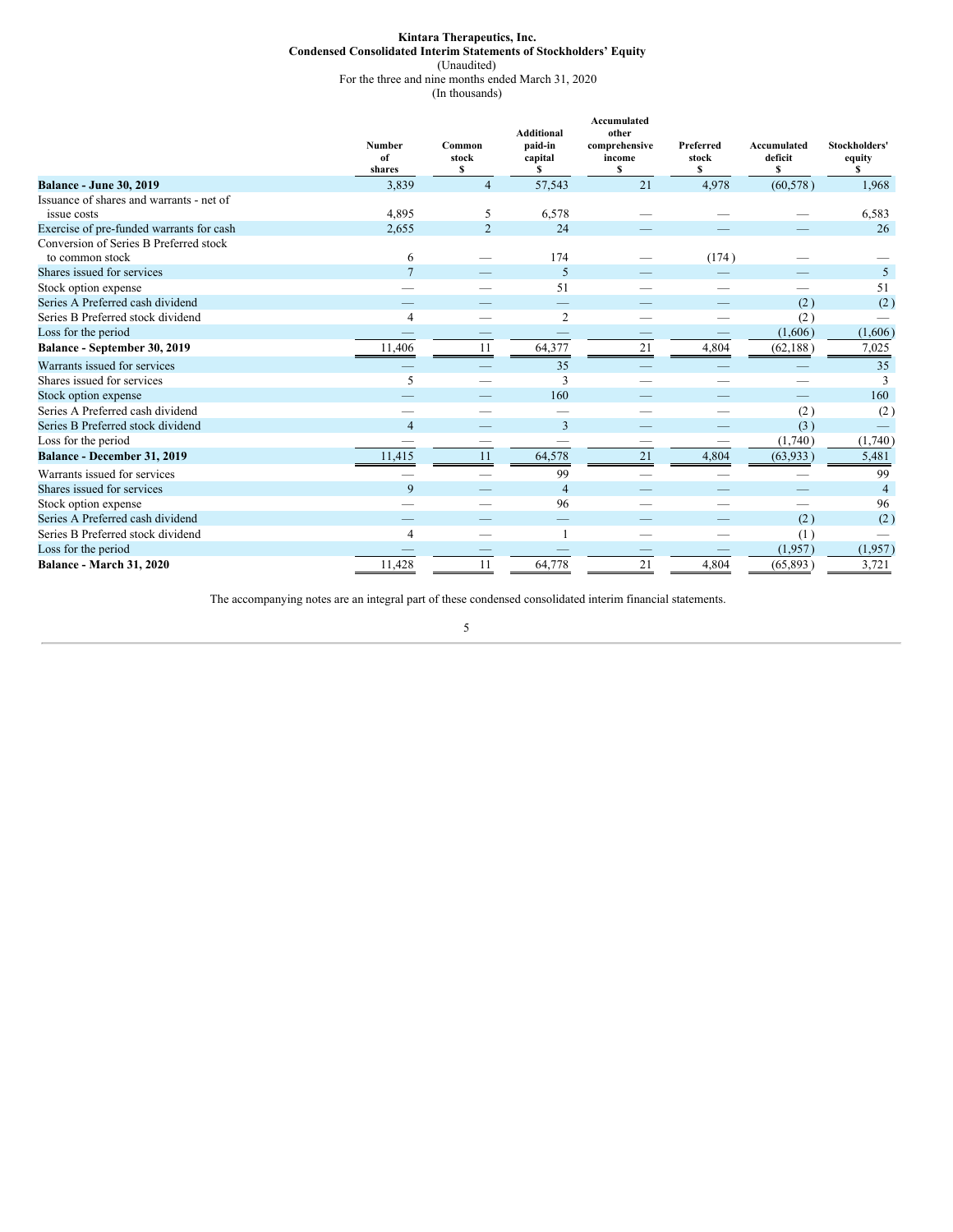# **Kintara Therapeutics, Inc. Condensed Consolidated Interim Statements of Stockholders' Equity** (Unaudited) For the three and nine months ended March 31, 2020 (In thousands)

|                                          | <b>Number</b><br>of<br>shares | Common<br>stock<br>\$ | <b>Additional</b><br>paid-in<br>capital<br>S | Accumulated<br>other<br>comprehensive<br>income<br>S | Preferred<br>stock<br>S | Accumulated<br>deficit<br>s | Stockholders'<br>equity<br>s |
|------------------------------------------|-------------------------------|-----------------------|----------------------------------------------|------------------------------------------------------|-------------------------|-----------------------------|------------------------------|
| <b>Balance - June 30, 2019</b>           | 3,839                         | $\overline{4}$        | 57,543                                       | 21                                                   | 4,978                   | (60, 578)                   | 1.968                        |
| Issuance of shares and warrants - net of |                               |                       |                                              |                                                      |                         |                             |                              |
| issue costs                              | 4,895                         | 5                     | 6,578                                        |                                                      |                         |                             | 6,583                        |
| Exercise of pre-funded warrants for cash | 2,655                         | $\overline{2}$        | 24                                           |                                                      |                         |                             | 26                           |
| Conversion of Series B Preferred stock   |                               |                       |                                              |                                                      |                         |                             |                              |
| to common stock                          | 6                             |                       | 174                                          |                                                      | (174)                   |                             |                              |
| Shares issued for services               | $\overline{7}$                |                       | 5                                            |                                                      |                         |                             | .5                           |
| Stock option expense                     |                               |                       | 51                                           |                                                      |                         |                             | 51                           |
| Series A Preferred cash dividend         |                               |                       |                                              |                                                      |                         | (2)                         | (2)                          |
| Series B Preferred stock dividend        | $\overline{4}$                |                       | 2                                            |                                                      |                         | (2)                         |                              |
| Loss for the period                      |                               |                       |                                              |                                                      |                         | (1,606)                     | (1,606)                      |
| Balance - September 30, 2019             | 11,406                        | 11                    | 64,377                                       | 21                                                   | 4,804                   | (62, 188)                   | 7,025                        |
| Warrants issued for services             |                               |                       | 35                                           |                                                      |                         |                             | 35                           |
| Shares issued for services               | 5                             |                       | 3                                            |                                                      |                         |                             |                              |
| Stock option expense                     |                               |                       | 160                                          |                                                      |                         |                             | 160                          |
| Series A Preferred cash dividend         |                               |                       |                                              |                                                      |                         | (2)                         | (2)                          |
| Series B Preferred stock dividend        | $\overline{4}$                |                       | 3                                            |                                                      |                         | (3)                         |                              |
| Loss for the period                      |                               |                       |                                              |                                                      |                         | (1,740)                     | (1,740)                      |
| Balance - December 31, 2019              | 11,415                        | 11                    | 64,578                                       | 21                                                   | 4,804                   | (63, 933)                   | 5,481                        |
| Warrants issued for services             | --                            |                       | 99                                           |                                                      |                         |                             | 99                           |
| Shares issued for services               | 9                             |                       | 4                                            |                                                      |                         |                             | $\overline{4}$               |
| Stock option expense                     |                               |                       | 96                                           |                                                      |                         | -                           | 96                           |
| Series A Preferred cash dividend         |                               |                       |                                              |                                                      |                         | (2)                         | (2)                          |
| Series B Preferred stock dividend        | 4                             |                       |                                              |                                                      |                         | (1)                         |                              |
| Loss for the period                      |                               |                       |                                              |                                                      |                         | (1,957)                     | (1,957)                      |
| <b>Balance - March 31, 2020</b>          | 11,428                        | 11                    | 64,778                                       | 21                                                   | 4,804                   | (65, 893)                   | 3,721                        |

The accompanying notes are an integral part of these condensed consolidated interim financial statements.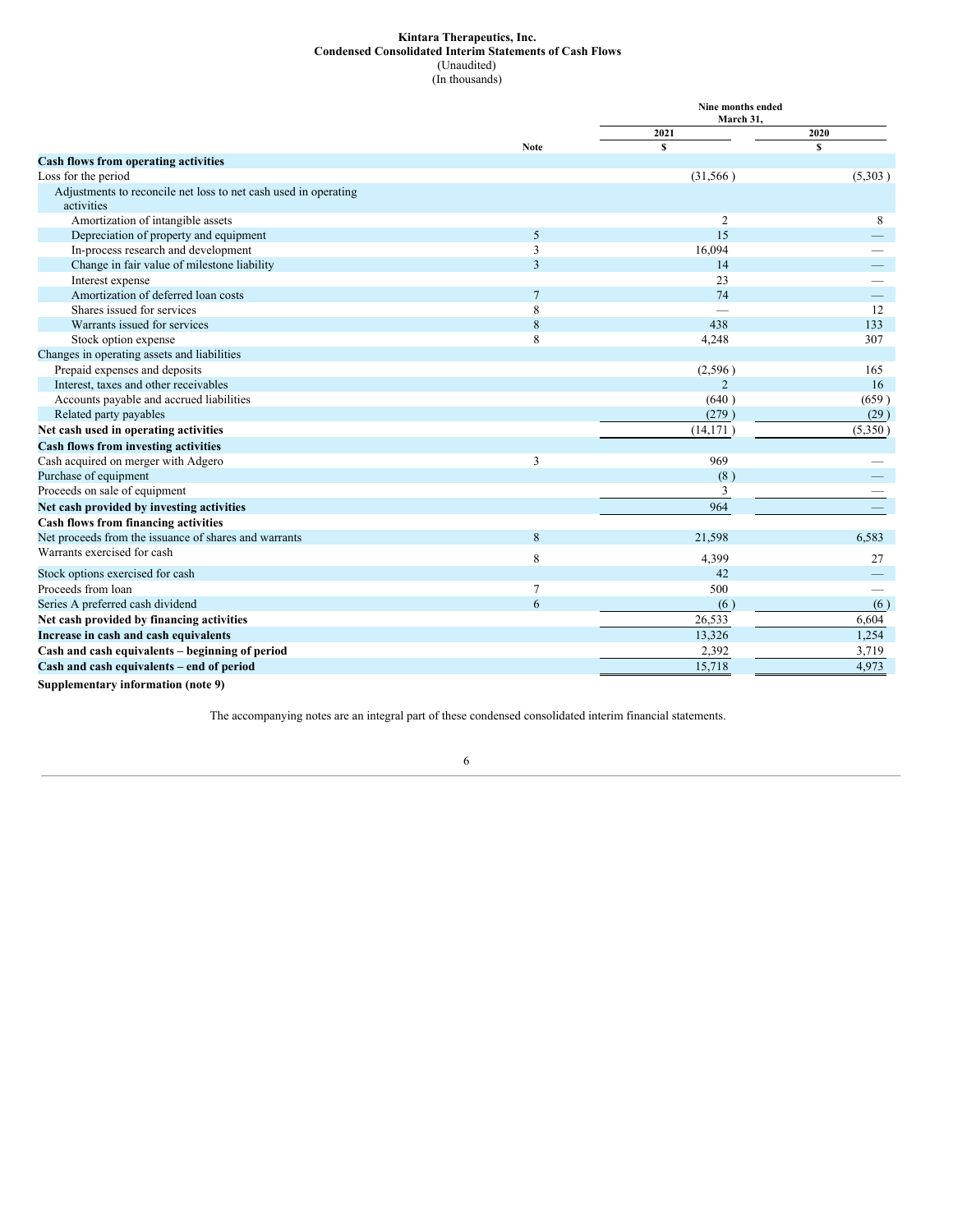#### **Kintara Therapeutics, Inc. Condensed Consolidated Interim Statements of Cash Flows** (Unaudited) (In thousands)

|                                                                               |                 | Nine months ended<br>March 31. |                   |
|-------------------------------------------------------------------------------|-----------------|--------------------------------|-------------------|
|                                                                               |                 | 2021                           | 2020              |
|                                                                               | <b>Note</b>     | s                              | $\mathbf S$       |
| <b>Cash flows from operating activities</b>                                   |                 |                                |                   |
| Loss for the period                                                           |                 | (31, 566)                      | (5,303)           |
| Adjustments to reconcile net loss to net cash used in operating<br>activities |                 |                                |                   |
| Amortization of intangible assets                                             |                 | 2                              | 8                 |
| Depreciation of property and equipment                                        | 5               | 15                             |                   |
| In-process research and development                                           | 3               | 16,094                         |                   |
| Change in fair value of milestone liability                                   | 3               | 14                             |                   |
| Interest expense                                                              |                 | 23                             |                   |
| Amortization of deferred loan costs                                           | $7\phantom{.0}$ | 74                             |                   |
| Shares issued for services                                                    | 8               |                                | 12                |
| Warrants issued for services                                                  | 8               | 438                            | 133               |
| Stock option expense                                                          | 8               | 4,248                          | 307               |
| Changes in operating assets and liabilities                                   |                 |                                |                   |
| Prepaid expenses and deposits                                                 |                 | (2,596)                        | 165               |
| Interest, taxes and other receivables                                         |                 | $\overline{2}$                 | 16                |
| Accounts payable and accrued liabilities                                      |                 | (640)                          | (659)             |
| Related party payables                                                        |                 | (279)                          | (29)              |
| Net cash used in operating activities                                         |                 | (14, 171)                      | (5,350)           |
| <b>Cash flows from investing activities</b>                                   |                 |                                |                   |
| Cash acquired on merger with Adgero                                           | 3               | 969                            |                   |
| Purchase of equipment                                                         |                 | (8)                            |                   |
| Proceeds on sale of equipment                                                 |                 | 3                              |                   |
| Net cash provided by investing activities                                     |                 | 964                            | $\qquad \qquad -$ |
| Cash flows from financing activities                                          |                 |                                |                   |
| Net proceeds from the issuance of shares and warrants                         | 8               | 21,598                         | 6,583             |
| Warrants exercised for cash                                                   | 8               | 4,399                          | 27                |
| Stock options exercised for cash                                              |                 | 42                             |                   |
| Proceeds from loan                                                            | $\overline{7}$  | 500                            |                   |
| Series A preferred cash dividend                                              | 6               | (6)                            | (6)               |
| Net cash provided by financing activities                                     |                 | 26,533                         | 6,604             |
| Increase in cash and cash equivalents                                         |                 | 13,326                         | 1,254             |
| Cash and cash equivalents - beginning of period                               |                 | 2,392                          | 3,719             |
| Cash and cash equivalents - end of period                                     |                 | 15,718                         | 4,973             |
| Supplementary information (note 9)                                            |                 |                                |                   |

The accompanying notes are an integral part of these condensed consolidated interim financial statements.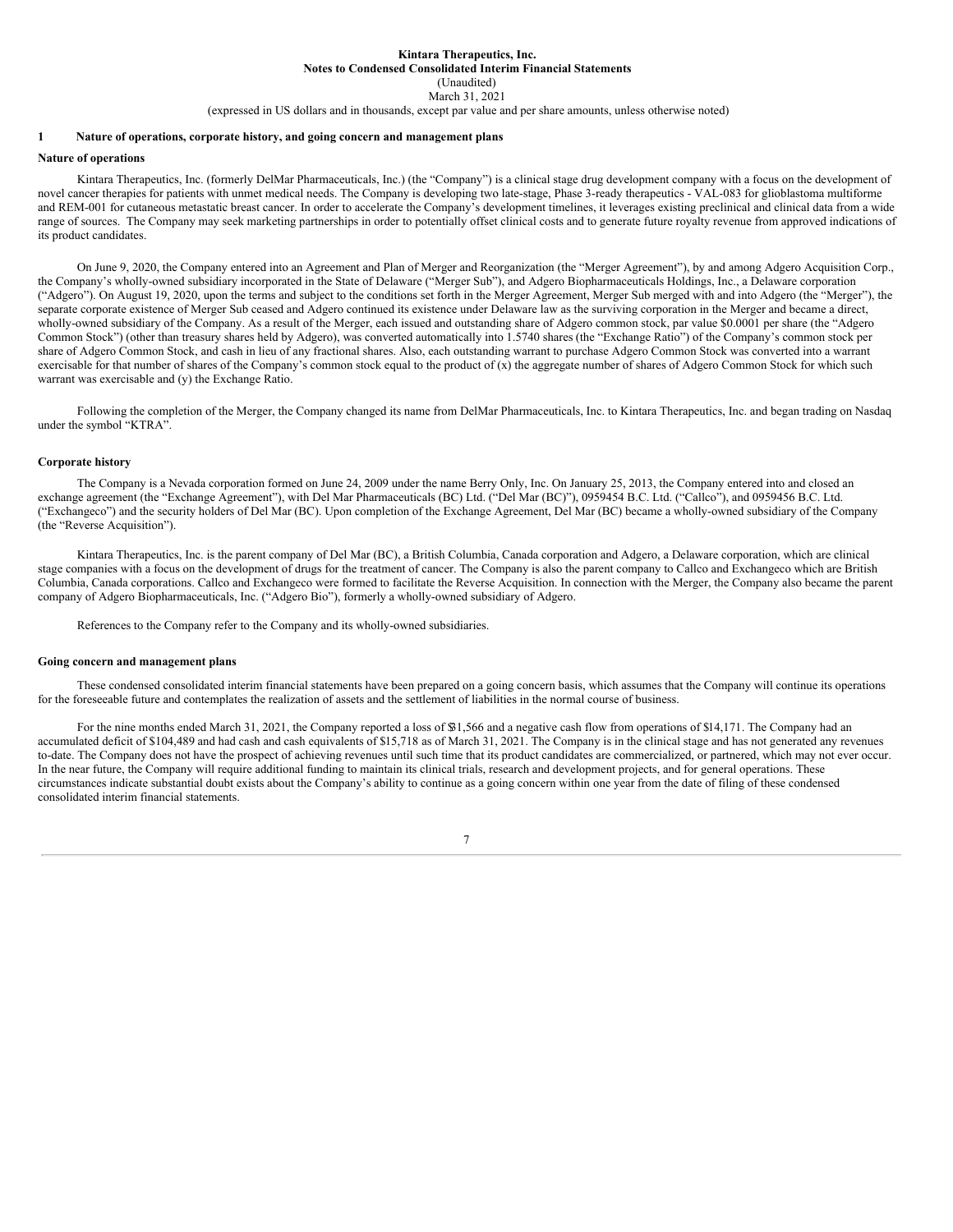#### **Kintara Therapeutics, Inc. Notes to Condensed Consolidated Interim Financial Statements** (Unaudited)

March 31, 2021

(expressed in US dollars and in thousands, except par value and per share amounts, unless otherwise noted)

# **1 Nature of operations, corporate history, and going concern and management plans**

#### **Nature of operations**

Kintara Therapeutics, Inc. (formerly DelMar Pharmaceuticals, Inc.) (the "Company") is a clinical stage drug development company with a focus on the development of novel cancer therapies for patients with unmet medical needs. The Company is developing two late-stage, Phase 3-ready therapeutics - VAL-083 for glioblastoma multiforme and REM-001 for cutaneous metastatic breast cancer. In order to accelerate the Company's development timelines, it leverages existing preclinical and clinical data from a wide range of sources. The Company may seek marketing partnerships in order to potentially offset clinical costs and to generate future royalty revenue from approved indications of its product candidates.

On June 9, 2020, the Company entered into an Agreement and Plan of Merger and Reorganization (the "Merger Agreement"), by and among Adgero Acquisition Corp., the Company's wholly-owned subsidiary incorporated in the State of Delaware ("Merger Sub"), and Adgero Biopharmaceuticals Holdings, Inc., a Delaware corporation ("Adgero"). On August 19, 2020, upon the terms and subject to the conditions set forth in the Merger Agreement, Merger Sub merged with and into Adgero (the "Merger"), the separate corporate existence of Merger Sub ceased and Adgero continued its existence under Delaware law as the surviving corporation in the Merger and became a direct, wholly-owned subsidiary of the Company. As a result of the Merger, each issued and outstanding share of Adgero common stock, par value \$0.0001 per share (the "Adgero Common Stock") (other than treasury shares held by Adgero), was converted automatically into 1.5740 shares (the "Exchange Ratio") of the Company's common stock per share of Adgero Common Stock, and cash in lieu of any fractional shares. Also, each outstanding warrant to purchase Adgero Common Stock was converted into a warrant exercisable for that number of shares of the Company's common stock equal to the product of (x) the aggregate number of shares of Adgero Common Stock for which such warrant was exercisable and (y) the Exchange Ratio.

Following the completion of the Merger, the Company changed its name from DelMar Pharmaceuticals, Inc. to Kintara Therapeutics, Inc. and began trading on Nasdaq under the symbol "KTRA".

#### **Corporate history**

The Company is a Nevada corporation formed on June 24, 2009 under the name Berry Only, Inc. On January 25, 2013, the Company entered into and closed an exchange agreement (the "Exchange Agreement"), with Del Mar Pharmaceuticals (BC) Ltd. ("Del Mar (BC)"), 0959454 B.C. Ltd. ("Callco"), and 0959456 B.C. Ltd. ("Exchangeco") and the security holders of Del Mar (BC). Upon completion of the Exchange Agreement, Del Mar (BC) became a wholly-owned subsidiary of the Company (the "Reverse Acquisition").

Kintara Therapeutics, Inc. is the parent company of Del Mar (BC), a British Columbia, Canada corporation and Adgero, a Delaware corporation, which are clinical stage companies with a focus on the development of drugs for the treatment of cancer. The Company is also the parent company to Callco and Exchangeco which are British Columbia, Canada corporations. Callco and Exchangeco were formed to facilitate the Reverse Acquisition. In connection with the Merger, the Company also became the parent company of Adgero Biopharmaceuticals, Inc. ("Adgero Bio"), formerly a wholly-owned subsidiary of Adgero.

References to the Company refer to the Company and its wholly-owned subsidiaries.

#### **Going concern and management plans**

These condensed consolidated interim financial statements have been prepared on a going concern basis, which assumes that the Company will continue its operations for the foreseeable future and contemplates the realization of assets and the settlement of liabilities in the normal course of business.

For the nine months ended March 31, 2021, the Company reported a loss of \$1,566 and a negative cash flow from operations of \$14,171. The Company had an accumulated deficit of \$104,489 and had cash and cash equivalents of \$15,718 as of March 31, 2021. The Company is in the clinical stage and has not generated any revenues to-date. The Company does not have the prospect of achieving revenues until such time that its product candidates are commercialized, or partnered, which may not ever occur. In the near future, the Company will require additional funding to maintain its clinical trials, research and development projects, and for general operations. These circumstances indicate substantial doubt exists about the Company's ability to continue as a going concern within one year from the date of filing of these condensed consolidated interim financial statements.

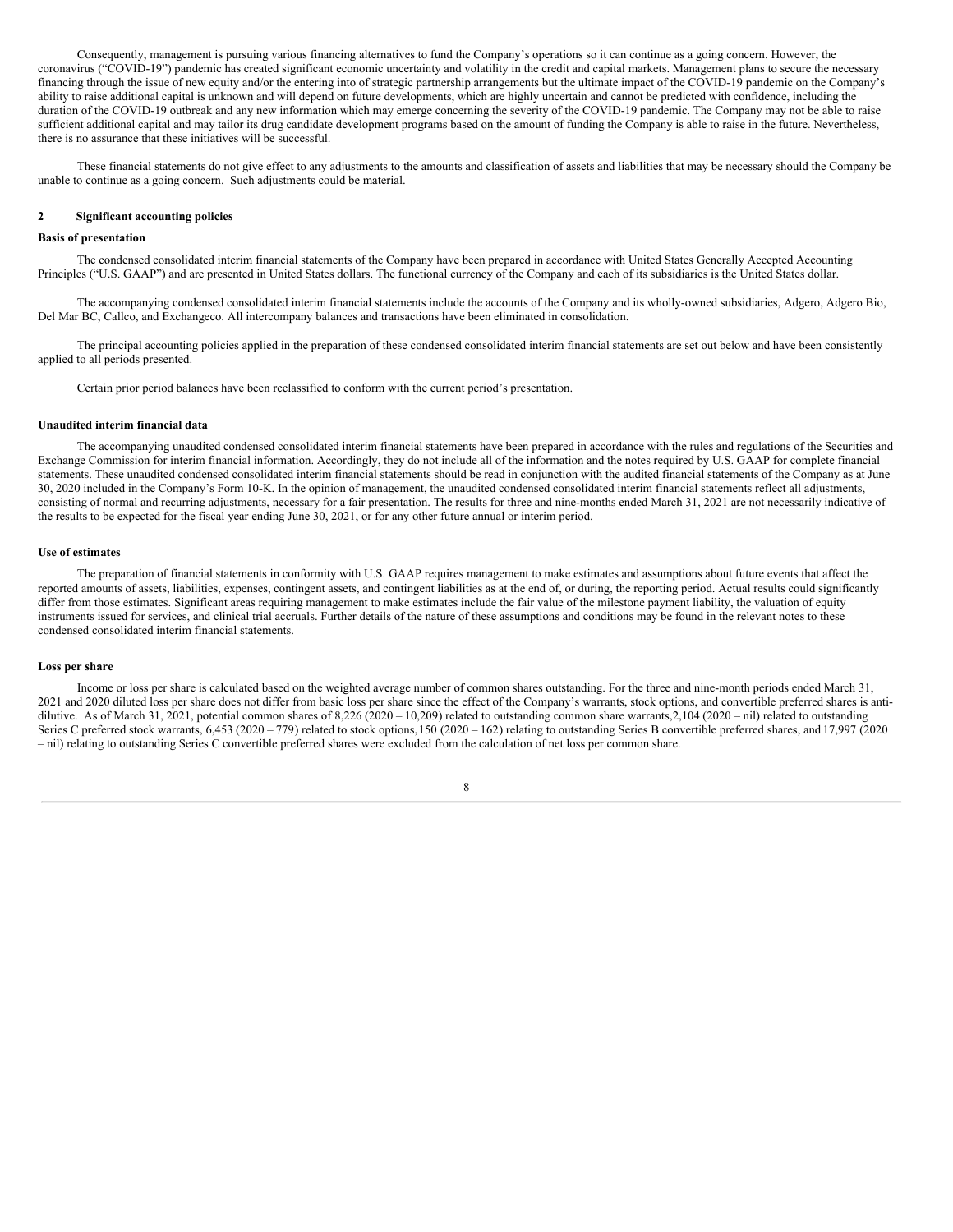Consequently, management is pursuing various financing alternatives to fund the Company's operations so it can continue as a going concern. However, the coronavirus ("COVID-19") pandemic has created significant economic uncertainty and volatility in the credit and capital markets. Management plans to secure the necessary financing through the issue of new equity and/or the entering into of strategic partnership arrangements but the ultimate impact of the COVID-19 pandemic on the Company's ability to raise additional capital is unknown and will depend on future developments, which are highly uncertain and cannot be predicted with confidence, including the duration of the COVID-19 outbreak and any new information which may emerge concerning the severity of the COVID-19 pandemic. The Company may not be able to raise sufficient additional capital and may tailor its drug candidate development programs based on the amount of funding the Company is able to raise in the future. Nevertheless, there is no assurance that these initiatives will be successful.

These financial statements do not give effect to any adjustments to the amounts and classification of assets and liabilities that may be necessary should the Company be unable to continue as a going concern. Such adjustments could be material.

#### **2 Significant accounting policies**

#### **Basis of presentation**

The condensed consolidated interim financial statements of the Company have been prepared in accordance with United States Generally Accepted Accounting Principles ("U.S. GAAP") and are presented in United States dollars. The functional currency of the Company and each of its subsidiaries is the United States dollar.

The accompanying condensed consolidated interim financial statements include the accounts of the Company and its wholly-owned subsidiaries, Adgero, Adgero Bio, Del Mar BC, Callco, and Exchangeco. All intercompany balances and transactions have been eliminated in consolidation.

The principal accounting policies applied in the preparation of these condensed consolidated interim financial statements are set out below and have been consistently applied to all periods presented.

Certain prior period balances have been reclassified to conform with the current period's presentation.

#### **Unaudited interim financial data**

The accompanying unaudited condensed consolidated interim financial statements have been prepared in accordance with the rules and regulations of the Securities and Exchange Commission for interim financial information. Accordingly, they do not include all of the information and the notes required by U.S. GAAP for complete financial statements. These unaudited condensed consolidated interim financial statements should be read in conjunction with the audited financial statements of the Company as at June 30, 2020 included in the Company's Form 10-K. In the opinion of management, the unaudited condensed consolidated interim financial statements reflect all adjustments, consisting of normal and recurring adjustments, necessary for a fair presentation. The results for three and nine-months ended March 31, 2021 are not necessarily indicative of the results to be expected for the fiscal year ending June 30, 2021, or for any other future annual or interim period.

#### **Use of estimates**

The preparation of financial statements in conformity with U.S. GAAP requires management to make estimates and assumptions about future events that affect the reported amounts of assets, liabilities, expenses, contingent assets, and contingent liabilities as at the end of, or during, the reporting period. Actual results could significantly differ from those estimates. Significant areas requiring management to make estimates include the fair value of the milestone payment liability, the valuation of equity instruments issued for services, and clinical trial accruals. Further details of the nature of these assumptions and conditions may be found in the relevant notes to these condensed consolidated interim financial statements.

## **Loss per share**

Income or loss per share is calculated based on the weighted average number of common shares outstanding. For the three and nine-month periods ended March 31, 2021 and 2020 diluted loss per share does not differ from basic loss per share since the effect of the Company's warrants, stock options, and convertible preferred shares is antidilutive. As of March 31, 2021, potential common shares of 8,226 (2020 – 10,209) related to outstanding common share warrants,2,104 (2020 – nil) related to outstanding Series C preferred stock warrants, 6,453 (2020 – 779) related to stock options, 150 (2020 – 162) relating to outstanding Series B convertible preferred shares, and 17,997 (2020 – nil) relating to outstanding Series C convertible preferred shares were excluded from the calculation of net loss per common share.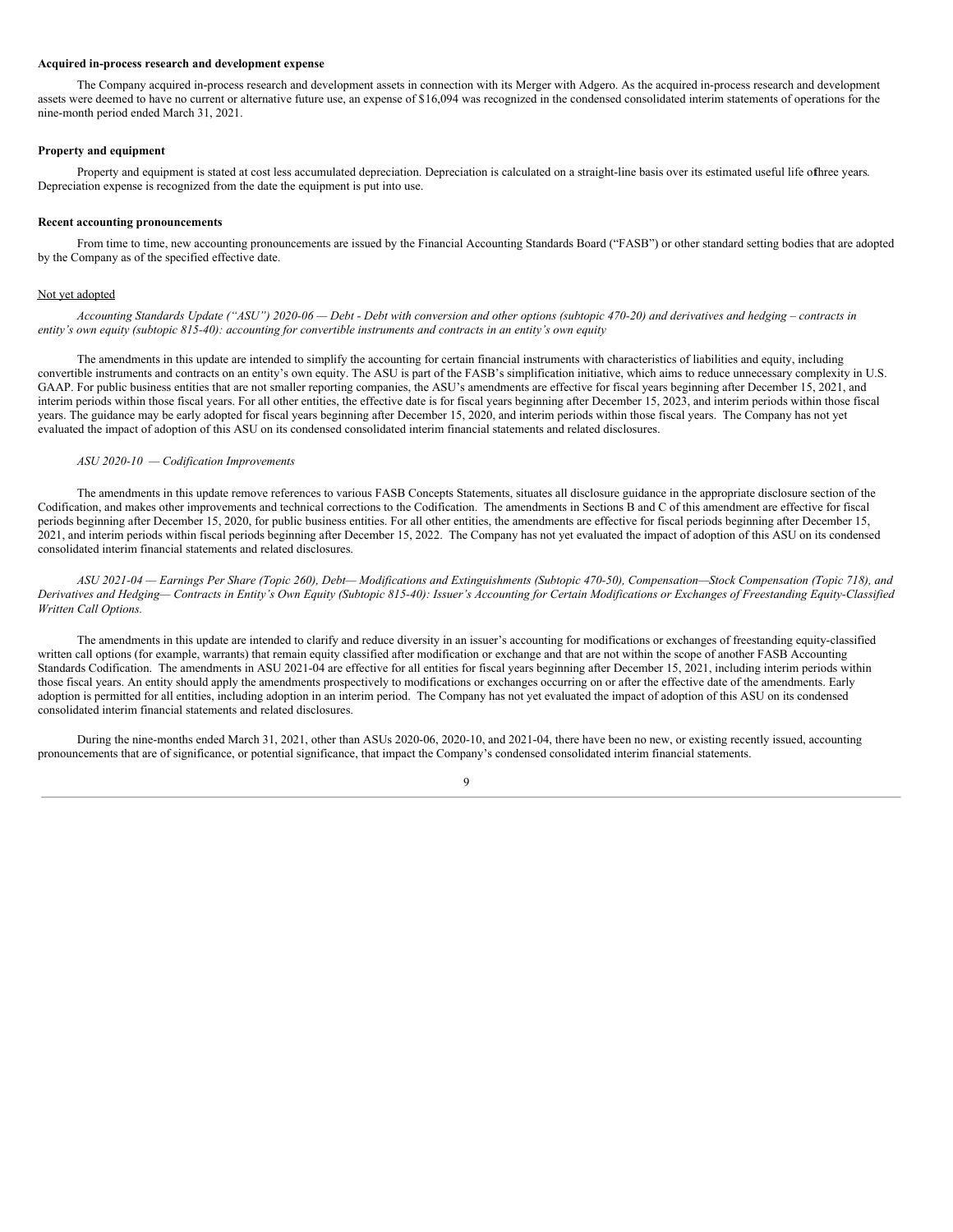#### **Acquired in-process research and development expense**

The Company acquired in-process research and development assets in connection with its Merger with Adgero. As the acquired in-process research and development assets were deemed to have no current or alternative future use, an expense of \$16,094 was recognized in the condensed consolidated interim statements of operations for the nine-month period ended March 31, 2021.

#### **Property and equipment**

Property and equipment is stated at cost less accumulated depreciation. Depreciation is calculated on a straight-line basis over its estimated useful life of hree years. Depreciation expense is recognized from the date the equipment is put into use.

#### **Recent accounting pronouncements**

From time to time, new accounting pronouncements are issued by the Financial Accounting Standards Board ("FASB") or other standard setting bodies that are adopted by the Company as of the specified effective date.

#### Not yet adopted

Accounting Standards Update ("ASU") 2020-06 - Debt - Debt with conversion and other options (subtopic 470-20) and derivatives and hedging - contracts in entity's own equity (subtopic 815-40): accounting for convertible instruments and contracts in an entity's own equity

The amendments in this update are intended to simplify the accounting for certain financial instruments with characteristics of liabilities and equity, including convertible instruments and contracts on an entity's own equity. The ASU is part of the FASB's simplification initiative, which aims to reduce unnecessary complexity in U.S. GAAP. For public business entities that are not smaller reporting companies, the ASU's amendments are effective for fiscal years beginning after December 15, 2021, and interim periods within those fiscal years. For all other entities, the effective date is for fiscal years beginning after December 15, 2023, and interim periods within those fiscal years. The guidance may be early adopted for fiscal years beginning after December 15, 2020, and interim periods within those fiscal years. The Company has not yet evaluated the impact of adoption of this ASU on its condensed consolidated interim financial statements and related disclosures.

# *ASU 2020-10 — Codification Improvements*

The amendments in this update remove references to various FASB Concepts Statements, situates all disclosure guidance in the appropriate disclosure section of the Codification, and makes other improvements and technical corrections to the Codification. The amendments in Sections B and C of this amendment are effective for fiscal periods beginning after December 15, 2020, for public business entities. For all other entities, the amendments are effective for fiscal periods beginning after December 15, 2021, and interim periods within fiscal periods beginning after December 15, 2022. The Company has not yet evaluated the impact of adoption of this ASU on its condensed consolidated interim financial statements and related disclosures.

ASU 2021-04 - Earnings Per Share (Topic 260), Debt-Modifications and Extinguishments (Subtopic 470-50), Compensation-Stock Compensation (Topic 718), and Derivatives and Hedging—Contracts in Entity's Own Equity (Subtopic 815-40): Issuer's Accounting for Certain Modifications or Exchanges of Freestanding Equity-Classified *Written Call Options.*

The amendments in this update are intended to clarify and reduce diversity in an issuer's accounting for modifications or exchanges of freestanding equity-classified written call options (for example, warrants) that remain equity classified after modification or exchange and that are not within the scope of another FASB Accounting Standards Codification. The amendments in ASU 2021-04 are effective for all entities for fiscal years beginning after December 15, 2021, including interim periods within those fiscal years. An entity should apply the amendments prospectively to modifications or exchanges occurring on or after the effective date of the amendments. Early adoption is permitted for all entities, including adoption in an interim period. The Company has not yet evaluated the impact of adoption of this ASU on its condensed consolidated interim financial statements and related disclosures.

During the nine-months ended March 31, 2021, other than ASUs 2020-06, 2020-10, and 2021-04, there have been no new, or existing recently issued, accounting pronouncements that are of significance, or potential significance, that impact the Company's condensed consolidated interim financial statements.

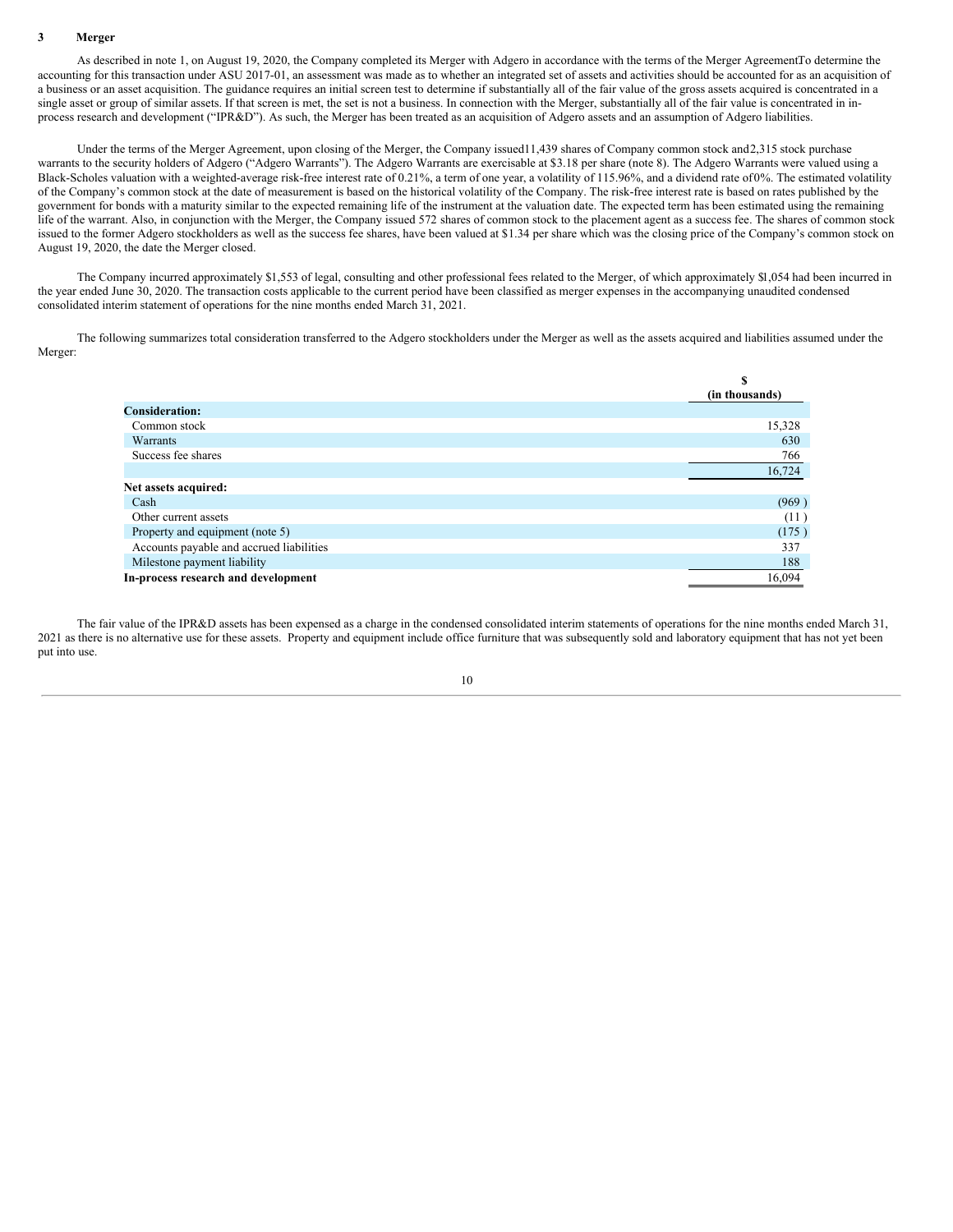# **3 Merger**

As described in note 1, on August 19, 2020, the Company completed its Merger with Adgero in accordance with the terms of the Merger AgreementTo determine the accounting for this transaction under ASU 2017-01, an assessment was made as to whether an integrated set of assets and activities should be accounted for as an acquisition of a business or an asset acquisition. The guidance requires an initial screen test to determine if substantially all of the fair value of the gross assets acquired is concentrated in a single asset or group of similar assets. If that screen is met, the set is not a business. In connection with the Merger, substantially all of the fair value is concentrated in inprocess research and development ("IPR&D"). As such, the Merger has been treated as an acquisition of Adgero assets and an assumption of Adgero liabilities.

Under the terms of the Merger Agreement, upon closing of the Merger, the Company issued11,439 shares of Company common stock and2,315 stock purchase warrants to the security holders of Adgero ("Adgero Warrants"). The Adgero Warrants are exercisable at \$3.18 per share (note 8). The Adgero Warrants were valued using a Black-Scholes valuation with a weighted-average risk-free interest rate of 0.21%, a term of one year, a volatility of 115.96%, and a dividend rate of0%. The estimated volatility of the Company's common stock at the date of measurement is based on the historical volatility of the Company. The risk-free interest rate is based on rates published by the government for bonds with a maturity similar to the expected remaining life of the instrument at the valuation date. The expected term has been estimated using the remaining life of the warrant. Also, in conjunction with the Merger, the Company issued 572 shares of common stock to the placement agent as a success fee. The shares of common stock issued to the former Adgero stockholders as well as the success fee shares, have been valued at \$1.34 per share which was the closing price of the Company's common stock on August 19, 2020, the date the Merger closed.

The Company incurred approximately \$1,553 of legal, consulting and other professional fees related to the Merger, of which approximately \$1,054 had been incurred in the year ended June 30, 2020. The transaction costs applicable to the current period have been classified as merger expenses in the accompanying unaudited condensed consolidated interim statement of operations for the nine months ended March 31, 2021.

The following summarizes total consideration transferred to the Adgero stockholders under the Merger as well as the assets acquired and liabilities assumed under the Merger:

|                                          | S              |
|------------------------------------------|----------------|
|                                          | (in thousands) |
| <b>Consideration:</b>                    |                |
| Common stock                             | 15,328         |
| Warrants                                 | 630            |
| Success fee shares                       | 766            |
|                                          | 16,724         |
| Net assets acquired:                     |                |
| Cash                                     | (969)          |
| Other current assets                     | (11)           |
| Property and equipment (note 5)          | (175)          |
| Accounts payable and accrued liabilities | 337            |
| Milestone payment liability              | 188            |
| In-process research and development      | 16,094         |

The fair value of the IPR&D assets has been expensed as a charge in the condensed consolidated interim statements of operations for the nine months ended March 31, 2021 as there is no alternative use for these assets. Property and equipment include office furniture that was subsequently sold and laboratory equipment that has not yet been put into use.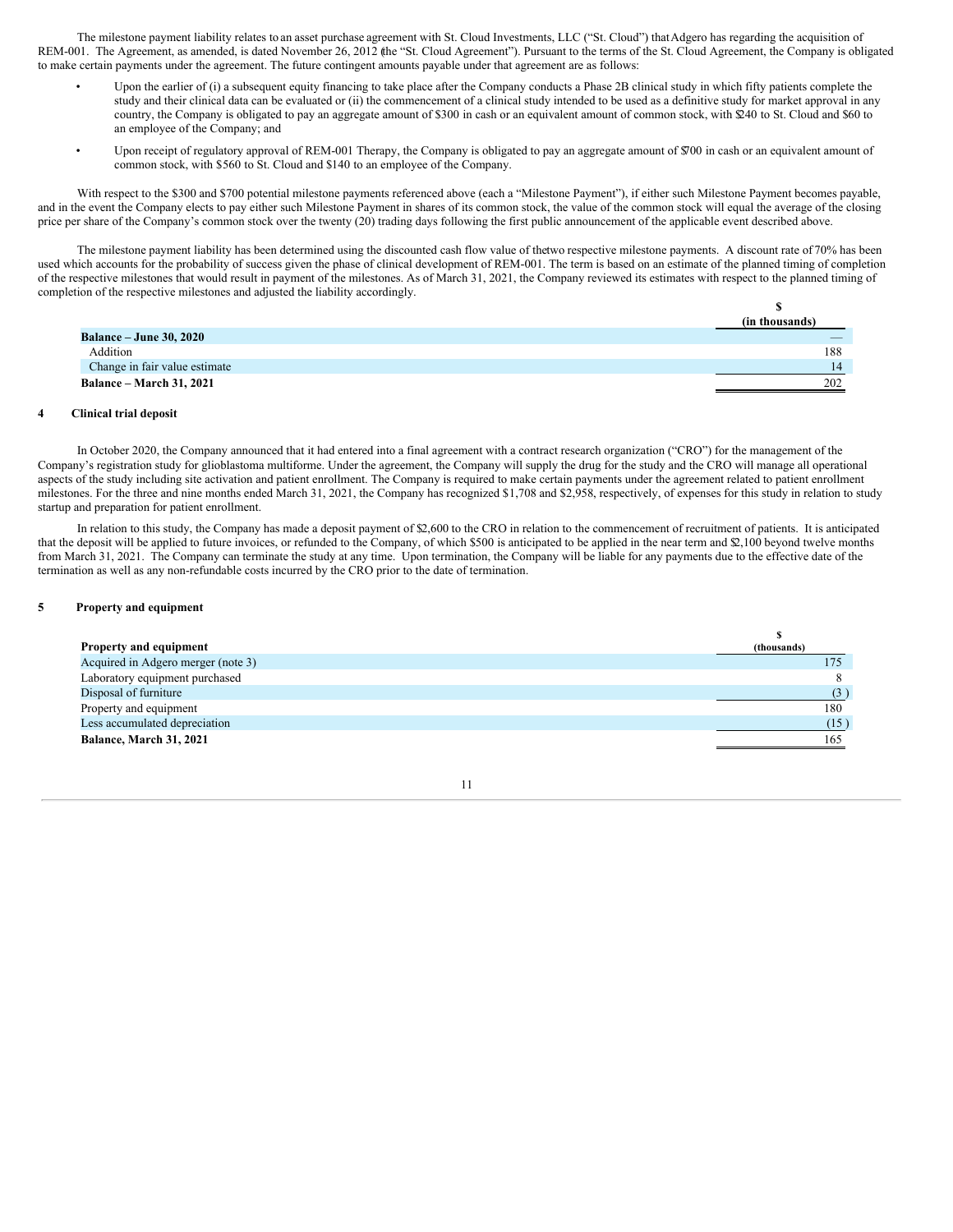The milestone payment liability relates to an asset purchase agreement with St. Cloud Investments, LLC ("St. Cloud") thatAdgero has regarding the acquisition of REM-001. The Agreement, as amended, is dated November 26, 2012 (the "St. Cloud Agreement"). Pursuant to the terms of the St. Cloud Agreement, the Company is obligated to make certain payments under the agreement. The future contingent amounts payable under that agreement are as follows:

- Upon the earlier of (i) a subsequent equity financing to take place after the Company conducts a Phase 2B clinical study in which fifty patients complete the study and their clinical data can be evaluated or (ii) the commencement of a clinical study intended to be used as a definitive study for market approval in any country, the Company is obligated to pay an aggregate amount of \$300 in cash or an equivalent amount of common stock, with \$240 to St. Cloud and \$60 to an employee of the Company; and
- Upon receipt of regulatory approval of REM-001 Therapy, the Company is obligated to pay an aggregate amount of \$700 in cash or an equivalent amount of common stock, with \$560 to St. Cloud and \$140 to an employee of the Company.

With respect to the \$300 and \$700 potential milestone payments referenced above (each a "Milestone Payment"), if either such Milestone Payment becomes payable, and in the event the Company elects to pay either such Milestone Payment in shares of its common stock, the value of the common stock will equal the average of the closing price per share of the Company's common stock over the twenty (20) trading days following the first public announcement of the applicable event described above.

The milestone payment liability has been determined using the discounted cash flow value of thetwo respective milestone payments. A discount rate of 70% has been used which accounts for the probability of success given the phase of clinical development of REM-001. The term is based on an estimate of the planned timing of completion of the respective milestones that would result in payment of the milestones. As of March 31, 2021, the Company reviewed its estimates with respect to the planned timing of completion of the respective milestones and adjusted the liability accordingly.

**\$**

|                                 | (in thousands) |
|---------------------------------|----------------|
| <b>Balance – June 30, 2020</b>  |                |
| Addition                        | 188            |
| Change in fair value estimate   | 14             |
| <b>Balance – March 31, 2021</b> | 202            |

#### **4 Clinical trial deposit**

In October 2020, the Company announced that it had entered into a final agreement with a contract research organization ("CRO") for the management of the Company's registration study for glioblastoma multiforme. Under the agreement, the Company will supply the drug for the study and the CRO will manage all operational aspects of the study including site activation and patient enrollment. The Company is required to make certain payments under the agreement related to patient enrollment milestones. For the three and nine months ended March 31, 2021, the Company has recognized \$1,708 and \$2,958, respectively, of expenses for this study in relation to study startup and preparation for patient enrollment.

In relation to this study, the Company has made a deposit payment of \$2,600 to the CRO in relation to the commencement of recruitment of patients. It is anticipated that the deposit will be applied to future invoices, or refunded to the Company, of which \$500 is anticipated to be applied in the near term and \$2,100 beyond twelve months from March 31, 2021. The Company can terminate the study at any time. Upon termination, the Company will be liable for any payments due to the effective date of the termination as well as any non-refundable costs incurred by the CRO prior to the date of termination.

# **5 Property and equipment**

| <b>Property and equipment</b>      | (thousands) |
|------------------------------------|-------------|
| Acquired in Adgero merger (note 3) | 175         |
| Laboratory equipment purchased     |             |
| Disposal of furniture              |             |
| Property and equipment             | 180         |
| Less accumulated depreciation      | (15)        |
| Balance, March 31, 2021            | 165         |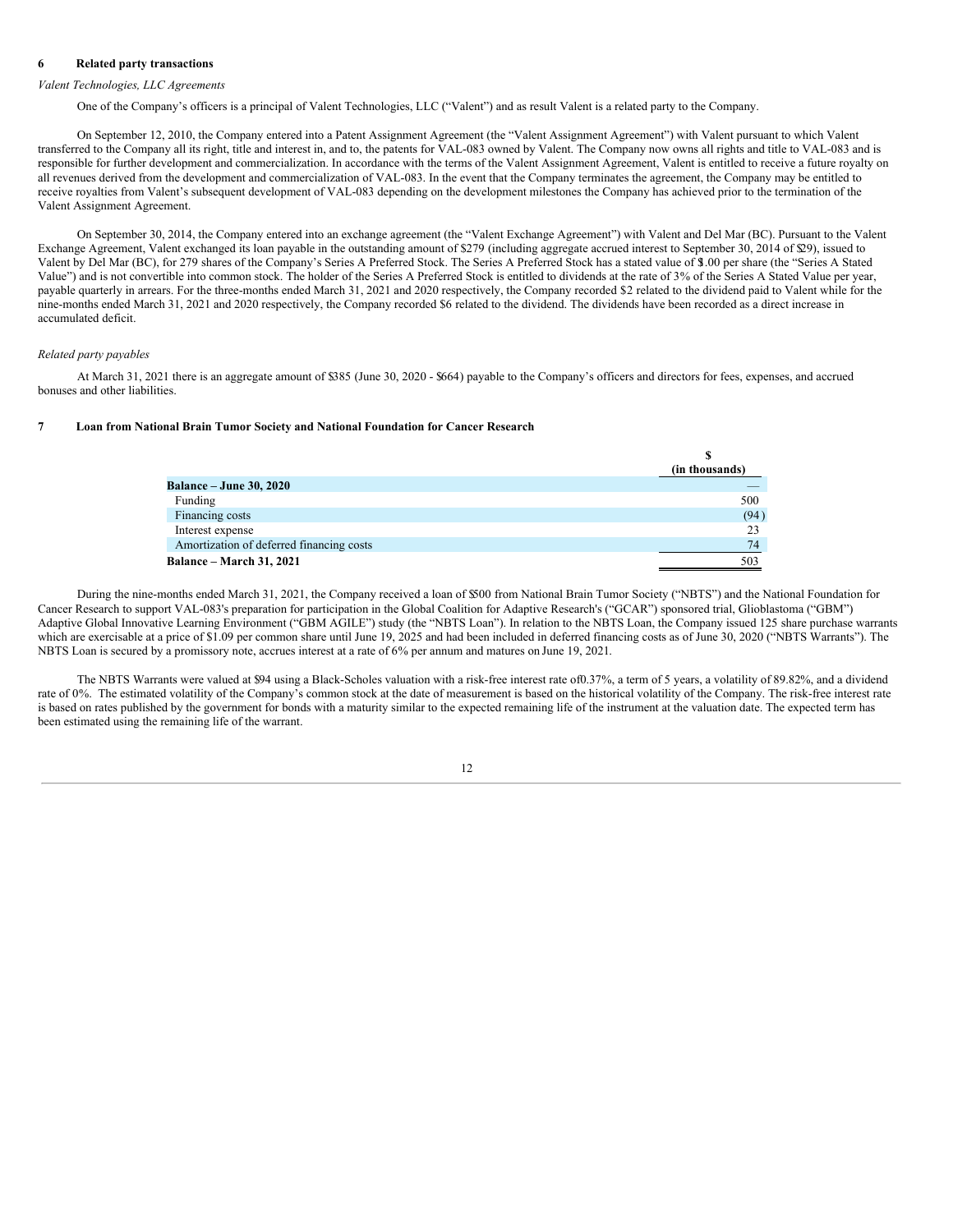#### **6 Related party transactions**

## *Valent Technologies, LLC Agreements*

One of the Company's officers is a principal of Valent Technologies, LLC ("Valent") and as result Valent is a related party to the Company.

On September 12, 2010, the Company entered into a Patent Assignment Agreement (the "Valent Assignment Agreement") with Valent pursuant to which Valent transferred to the Company all its right, title and interest in, and to, the patents for VAL-083 owned by Valent. The Company now owns all rights and title to VAL-083 and is responsible for further development and commercialization. In accordance with the terms of the Valent Assignment Agreement, Valent is entitled to receive a future royalty on all revenues derived from the development and commercialization of VAL-083. In the event that the Company terminates the agreement, the Company may be entitled to receive royalties from Valent's subsequent development of VAL-083 depending on the development milestones the Company has achieved prior to the termination of the Valent Assignment Agreement.

On September 30, 2014, the Company entered into an exchange agreement (the "Valent Exchange Agreement") with Valent and Del Mar (BC). Pursuant to the Valent Exchange Agreement, Valent exchanged its loan payable in the outstanding amount of \$279 (including aggregate accrued interest to September 30, 2014 of \$29), issued to Valent by Del Mar (BC), for 279 shares of the Company's Series A Preferred Stock. The Series A Preferred Stock has a stated value of \$1.00 per share (the "Series A Stated Value") and is not convertible into common stock. The holder of the Series A Preferred Stock is entitled to dividends at the rate of 3% of the Series A Stated Value per year, payable quarterly in arrears. For the three-months ended March 31, 2021 and 2020 respectively, the Company recorded \$2 related to the dividend paid to Valent while for the nine-months ended March 31, 2021 and 2020 respectively, the Company recorded \$6 related to the dividend. The dividends have been recorded as a direct increase in accumulated deficit.

#### *Related party payables*

At March 31, 2021 there is an aggregate amount of \$385 (June 30, 2020 - \$664) payable to the Company's officers and directors for fees, expenses, and accrued bonuses and other liabilities.

# **7 Loan from National Brain Tumor Society and National Foundation for Cancer Research**

|                                          | (in thousands) |
|------------------------------------------|----------------|
| <b>Balance – June 30, 2020</b>           |                |
| Funding                                  | 500            |
| Financing costs                          | (94)           |
| Interest expense                         | 23             |
| Amortization of deferred financing costs | 74             |
| Balance – March 31, 2021                 | 503            |
|                                          |                |

During the nine-months ended March 31, 2021, the Company received a loan of \$500 from National Brain Tumor Society ("NBTS") and the National Foundation for Cancer Research to support VAL-083's preparation for participation in the Global Coalition for Adaptive Research's ("GCAR") sponsored trial, Glioblastoma ("GBM") Adaptive Global Innovative Learning Environment ("GBM AGILE") study (the "NBTS Loan"). In relation to the NBTS Loan, the Company issued 125 share purchase warrants which are exercisable at a price of \$1.09 per common share until June 19, 2025 and had been included in deferred financing costs as of June 30, 2020 ("NBTS Warrants"). The NBTS Loan is secured by a promissory note, accrues interest at a rate of 6% per annum and matures on June 19, 2021.

The NBTS Warrants were valued at \$94 using a Black-Scholes valuation with a risk-free interest rate of0.37%, a term of 5 years, a volatility of 89.82%, and a dividend rate of 0%. The estimated volatility of the Company's common stock at the date of measurement is based on the historical volatility of the Company. The risk-free interest rate is based on rates published by the government for bonds with a maturity similar to the expected remaining life of the instrument at the valuation date. The expected term has been estimated using the remaining life of the warrant.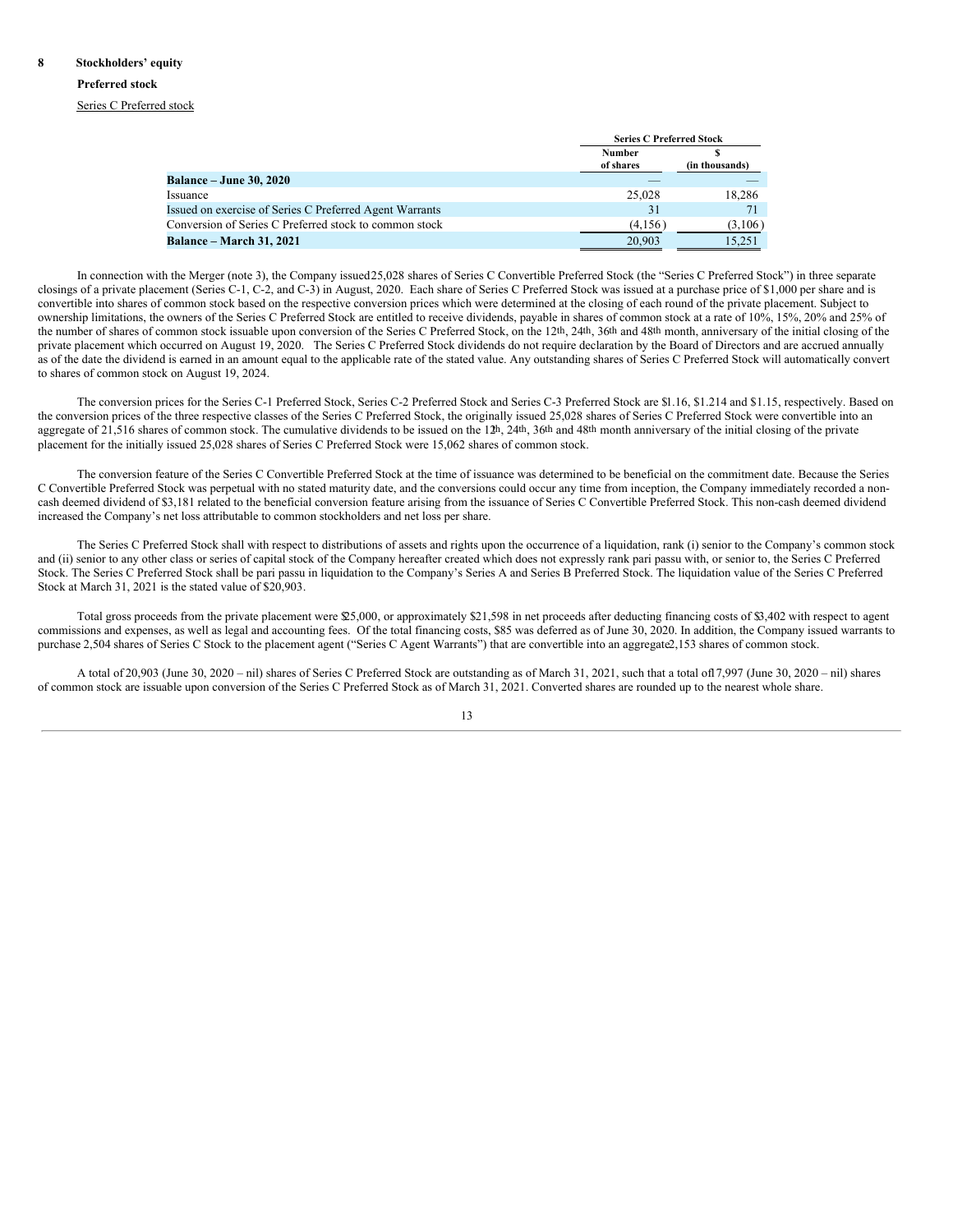# **8 Stockholders' equity**

# **Preferred stock**

Series C Preferred stock

|                                                         | <b>Series C Preferred Stock</b> |                |  |
|---------------------------------------------------------|---------------------------------|----------------|--|
|                                                         | Number<br>of shares             | (in thousands) |  |
| <b>Balance – June 30, 2020</b>                          |                                 |                |  |
| Issuance                                                | 25,028                          | 18,286         |  |
| Issued on exercise of Series C Preferred Agent Warrants | 31                              |                |  |
| Conversion of Series C Preferred stock to common stock  | (4,156)                         | (3,106)        |  |
| <b>Balance – March 31, 2021</b>                         | 20,903                          | 15.251         |  |

In connection with the Merger (note 3), the Company issued 25,028 shares of Series C Convertible Preferred Stock (the "Series C Preferred Stock") in three separate closings of a private placement (Series C-1, C-2, and C-3) in August, 2020. Each share of Series C Preferred Stock was issued at a purchase price of \$1,000 per share and is convertible into shares of common stock based on the respective conversion prices which were determined at the closing of each round of the private placement. Subject to ownership limitations, the owners of the Series C Preferred Stock are entitled to receive dividends, payable in shares of common stock at a rate of 10%, 15%, 20% and 25% of the number of shares of common stock issuable upon conversion of the Series C Preferred Stock, on the 12th, 24th, 36th and 48th month, anniversary of the initial closing of the private placement which occurred on August 19, 2020. The Series C Preferred Stock dividends do not require declaration by the Board of Directors and are accrued annually as of the date the dividend is earned in an amount equal to the applicable rate of the stated value. Any outstanding shares of Series C Preferred Stock will automatically convert to shares of common stock on August 19, 2024.

The conversion prices for the Series C-1 Preferred Stock, Series C-2 Preferred Stock and Series C-3 Preferred Stock are \$1.16, \$1.214 and \$1.15, respectively. Based on the conversion prices of the three respective classes of the Series C Preferred Stock, the originally issued 25,028 shares of Series C Preferred Stock were convertible into an aggregate of  $21,516$  shares of common stock. The cumulative dividends to be issued on the  $12h$ ,  $24th$ ,  $36th$  and  $48th$  month anniversary of the initial closing of the private placement for the initially issued 25,028 shares of Series C Preferred Stock were 15,062 shares of common stock.

The conversion feature of the Series C Convertible Preferred Stock at the time of issuance was determined to be beneficial on the commitment date. Because the Series C Convertible Preferred Stock was perpetual with no stated maturity date, and the conversions could occur any time from inception, the Company immediately recorded a noncash deemed dividend of \$3,181 related to the beneficial conversion feature arising from the issuance of Series C Convertible Preferred Stock. This non-cash deemed dividend increased the Company's net loss attributable to common stockholders and net loss per share.

The Series C Preferred Stock shall with respect to distributions of assets and rights upon the occurrence of a liquidation, rank (i) senior to the Company's common stock and (ii) senior to any other class or series of capital stock of the Company hereafter created which does not expressly rank pari passu with, or senior to, the Series C Preferred Stock. The Series C Preferred Stock shall be pari passu in liquidation to the Company's Series A and Series B Preferred Stock. The liquidation value of the Series C Preferred Stock at March 31, 2021 is the stated value of \$20,903.

Total gross proceeds from the private placement were \$25,000, or approximately \$21,598 in net proceeds after deducting financing costs of \$3,402 with respect to agent commissions and expenses, as well as legal and accounting fees. Of the total financing costs, \$85 was deferred as of June 30, 2020. In addition, the Company issued warrants to purchase 2,504 shares of Series C Stock to the placement agent ("Series C Agent Warrants") that are convertible into an aggregate2,153 shares of common stock.

A total of 20,903 (June 30, 2020 – nil) shares of Series C Preferred Stock are outstanding as of March 31, 2021, such that a total of17,997 (June 30, 2020 – nil) shares of common stock are issuable upon conversion of the Series C Preferred Stock as of March 31, 2021. Converted shares are rounded up to the nearest whole share.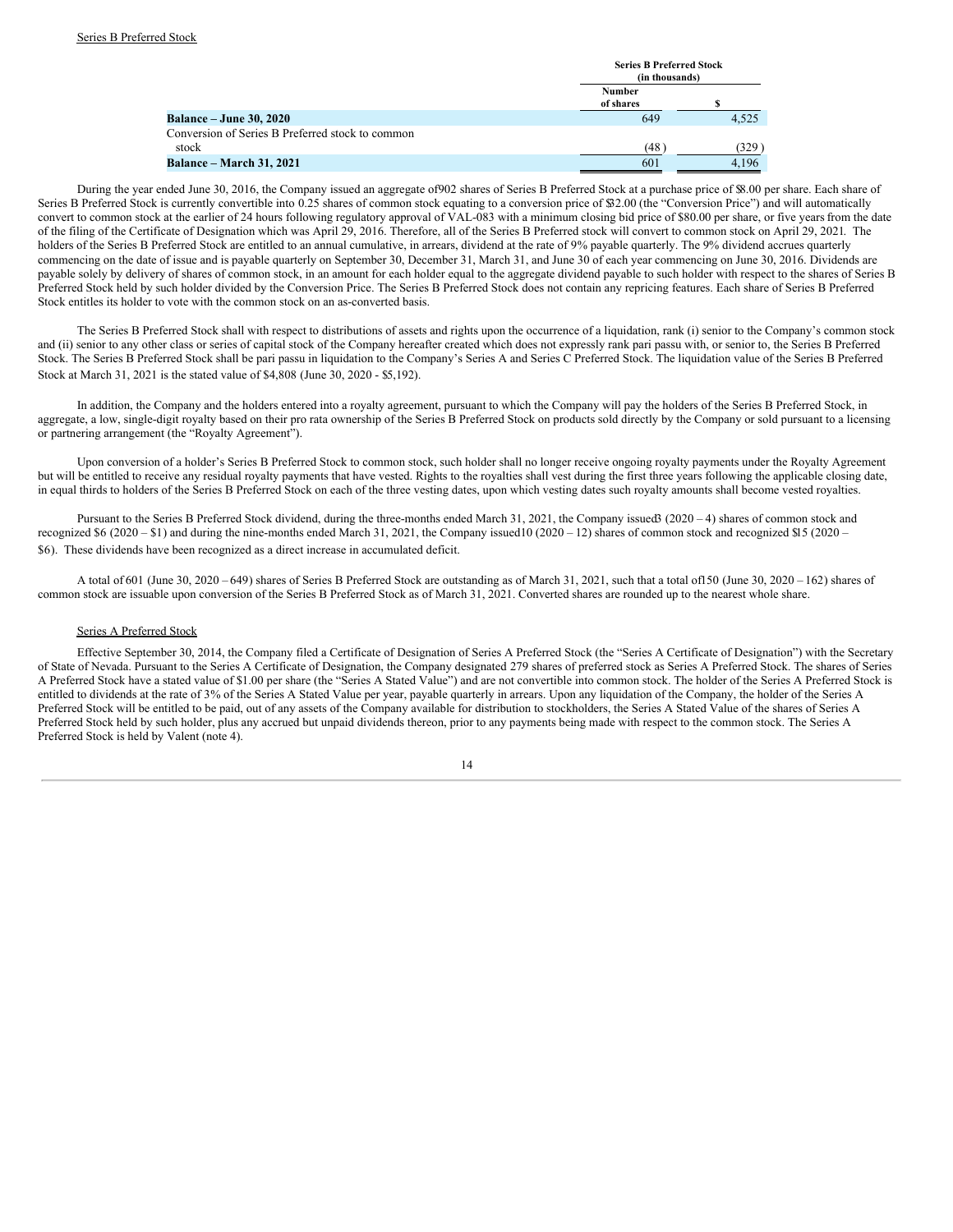|                                                  | <b>Series B Preferred Stock</b><br>(in thousands) |       |  |
|--------------------------------------------------|---------------------------------------------------|-------|--|
|                                                  | Number<br>of shares                               |       |  |
| <b>Balance – June 30, 2020</b>                   | 649                                               | 4.525 |  |
| Conversion of Series B Preferred stock to common |                                                   |       |  |
| stock                                            | (48                                               | (329) |  |
| <b>Balance – March 31, 2021</b>                  | 601                                               | 4.196 |  |

During the year ended June 30, 2016, the Company issued an aggregate of902 shares of Series B Preferred Stock at a purchase price of \$8.00 per share. Each share of Series B Preferred Stock is currently convertible into 0.25 shares of common stock equating to a conversion price of \$32.00 (the "Conversion Price") and will automatically convert to common stock at the earlier of 24 hours following regulatory approval of VAL-083 with a minimum closing bid price of \$80.00 per share, or five yearsfrom the date of the filing of the Certificate of Designation which was April 29, 2016. Therefore, all of the Series B Preferred stock will convert to common stock on April 29, 2021. The holders of the Series B Preferred Stock are entitled to an annual cumulative, in arrears, dividend at the rate of 9% payable quarterly. The 9% dividend accrues quarterly commencing on the date of issue and is payable quarterly on September 30, December 31, March 31, and June 30 of each year commencing on June 30, 2016. Dividends are payable solely by delivery of shares of common stock, in an amount for each holder equal to the aggregate dividend payable to such holder with respect to the shares of Series B Preferred Stock held by such holder divided by the Conversion Price. The Series B Preferred Stock does not contain any repricing features. Each share of Series B Preferred Stock entitles its holder to vote with the common stock on an as-converted basis.

The Series B Preferred Stock shall with respect to distributions of assets and rights upon the occurrence of a liquidation, rank (i) senior to the Company's common stock and (ii) senior to any other class or series of capital stock of the Company hereafter created which does not expressly rank pari passu with, or senior to, the Series B Preferred Stock. The Series B Preferred Stock shall be pari passu in liquidation to the Company's Series A and Series C Preferred Stock. The liquidation value of the Series B Preferred Stock at March 31, 2021 is the stated value of \$4,808 (June 30, 2020 - \$5,192).

In addition, the Company and the holders entered into a royalty agreement, pursuant to which the Company will pay the holders of the Series B Preferred Stock, in aggregate, a low, single-digit royalty based on their pro rata ownership of the Series B Preferred Stock on products sold directly by the Company or sold pursuant to a licensing or partnering arrangement (the "Royalty Agreement").

Upon conversion of a holder's Series B Preferred Stock to common stock, such holder shall no longer receive ongoing royalty payments under the Royalty Agreement but will be entitled to receive any residual royalty payments that have vested. Rights to the royalties shall vest during the first three years following the applicable closing date, in equal thirds to holders of the Series B Preferred Stock on each of the three vesting dates, upon which vesting dates such royalty amounts shall become vested royalties.

Pursuant to the Series B Preferred Stock dividend, during the three-months ended March 31, 2021, the Company issued3 (2020 – 4) shares of common stock and recognized \$6 (2020 – \$1) and during the nine-months ended March 31, 2021, the Company issued10 (2020 – 12) shares of common stock and recognized \$15 (2020 – \$6). These dividends have been recognized as a direct increase in accumulated deficit.

A total of 601 (June 30, 2020 – 649) shares of Series B Preferred Stock are outstanding as of March 31, 2021, such that a total of150 (June 30, 2020 – 162) shares of common stock are issuable upon conversion of the Series B Preferred Stock as of March 31, 2021. Converted shares are rounded up to the nearest whole share.

# Series A Preferred Stock

Effective September 30, 2014, the Company filed a Certificate of Designation of Series A Preferred Stock (the "Series A Certificate of Designation") with the Secretary of State of Nevada. Pursuant to the Series A Certificate of Designation, the Company designated 279 shares of preferred stock as Series A Preferred Stock. The shares of Series A Preferred Stock have a stated value of \$1.00 per share (the "Series A Stated Value") and are not convertible into common stock. The holder of the Series A Preferred Stock is entitled to dividends at the rate of 3% of the Series A Stated Value per year, payable quarterly in arrears. Upon any liquidation of the Company, the holder of the Series A Preferred Stock will be entitled to be paid, out of any assets of the Company available for distribution to stockholders, the Series A Stated Value of the shares of Series A Preferred Stock held by such holder, plus any accrued but unpaid dividends thereon, prior to any payments being made with respect to the common stock. The Series A Preferred Stock is held by Valent (note 4).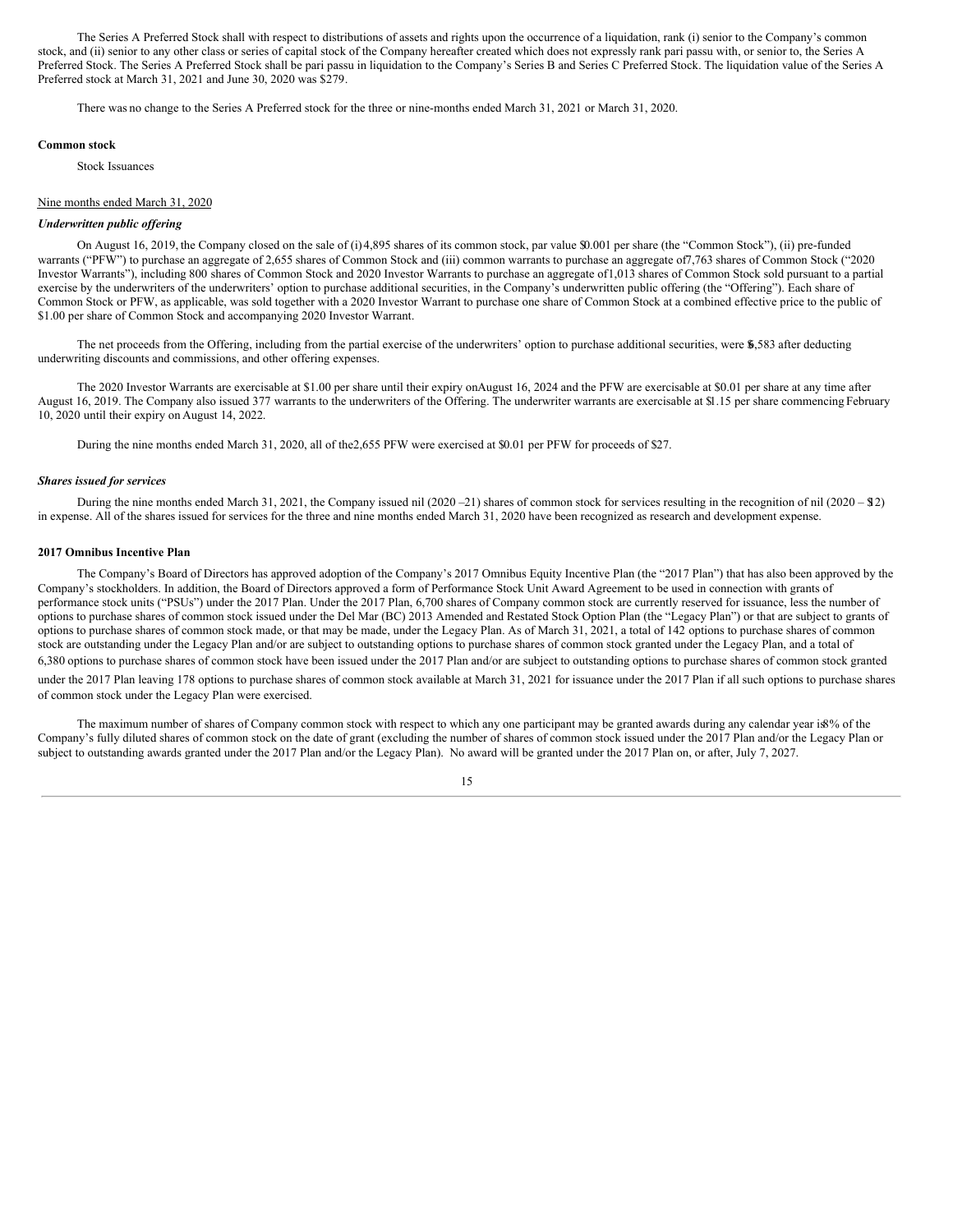The Series A Preferred Stock shall with respect to distributions of assets and rights upon the occurrence of a liquidation, rank (i) senior to the Company's common stock, and (ii) senior to any other class or series of capital stock of the Company hereafter created which does not expressly rank pari passu with, or senior to, the Series A Preferred Stock. The Series A Preferred Stock shall be pari passu in liquidation to the Company's Series B and Series C Preferred Stock. The liquidation value of the Series A Preferred stock at March 31, 2021 and June 30, 2020 was \$279.

There was no change to the Series A Preferred stock for the three or nine-months ended March 31, 2021 or March 31, 2020.

#### **Common stock**

Stock Issuances

# Nine months ended March 31, 2020

#### *Underwritten public of ering*

On August 16, 2019, the Company closed on the sale of (i)4,895 shares of its common stock, par value \$0.001 per share (the "Common Stock"), (ii) pre-funded warrants ("PFW") to purchase an aggregate of 2,655 shares of Common Stock and (iii) common warrants to purchase an aggregate of7,763 shares of Common Stock ("2020 Investor Warrants"), including 800 shares of Common Stock and 2020 Investor Warrants to purchase an aggregate of1,013 shares of Common Stock sold pursuant to a partial exercise by the underwriters of the underwriters' option to purchase additional securities, in the Company's underwritten public offering (the "Offering"). Each share of Common Stock or PFW, as applicable, was sold together with a 2020 Investor Warrant to purchase one share of Common Stock at a combined effective price to the public of \$1.00 per share of Common Stock and accompanying 2020 Investor Warrant.

The net proceeds from the Offering, including from the partial exercise of the underwriters' option to purchase additional securities, were \$,583 after deducting underwriting discounts and commissions, and other offering expenses.

The 2020 Investor Warrants are exercisable at \$1.00 per share until their expiry onAugust 16, 2024 and the PFW are exercisable at \$0.01 per share at any time after August 16, 2019. The Company also issued 377 warrants to the underwriters of the Offering. The underwriter warrants are exercisable at \$1.15 per share commencing February 10, 2020 until their expiry on August 14, 2022.

During the nine months ended March 31, 2020, all of the2,655 PFW were exercised at \$0.01 per PFW for proceeds of \$27.

#### *Shares issued for services*

During the nine months ended March 31, 2021, the Company issued nil (2020 –21) shares of common stock for services resulting in the recognition of nil (2020 –  $\text{\$2)}$ in expense. All of the shares issued for services for the three and nine months ended March 31, 2020 have been recognized as research and development expense.

#### **2017 Omnibus Incentive Plan**

The Company's Board of Directors has approved adoption of the Company's 2017 Omnibus Equity Incentive Plan (the "2017 Plan") that has also been approved by the Company's stockholders. In addition, the Board of Directors approved a form of Performance Stock Unit Award Agreement to be used in connection with grants of performance stock units ("PSUs") under the 2017 Plan. Under the 2017 Plan, 6,700 shares of Company common stock are currently reserved for issuance, less the number of options to purchase shares of common stock issued under the Del Mar (BC) 2013 Amended and Restated Stock Option Plan (the "Legacy Plan") or that are subject to grants of options to purchase shares of common stock made, or that may be made, under the Legacy Plan. As of March 31, 2021, a total of 142 options to purchase shares of common stock are outstanding under the Legacy Plan and/or are subject to outstanding options to purchase shares of common stock granted under the Legacy Plan, and a total of 6,380 options to purchase shares of common stock have been issued under the 2017 Plan and/or are subject to outstanding options to purchase shares of common stock granted under the 2017 Plan leaving 178 options to purchase shares of common stock available at March 31, 2021 for issuance under the 2017 Plan if all such options to purchase shares of common stock under the Legacy Plan were exercised.

The maximum number of shares of Company common stock with respect to which any one participant may be granted awards during any calendar year is8% of the Company's fully diluted shares of common stock on the date of grant (excluding the number of shares of common stock issued under the 2017 Plan and/or the Legacy Plan or subject to outstanding awards granted under the 2017 Plan and/or the Legacy Plan). No award will be granted under the 2017 Plan on, or after, July 7, 2027.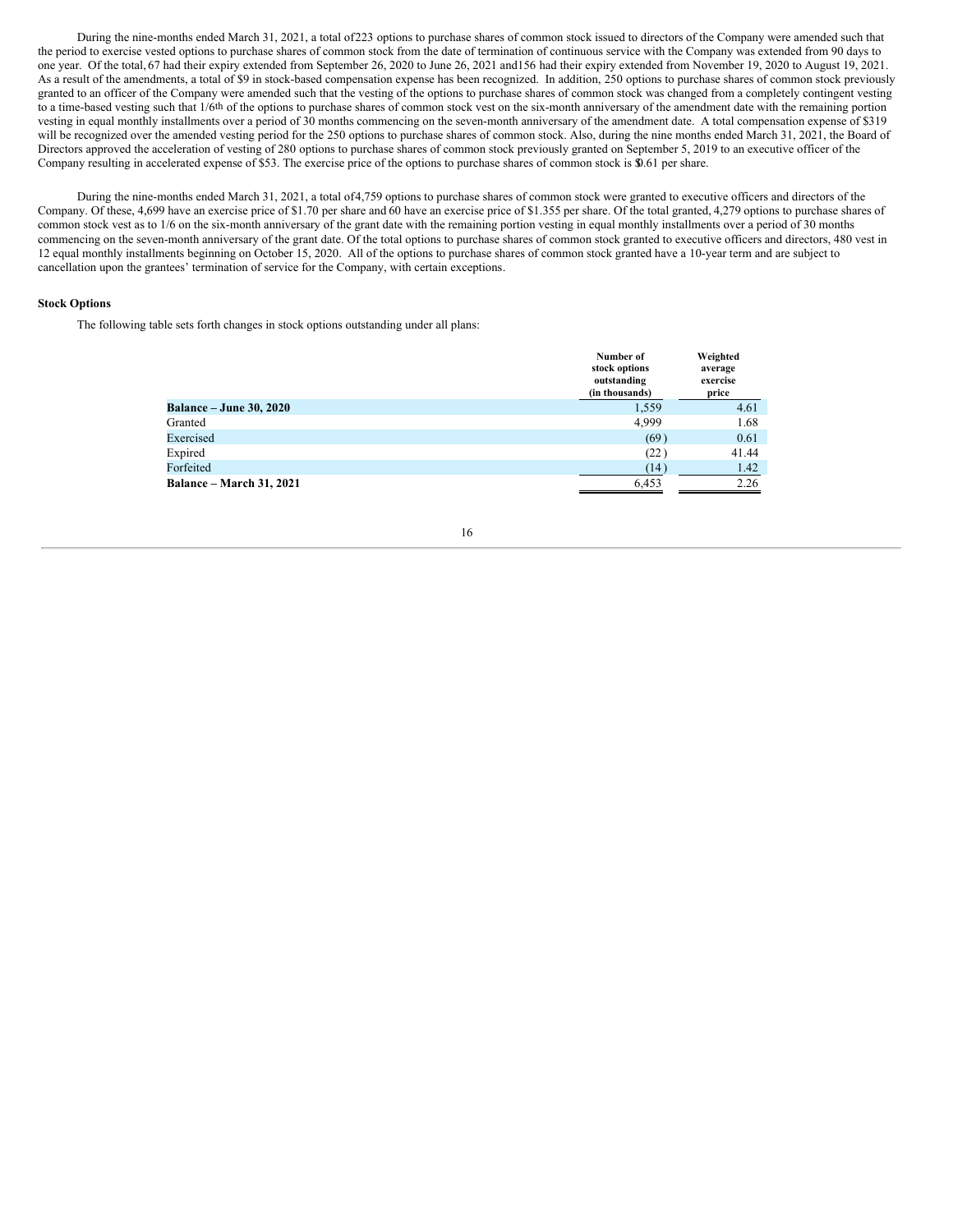During the nine-months ended March 31, 2021, a total of223 options to purchase shares of common stock issued to directors of the Company were amended such that the period to exercise vested options to purchase shares of common stock from the date of termination of continuous service with the Company was extended from 90 days to one year. Of the total, 67 had their expiry extended from September 26, 2020 to June 26, 2021 and156 had their expiry extended from November 19, 2020 to August 19, 2021. As a result of the amendments, a total of \$9 in stock-based compensation expense has been recognized. In addition, 250 options to purchase shares of common stock previously granted to an officer of the Company were amended such that the vesting of the options to purchase shares of common stock was changed from a completely contingent vesting to a time-based vesting such that 1/6th of the options to purchase shares of common stock vest on the six-month anniversary of the amendment date with the remaining portion vesting in equal monthly installments over a period of 30 months commencing on the seven-month anniversary of the amendment date. A total compensation expense of \$319 will be recognized over the amended vesting period for the 250 options to purchase shares of common stock. Also, during the nine months ended March 31, 2021, the Board of Directors approved the acceleration of vesting of 280 options to purchase shares of common stock previously granted on September 5, 2019 to an executive officer of the Company resulting in accelerated expense of \$53. The exercise price of the options to purchase shares of common stock is \$0.61 per share.

During the nine-months ended March 31, 2021, a total of4,759 options to purchase shares of common stock were granted to executive officers and directors of the Company. Of these, 4,699 have an exercise price of \$1.70 per share and 60 have an exercise price of \$1.355 per share. Of the total granted, 4,279 options to purchase shares of common stock vest as to 1/6 on the six-month anniversary of the grant date with the remaining portion vesting in equal monthly installments over a period of 30 months commencing on the seven-month anniversary of the grant date. Of the total options to purchase shares of common stock granted to executive officers and directors, 480 vest in 12 equal monthly installments beginning on October 15, 2020. All of the options to purchase shares of common stock granted have a 10-year term and are subject to cancellation upon the grantees' termination of service for the Company, with certain exceptions.

#### **Stock Options**

The following table sets forth changes in stock options outstanding under all plans:

|                                 | Number of<br>stock options<br>outstanding<br>(in thousands) | Weighted<br>average<br>exercise<br>price |
|---------------------------------|-------------------------------------------------------------|------------------------------------------|
| <b>Balance – June 30, 2020</b>  | 1,559                                                       | 4.61                                     |
| Granted                         | 4,999                                                       | 1.68                                     |
| Exercised                       | (69)                                                        | 0.61                                     |
| Expired                         | (22)                                                        | 41.44                                    |
| Forfeited                       | (14)                                                        | 1.42                                     |
| <b>Balance – March 31, 2021</b> | 6,453                                                       | 2.26                                     |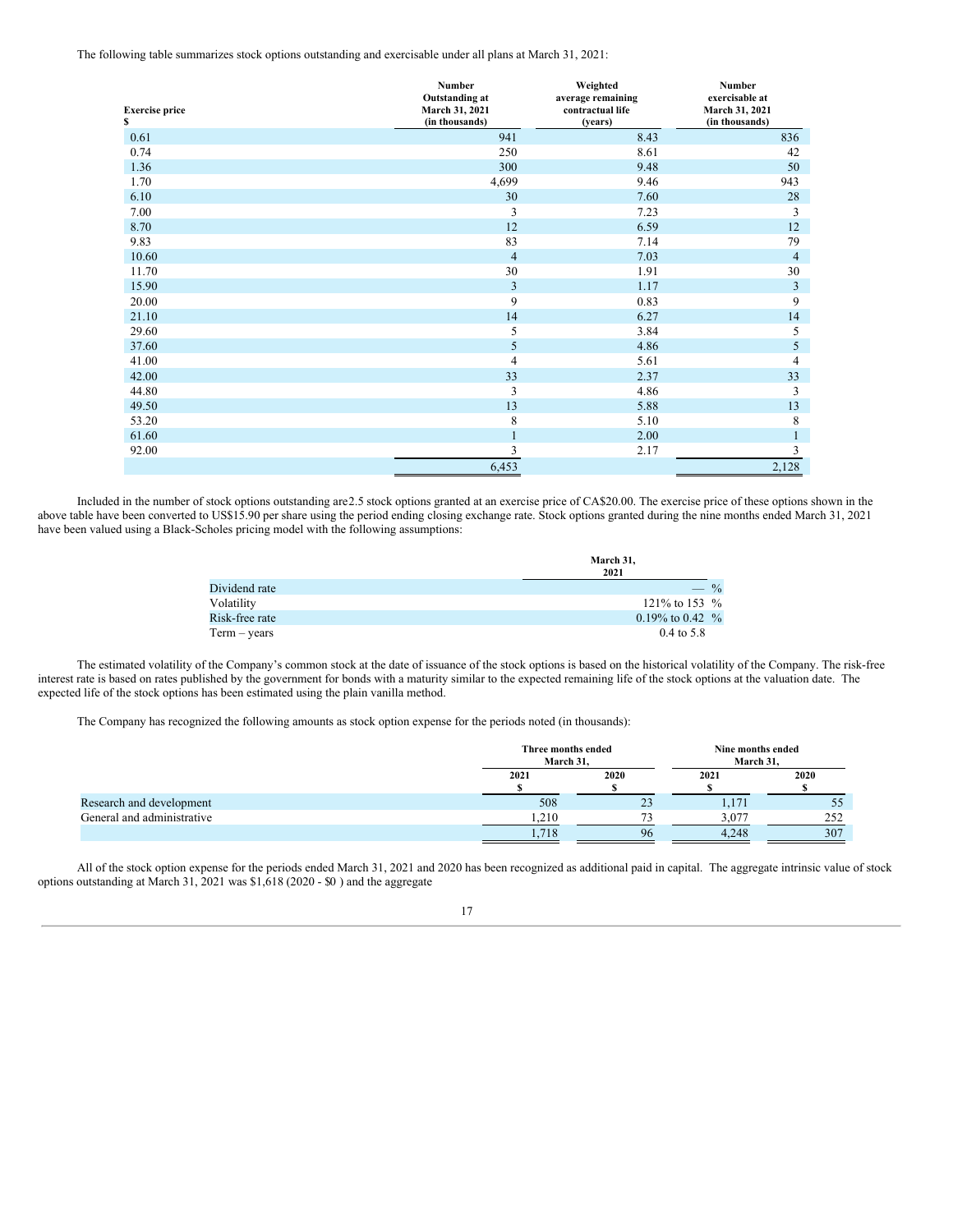The following table summarizes stock options outstanding and exercisable under all plans at March 31, 2021:

| <b>Exercise price</b><br>Ś | <b>Number</b><br><b>Outstanding at</b><br>March 31, 2021<br>(in thousands) | Weighted<br>average remaining<br>contractual life<br>(vears) | <b>Number</b><br>exercisable at<br>March 31, 2021<br>(in thousands) |
|----------------------------|----------------------------------------------------------------------------|--------------------------------------------------------------|---------------------------------------------------------------------|
| 0.61                       | 941                                                                        | 8.43                                                         | 836                                                                 |
| 0.74                       | 250                                                                        | 8.61                                                         | 42                                                                  |
| 1.36                       | 300                                                                        | 9.48                                                         | 50                                                                  |
| 1.70                       | 4,699                                                                      | 9.46                                                         | 943                                                                 |
| 6.10                       | 30                                                                         | 7.60                                                         | 28                                                                  |
| 7.00                       | 3                                                                          | 7.23                                                         | 3                                                                   |
| 8.70                       | 12                                                                         | 6.59                                                         | 12                                                                  |
| 9.83                       | 83                                                                         | 7.14                                                         | 79                                                                  |
| 10.60                      | $\overline{4}$                                                             | 7.03                                                         | $\overline{4}$                                                      |
| 11.70                      | 30                                                                         | 1.91                                                         | 30                                                                  |
| 15.90                      | 3                                                                          | 1.17                                                         | 3                                                                   |
| 20.00                      | 9                                                                          | 0.83                                                         | 9                                                                   |
| 21.10                      | 14                                                                         | 6.27                                                         | 14                                                                  |
| 29.60                      | 5                                                                          | 3.84                                                         | 5                                                                   |
| 37.60                      | 5                                                                          | 4.86                                                         | 5                                                                   |
| 41.00                      | $\overline{4}$                                                             | 5.61                                                         | $\overline{4}$                                                      |
| 42.00                      | 33                                                                         | 2.37                                                         | 33                                                                  |
| 44.80                      | 3                                                                          | 4.86                                                         | 3                                                                   |
| 49.50                      | 13                                                                         | 5.88                                                         | 13                                                                  |
| 53.20                      | 8                                                                          | 5.10                                                         | 8                                                                   |
| 61.60                      | $\mathbf{1}$                                                               | 2.00                                                         | $\mathbf{1}$                                                        |
| 92.00                      | 3                                                                          | 2.17                                                         | 3                                                                   |
|                            | 6,453                                                                      |                                                              | 2,128                                                               |

Included in the number of stock options outstanding are 2.5 stock options granted at an exercise price of CA\$20.00. The exercise price of these options shown in the above table have been converted to US\$15.90 per share using the period ending closing exchange rate. Stock options granted during the nine months ended March 31, 2021 have been valued using a Black-Scholes pricing model with the following assumptions:

|                | March 31,<br>2021                |
|----------------|----------------------------------|
| Dividend rate  | $\%$<br>$\overline{\phantom{0}}$ |
| Volatility     | 121\% to 153 \%                  |
| Risk-free rate | 0.19% to 0.42 %                  |
| $Term - years$ | $0.4 \text{ to } 5.8$            |

The estimated volatility of the Company's common stock at the date of issuance of the stock options is based on the historical volatility of the Company. The risk-free interest rate is based on rates published by the government for bonds with a maturity similar to the expected remaining life of the stock options at the valuation date. The expected life of the stock options has been estimated using the plain vanilla method.

The Company has recognized the following amounts as stock option expense for the periods noted (in thousands):

|                            |       | Three months ended<br>March 31. |       | Nine months ended<br>March 31, |  |
|----------------------------|-------|---------------------------------|-------|--------------------------------|--|
|                            | 2021  | 2020                            | 2021  | 2020                           |  |
| Research and development   | 508   | 23                              | 1,171 | 55                             |  |
| General and administrative | .210  |                                 | 5.077 | 252                            |  |
|                            | 1,718 | 96                              | 4.248 | 307                            |  |

All of the stock option expense for the periods ended March 31, 2021 and 2020 has been recognized as additional paid in capital. The aggregate intrinsic value of stock options outstanding at March 31, 2021 was \$1,618 (2020 - \$0 ) and the aggregate

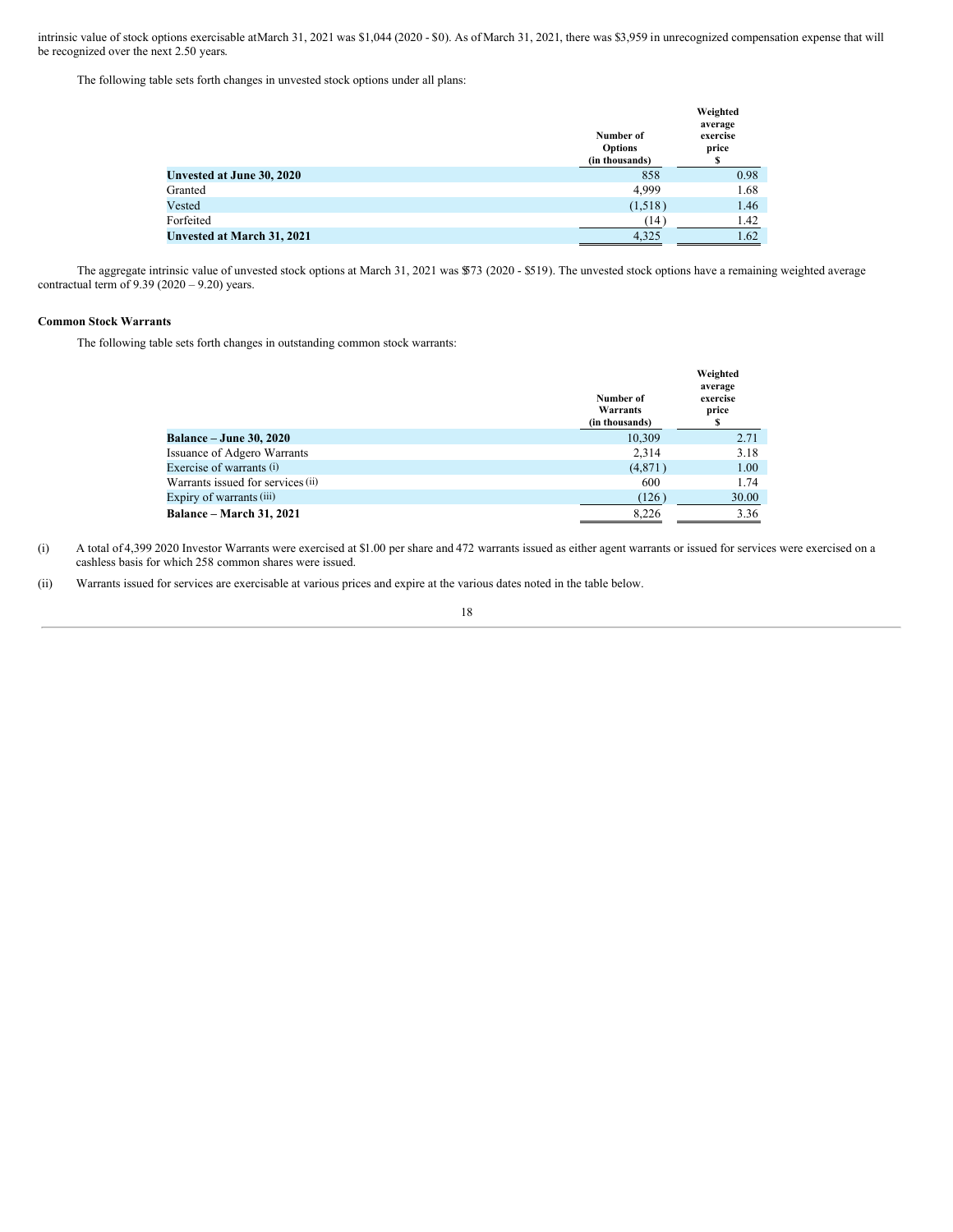intrinsic value of stock options exercisable atMarch 31, 2021 was \$1,044 (2020 - \$0). As of March 31, 2021, there was \$3,959 in unrecognized compensation expense that will be recognized over the next 2.50 years.

The following table sets forth changes in unvested stock options under all plans:

|                            | Number of<br><b>Options</b><br>(in thousands) | Weighted<br>average<br>exercise<br>price |
|----------------------------|-----------------------------------------------|------------------------------------------|
| Unvested at June 30, 2020  | 858                                           | 0.98                                     |
| Granted                    | 4,999                                         | 1.68                                     |
| Vested                     | (1,518)                                       | 1.46                                     |
| Forfeited                  | (14)                                          | 1.42                                     |
| Unvested at March 31, 2021 | 4,325                                         | 1.62                                     |

The aggregate intrinsic value of unvested stock options at March 31, 2021 was \$573 (2020 - \$519). The unvested stock options have a remaining weighted average contractual term of  $9.39$  (2020 –  $9.20$ ) years.

# **Common Stock Warrants**

The following table sets forth changes in outstanding common stock warrants:

|                                    | Number of<br>Warrants<br>(in thousands) | Weighted<br>average<br>exercise<br>price |
|------------------------------------|-----------------------------------------|------------------------------------------|
| <b>Balance – June 30, 2020</b>     | 10.309                                  | 2.71                                     |
| <b>Issuance of Adgero Warrants</b> | 2,314                                   | 3.18                                     |
| Exercise of warrants (i)           | (4,871)                                 | 1.00                                     |
| Warrants issued for services (ii)  | 600                                     | 1.74                                     |
| Expiry of warrants (iii)           | (126)                                   | 30.00                                    |
| <b>Balance – March 31, 2021</b>    | 8,226                                   | 3.36                                     |

(i) A total of 4,399 2020 Investor Warrants were exercised at \$1.00 per share and 472 warrants issued as either agent warrants or issued for services were exercised on a cashless basis for which 258 common shares were issued.

(ii) Warrants issued for services are exercisable at various prices and expire at the various dates noted in the table below.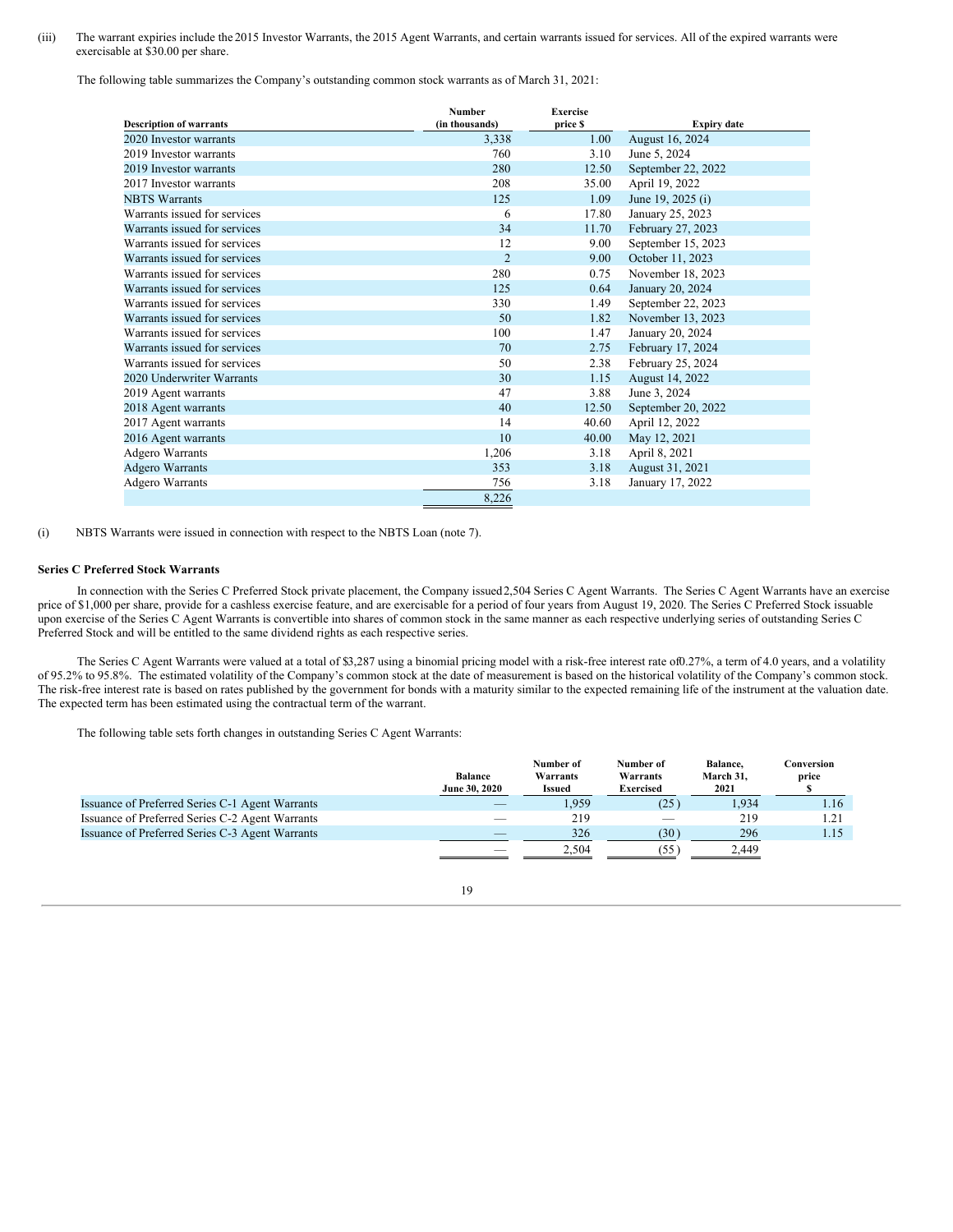(iii) The warrant expiries include the 2015 Investor Warrants, the 2015 Agent Warrants, and certain warrants issued for services. All of the expired warrants were exercisable at \$30.00 per share.

The following table summarizes the Company's outstanding common stock warrants as of March 31, 2021:

| <b>Description of warrants</b> | <b>Number</b><br>(in thousands) | <b>Exercise</b><br>price \$ | <b>Expiry date</b> |
|--------------------------------|---------------------------------|-----------------------------|--------------------|
| 2020 Investor warrants         | 3,338                           | 1.00                        | August 16, 2024    |
| 2019 Investor warrants         | 760                             | 3.10                        | June 5, 2024       |
| 2019 Investor warrants         | 280                             | 12.50                       | September 22, 2022 |
| 2017 Investor warrants         | 208                             | 35.00                       | April 19, 2022     |
| <b>NBTS</b> Warrants           | 125                             | 1.09                        | June 19, 2025 (i)  |
| Warrants issued for services   | 6                               | 17.80                       | January 25, 2023   |
| Warrants issued for services   | 34                              | 11.70                       | February 27, 2023  |
| Warrants issued for services   | 12                              | 9.00                        | September 15, 2023 |
| Warrants issued for services   | $\overline{2}$                  | 9.00                        | October 11, 2023   |
| Warrants issued for services   | 280                             | 0.75                        | November 18, 2023  |
| Warrants issued for services   | 125                             | 0.64                        | January 20, 2024   |
| Warrants issued for services   | 330                             | 1.49                        | September 22, 2023 |
| Warrants issued for services   | 50                              | 1.82                        | November 13, 2023  |
| Warrants issued for services   | 100                             | 1.47                        | January 20, 2024   |
| Warrants issued for services   | 70                              | 2.75                        | February 17, 2024  |
| Warrants issued for services   | 50                              | 2.38                        | February 25, 2024  |
| 2020 Underwriter Warrants      | 30                              | 1.15                        | August 14, 2022    |
| 2019 Agent warrants            | 47                              | 3.88                        | June 3, 2024       |
| 2018 Agent warrants            | 40                              | 12.50                       | September 20, 2022 |
| 2017 Agent warrants            | 14                              | 40.60                       | April 12, 2022     |
| 2016 Agent warrants            | 10                              | 40.00                       | May 12, 2021       |
| Adgero Warrants                | 1,206                           | 3.18                        | April 8, 2021      |
| <b>Adgero Warrants</b>         | 353                             | 3.18                        | August 31, 2021    |
| Adgero Warrants                | 756                             | 3.18                        | January 17, 2022   |
|                                | 8,226                           |                             |                    |

(i) NBTS Warrants were issued in connection with respect to the NBTS Loan (note 7).

#### **Series C Preferred Stock Warrants**

In connection with the Series C Preferred Stock private placement, the Company issued2,504 Series C Agent Warrants. The Series C Agent Warrants have an exercise price of \$1,000 per share, provide for a cashless exercise feature, and are exercisable for a period of four years from August 19, 2020. The Series C Preferred Stock issuable upon exercise of the Series C Agent Warrants is convertible into shares of common stock in the same manner as each respective underlying series of outstanding Series C Preferred Stock and will be entitled to the same dividend rights as each respective series.

The Series C Agent Warrants were valued at a total of \$3,287 using a binomial pricing model with a risk-free interest rate of0.27%, a term of 4.0 years, and a volatility of 95.2% to 95.8%. The estimated volatility of the Company's common stock at the date of measurement is based on the historical volatility of the Company's common stock. The risk-free interest rate is based on rates published by the government for bonds with a maturity similar to the expected remaining life of the instrument at the valuation date. The expected term has been estimated using the contractual term of the warrant.

The following table sets forth changes in outstanding Series C Agent Warrants:

|                                                 | <b>Balance</b><br><b>June 30, 2020</b> | Number of<br>Warrants<br><b>Issued</b> | Number of<br>Warrants<br><b>Exercised</b> | Balance.<br>March 31.<br>2021 | Conversion<br>price |
|-------------------------------------------------|----------------------------------------|----------------------------------------|-------------------------------------------|-------------------------------|---------------------|
| Issuance of Preferred Series C-1 Agent Warrants | ___                                    | 1,959                                  | (25)                                      | 1.934                         | 1.16                |
| Issuance of Preferred Series C-2 Agent Warrants |                                        | 219                                    |                                           | 219                           | 1.21                |
| Issuance of Preferred Series C-3 Agent Warrants |                                        | 326                                    | (30)                                      | 296                           | 1.15                |
|                                                 |                                        | 2.504                                  | (55)                                      | 2.449                         |                     |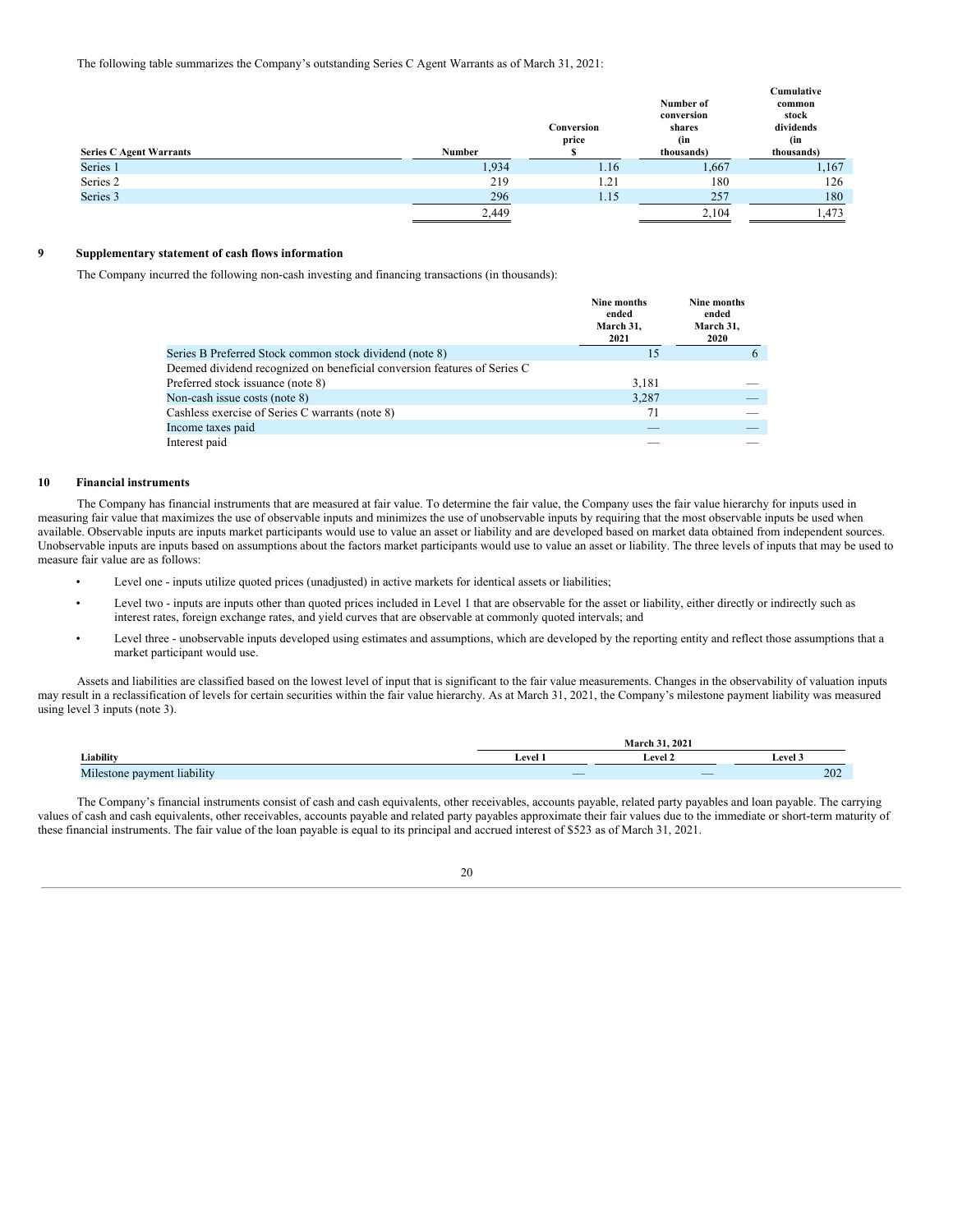The following table summarizes the Company's outstanding Series C Agent Warrants as of March 31, 2021:

| <b>Series C Agent Warrants</b> | <b>Number</b> | Conversion<br>price | Number of<br>conversion<br>shares<br>(in<br>thousands) | Cumulative<br>common<br>stock<br>dividends<br>(in<br>thousands) |
|--------------------------------|---------------|---------------------|--------------------------------------------------------|-----------------------------------------------------------------|
| Series 1                       | 1,934         | 1.16                | 1,667                                                  | 1,167                                                           |
| Series 2                       | 219           | 1.21                | 180                                                    | 126                                                             |
| Series 3                       | 296           | 1.15                | 257                                                    | 180                                                             |
|                                | 2,449         |                     | 2,104                                                  | 1,473                                                           |

#### **9 Supplementary statement of cash flows information**

The Company incurred the following non-cash investing and financing transactions (in thousands):

|                                                                          | Nine months<br>ended<br>March 31,<br>2021 | Nine months<br>ended<br>March 31,<br>2020 |
|--------------------------------------------------------------------------|-------------------------------------------|-------------------------------------------|
| Series B Preferred Stock common stock dividend (note 8)                  | 15                                        |                                           |
| Deemed dividend recognized on beneficial conversion features of Series C |                                           |                                           |
| Preferred stock issuance (note 8)                                        | 3,181                                     |                                           |
| Non-cash issue costs (note 8)                                            | 3.287                                     |                                           |
| Cashless exercise of Series C warrants (note 8)                          | 71                                        |                                           |
| Income taxes paid                                                        |                                           |                                           |
| Interest paid                                                            |                                           |                                           |

#### **10 Financial instruments**

The Company has financial instruments that are measured at fair value. To determine the fair value, the Company uses the fair value hierarchy for inputs used in measuring fair value that maximizes the use of observable inputs and minimizes the use of unobservable inputs by requiring that the most observable inputs be used when available. Observable inputs are inputs market participants would use to value an asset or liability and are developed based on market data obtained from independent sources. Unobservable inputs are inputs based on assumptions about the factors market participants would use to value an asset or liability. The three levels of inputs that may be used to measure fair value are as follows:

- Level one inputs utilize quoted prices (unadjusted) in active markets for identical assets or liabilities;
- Level two inputs are inputs other than quoted prices included in Level 1 that are observable for the asset or liability, either directly or indirectly such as interest rates, foreign exchange rates, and yield curves that are observable at commonly quoted intervals; and
- Level three unobservable inputs developed using estimates and assumptions, which are developed by the reporting entity and reflect those assumptions that a market participant would use.

Assets and liabilities are classified based on the lowest level of input that is significant to the fair value measurements. Changes in the observability of valuation inputs may result in a reclassification of levels for certain securities within the fair value hierarchy. As at March 31, 2021, the Company's milestone payment liability was measured using level 3 inputs (note 3).

|                             |                          | <b>March 31, 2021</b>    |                |
|-----------------------------|--------------------------|--------------------------|----------------|
| Liability                   | <b>Level</b> 1           | . .<br>Level 2           | <b>Level</b> 3 |
| Milestone payment liability | $\overline{\phantom{a}}$ | $\overline{\phantom{a}}$ | 202            |

The Company's financial instruments consist of cash and cash equivalents, other receivables, accounts payable, related party payables and loan payable. The carrying values of cash and cash equivalents, other receivables, accounts payable and related party payables approximate their fair values due to the immediate or short-term maturity of these financial instruments. The fair value of the loan payable is equal to its principal and accrued interest of \$523 as of March 31, 2021.

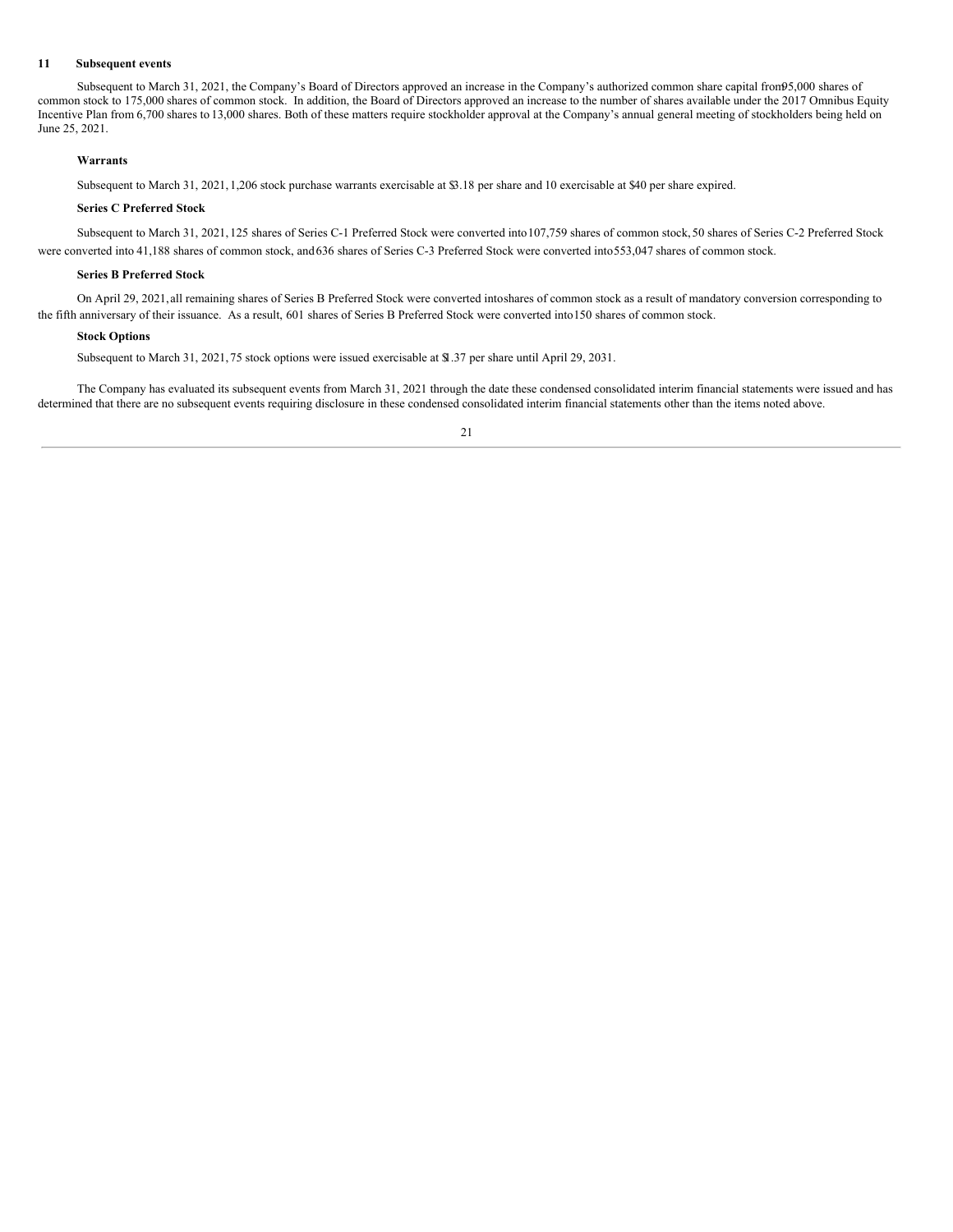# **11 Subsequent events**

Subsequent to March 31, 2021, the Company's Board of Directors approved an increase in the Company's authorized common share capital from95,000 shares of common stock to 175,000 shares of common stock. In addition, the Board of Directors approved an increase to the number of shares available under the 2017 Omnibus Equity Incentive Plan from 6,700 shares to 13,000 shares. Both of these matters require stockholder approval at the Company's annual general meeting of stockholders being held on June 25, 2021.

## **Warrants**

Subsequent to March 31, 2021,1,206 stock purchase warrants exercisable at \$3.18 per share and 10 exercisable at \$40 per share expired.

#### **Series C Preferred Stock**

Subsequent to March 31, 2021,125 shares of Series C-1 Preferred Stock were converted into107,759 shares of common stock,50 shares of Series C-2 Preferred Stock were converted into 41,188 shares of common stock, and636 shares of Series C-3 Preferred Stock were converted into553,047 shares of common stock.

# **Series B Preferred Stock**

On April 29, 2021, all remaining shares of Series B Preferred Stock were converted intoshares of common stock as a result of mandatory conversion corresponding to the fifth anniversary of their issuance. As a result, 601 shares of Series B Preferred Stock were converted into150 shares of common stock.

# **Stock Options**

Subsequent to March 31, 2021,75 stock options were issued exercisable at \$1.37 per share until April 29, 2031.

The Company has evaluated its subsequent events from March 31, 2021 through the date these condensed consolidated interim financial statements were issued and has determined that there are no subsequent events requiring disclosure in these condensed consolidated interim financial statements other than the items noted above.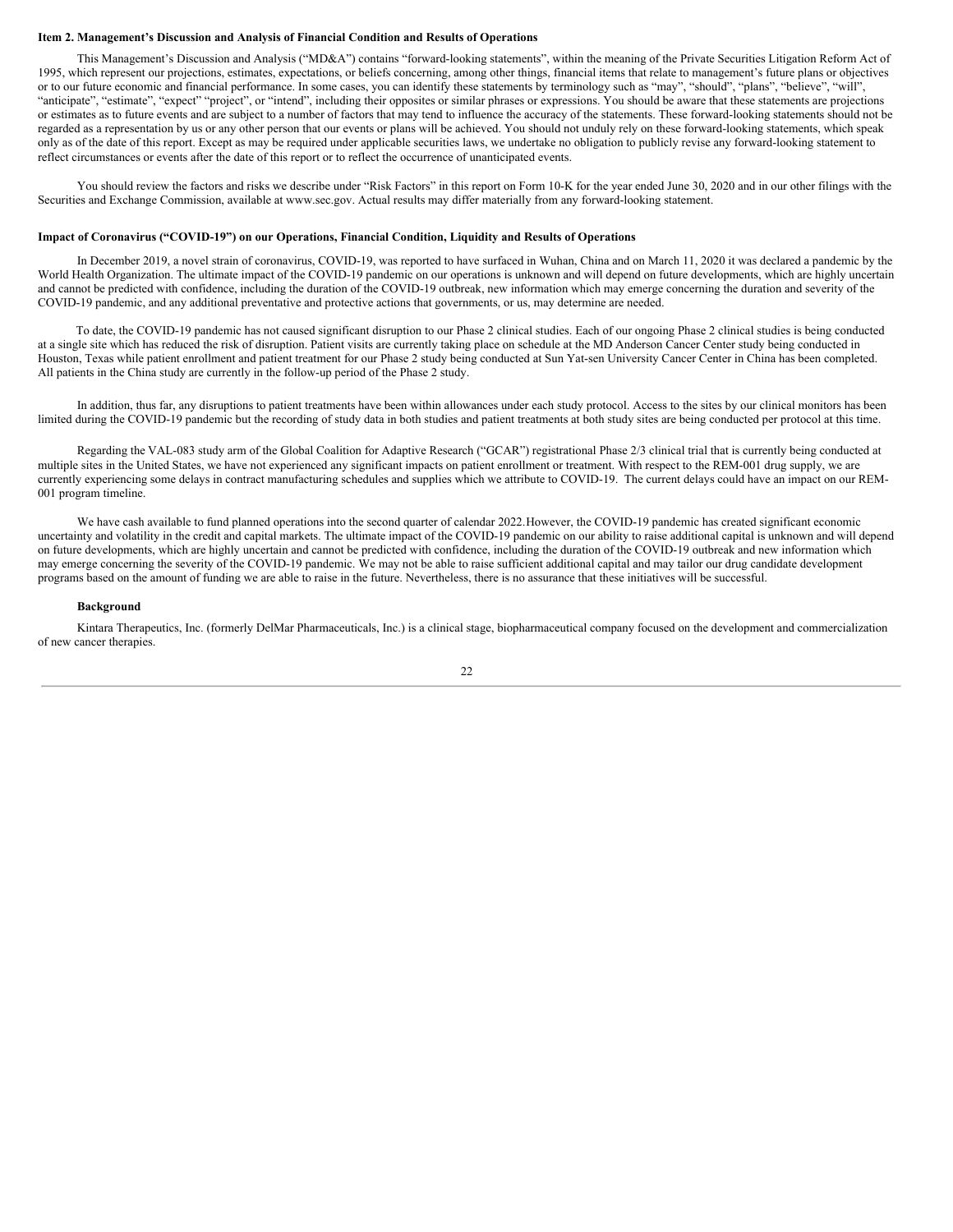#### <span id="page-23-0"></span>**Item 2. Management's Discussion and Analysis of Financial Condition and Results of Operations**

This Management's Discussion and Analysis ("MD&A") contains "forward-looking statements", within the meaning of the Private Securities Litigation Reform Act of 1995, which represent our projections, estimates, expectations, or beliefs concerning, among other things, financial items that relate to management's future plans or objectives or to our future economic and financial performance. In some cases, you can identify these statements by terminology such as "may", "should", "plans", "believe", "will", "anticipate", "estimate", "expect" "project", or "intend", including their opposites or similar phrases or expressions. You should be aware that these statements are projections or estimates as to future events and are subject to a number of factors that may tend to influence the accuracy of the statements. These forward-looking statements should not be regarded as a representation by us or any other person that our events or plans will be achieved. You should not unduly rely on these forward-looking statements, which speak only as of the date of this report. Except as may be required under applicable securities laws, we undertake no obligation to publicly revise any forward-looking statement to reflect circumstances or events after the date of this report or to reflect the occurrence of unanticipated events.

You should review the factors and risks we describe under "Risk Factors" in this report on Form 10-K for the year ended June 30, 2020 and in our other filings with the Securities and Exchange Commission, available at www.sec.gov. Actual results may differ materially from any forward-looking statement.

# **Impact of Coronavirus ("COVID-19") on our Operations, Financial Condition, Liquidity and Results of Operations**

In December 2019, a novel strain of coronavirus, COVID-19, was reported to have surfaced in Wuhan, China and on March 11, 2020 it was declared a pandemic by the World Health Organization. The ultimate impact of the COVID-19 pandemic on our operations is unknown and will depend on future developments, which are highly uncertain and cannot be predicted with confidence, including the duration of the COVID-19 outbreak, new information which may emerge concerning the duration and severity of the COVID-19 pandemic, and any additional preventative and protective actions that governments, or us, may determine are needed.

To date, the COVID-19 pandemic has not caused significant disruption to our Phase 2 clinical studies. Each of our ongoing Phase 2 clinical studies is being conducted at a single site which has reduced the risk of disruption. Patient visits are currently taking place on schedule at the MD Anderson Cancer Center study being conducted in Houston, Texas while patient enrollment and patient treatment for our Phase 2 study being conducted at Sun Yat-sen University Cancer Center in China has been completed. All patients in the China study are currently in the follow-up period of the Phase 2 study.

In addition, thus far, any disruptions to patient treatments have been within allowances under each study protocol. Access to the sites by our clinical monitors has been limited during the COVID-19 pandemic but the recording of study data in both studies and patient treatments at both study sites are being conducted per protocol at this time.

Regarding the VAL-083 study arm of the Global Coalition for Adaptive Research ("GCAR") registrational Phase 2/3 clinical trial that is currently being conducted at multiple sites in the United States, we have not experienced any significant impacts on patient enrollment or treatment. With respect to the REM-001 drug supply, we are currently experiencing some delays in contract manufacturing schedules and supplies which we attribute to COVID-19. The current delays could have an impact on our REM-001 program timeline.

We have cash available to fund planned operations into the second quarter of calendar 2022. However, the COVID-19 pandemic has created significant economic uncertainty and volatility in the credit and capital markets. The ultimate impact of the COVID-19 pandemic on our ability to raise additional capital is unknown and will depend on future developments, which are highly uncertain and cannot be predicted with confidence, including the duration of the COVID-19 outbreak and new information which may emerge concerning the severity of the COVID-19 pandemic. We may not be able to raise sufficient additional capital and may tailor our drug candidate development programs based on the amount of funding we are able to raise in the future. Nevertheless, there is no assurance that these initiatives will be successful.

#### **Background**

Kintara Therapeutics, Inc. (formerly DelMar Pharmaceuticals, Inc.) is a clinical stage, biopharmaceutical company focused on the development and commercialization of new cancer therapies.

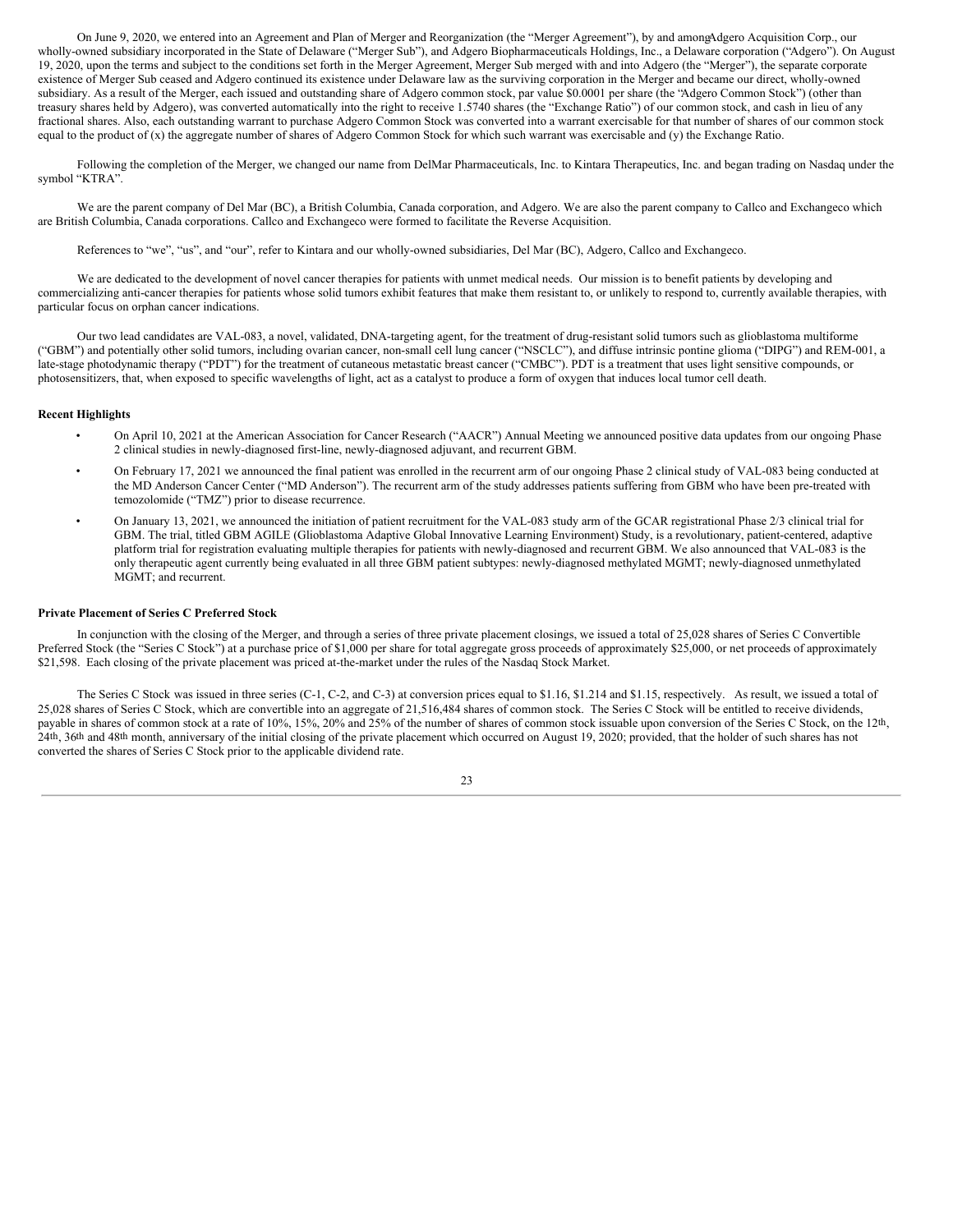On June 9, 2020, we entered into an Agreement and Plan of Merger and Reorganization (the "Merger Agreement"), by and amongAdgero Acquisition Corp., our wholly-owned subsidiary incorporated in the State of Delaware ("Merger Sub"), and Adgero Biopharmaceuticals Holdings, Inc., a Delaware corporation ("Adgero"). On August 19, 2020, upon the terms and subject to the conditions set forth in the Merger Agreement, Merger Sub merged with and into Adgero (the "Merger"), the separate corporate existence of Merger Sub ceased and Adgero continued its existence under Delaware law as the surviving corporation in the Merger and became our direct, wholly-owned subsidiary. As a result of the Merger, each issued and outstanding share of Adgero common stock, par value \$0.0001 per share (the "Adgero Common Stock") (other than treasury shares held by Adgero), was converted automatically into the right to receive 1.5740 shares (the "Exchange Ratio") of our common stock, and cash in lieu of any fractional shares. Also, each outstanding warrant to purchase Adgero Common Stock was converted into a warrant exercisable for that number of shares of our common stock equal to the product of (x) the aggregate number of shares of Adgero Common Stock for which such warrant was exercisable and (y) the Exchange Ratio.

Following the completion of the Merger, we changed our name from DelMar Pharmaceuticals, Inc. to Kintara Therapeutics, Inc. and began trading on Nasdaq under the symbol "KTRA".

We are the parent company of Del Mar (BC), a British Columbia, Canada corporation, and Adgero. We are also the parent company to Callco and Exchangeco which are British Columbia, Canada corporations. Callco and Exchangeco were formed to facilitate the Reverse Acquisition.

References to "we", "us", and "our", refer to Kintara and our wholly-owned subsidiaries, Del Mar (BC), Adgero, Callco and Exchangeco.

We are dedicated to the development of novel cancer therapies for patients with unmet medical needs. Our mission is to benefit patients by developing and commercializing anti-cancer therapies for patients whose solid tumors exhibit features that make them resistant to, or unlikely to respond to, currently available therapies, with particular focus on orphan cancer indications.

Our two lead candidates are VAL-083, a novel, validated, DNA-targeting agent, for the treatment of drug-resistant solid tumors such as glioblastoma multiforme ("GBM") and potentially other solid tumors, including ovarian cancer, non-small cell lung cancer ("NSCLC"), and diffuse intrinsic pontine glioma ("DIPG") and REM-001, a late-stage photodynamic therapy ("PDT") for the treatment of cutaneous metastatic breast cancer ("CMBC"). PDT is a treatment that uses light sensitive compounds, or photosensitizers, that, when exposed to specific wavelengths of light, act as a catalyst to produce a form of oxygen that induces local tumor cell death.

# **Recent Highlights**

- On April 10, 2021 at the American Association for Cancer Research ("AACR") Annual Meeting we announced positive data updates from our ongoing Phase 2 clinical studies in newly-diagnosed first-line, newly-diagnosed adjuvant, and recurrent GBM.
- On February 17, 2021 we announced the final patient was enrolled in the recurrent arm of our ongoing Phase 2 clinical study of VAL-083 being conducted at the MD Anderson Cancer Center ("MD Anderson"). The recurrent arm of the study addresses patients suffering from GBM who have been pre-treated with temozolomide ("TMZ") prior to disease recurrence.
- On January 13, 2021, we announced the initiation of patient recruitment for the VAL-083 study arm of the GCAR registrational Phase 2/3 clinical trial for GBM. The trial, titled GBM AGILE (Glioblastoma Adaptive Global Innovative Learning Environment) Study, is a revolutionary, patient-centered, adaptive platform trial for registration evaluating multiple therapies for patients with newly-diagnosed and recurrent GBM. We also announced that VAL-083 is the only therapeutic agent currently being evaluated in all three GBM patient subtypes: newly-diagnosed methylated MGMT; newly-diagnosed unmethylated MGMT; and recurrent.

# **Private Placement of Series C Preferred Stock**

In conjunction with the closing of the Merger, and through a series of three private placement closings, we issued a total of 25,028 shares of Series C Convertible Preferred Stock (the "Series C Stock") at a purchase price of \$1,000 per share for total aggregate gross proceeds of approximately \$25,000, or net proceeds of approximately \$21,598. Each closing of the private placement was priced at-the-market under the rules of the Nasdaq Stock Market.

The Series C Stock was issued in three series (C-1, C-2, and C-3) at conversion prices equal to \$1.16, \$1.214 and \$1.15, respectively. As result, we issued a total of 25,028 shares of Series C Stock, which are convertible into an aggregate of 21,516,484 shares of common stock. The Series C Stock will be entitled to receive dividends, payable in shares of common stock at a rate of 10%, 15%, 20% and 25% of the number of shares of common stock issuable upon conversion of the Series C Stock, on the 12th, 24th, 36th and 48th month, anniversary of the initial closing of the private placement which occurred on August 19, 2020; provided, that the holder of such shares has not converted the shares of Series C Stock prior to the applicable dividend rate.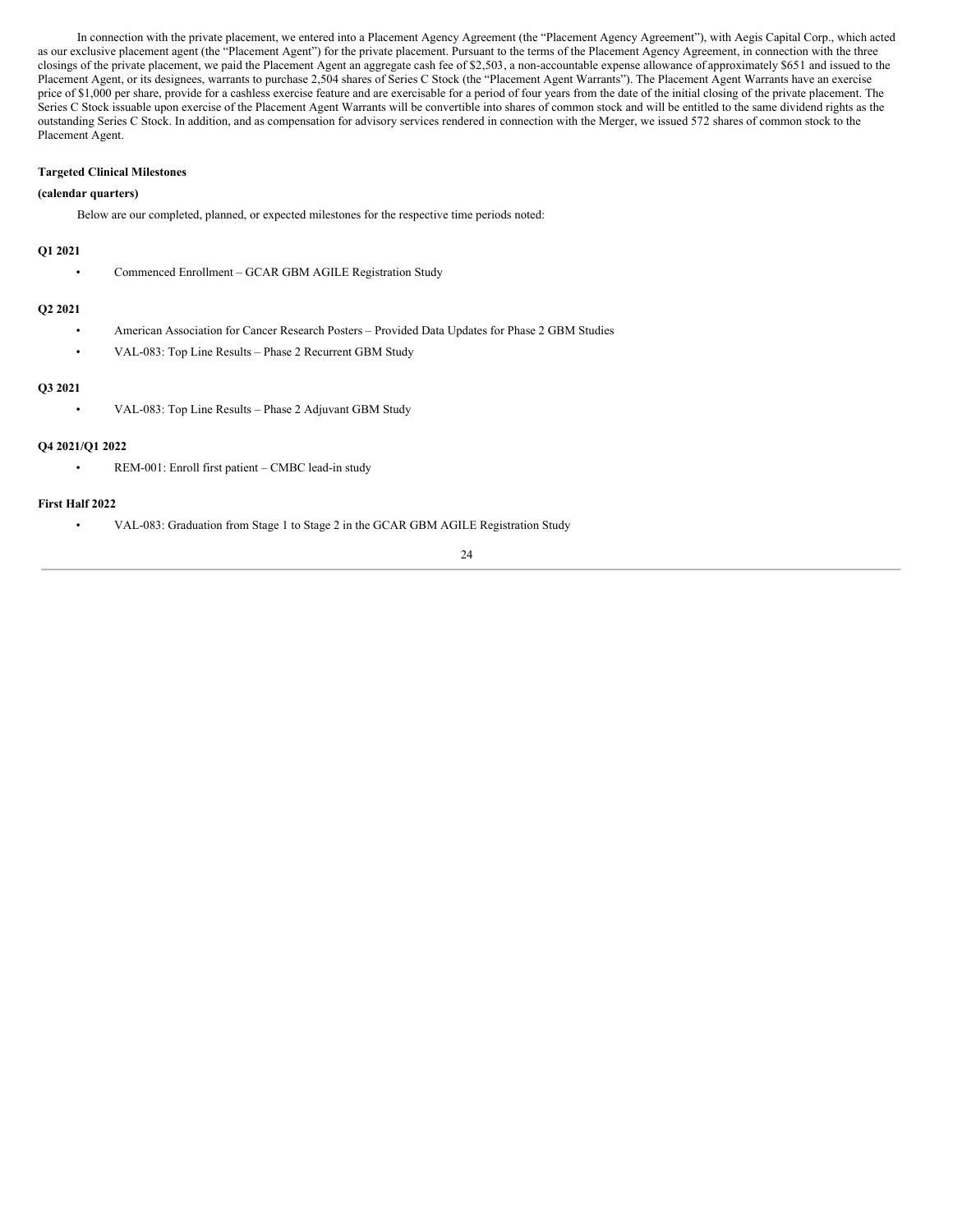In connection with the private placement, we entered into a Placement Agency Agreement (the "Placement Agency Agreement"), with Aegis Capital Corp., which acted as our exclusive placement agent (the "Placement Agent") for the private placement. Pursuant to the terms of the Placement Agency Agreement, in connection with the three closings of the private placement, we paid the Placement Agent an aggregate cash fee of \$2,503, a non-accountable expense allowance of approximately \$651 and issued to the Placement Agent, or its designees, warrants to purchase 2,504 shares of Series C Stock (the "Placement Agent Warrants"). The Placement Agent Warrants have an exercise price of \$1,000 per share, provide for a cashless exercise feature and are exercisable for a period of four years from the date of the initial closing of the private placement. The Series C Stock issuable upon exercise of the Placement Agent Warrants will be convertible into shares of common stock and will be entitled to the same dividend rights as the outstanding Series C Stock. In addition, and as compensation for advisory services rendered in connection with the Merger, we issued 572 shares of common stock to the Placement Agent.

# **Targeted Clinical Milestones**

# **(calendar quarters)**

Below are our completed, planned, or expected milestones for the respective time periods noted:

# **Q1 2021**

• Commenced Enrollment – GCAR GBM AGILE Registration Study

# **Q2 2021**

- American Association for Cancer Research Posters Provided Data Updates for Phase 2 GBM Studies
- VAL-083: Top Line Results Phase 2 Recurrent GBM Study

# **Q3 2021**

• VAL-083: Top Line Results – Phase 2 Adjuvant GBM Study

# **Q4 2021/Q1 2022**

• REM-001: Enroll first patient – CMBC lead-in study

## **First Half 2022**

• VAL-083: Graduation from Stage 1 to Stage 2 in the GCAR GBM AGILE Registration Study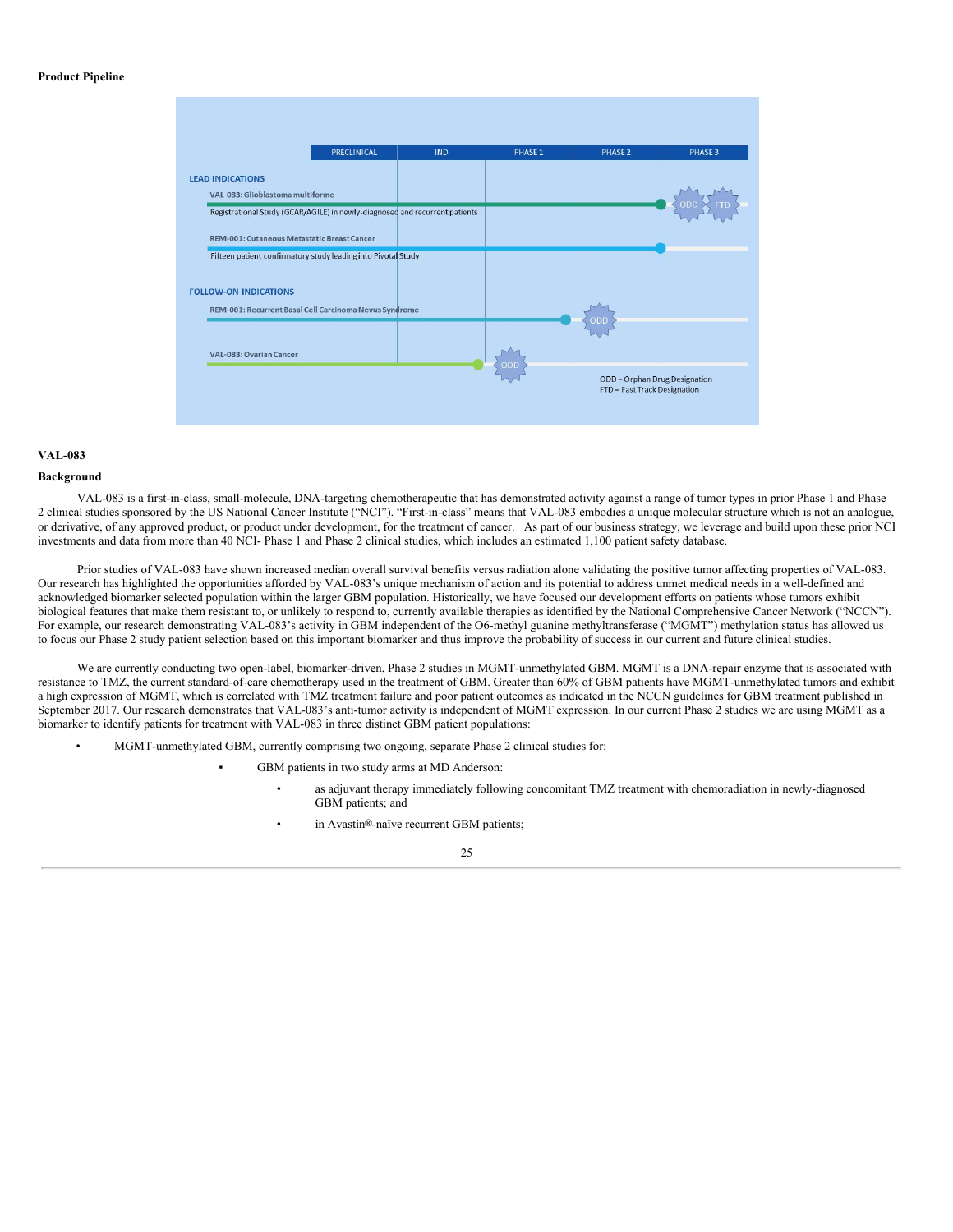## **Product Pipeline**



#### **VAL-083**

# **Background**

VAL-083 is a first-in-class, small-molecule, DNA-targeting chemotherapeutic that has demonstrated activity against a range of tumor types in prior Phase 1 and Phase 2 clinical studies sponsored by the US National Cancer Institute ("NCI"). "First-in-class" means that VAL-083 embodies a unique molecular structure which is not an analogue, or derivative, of any approved product, or product under development, for the treatment of cancer. As part of our business strategy, we leverage and build upon these prior NCI investments and data from more than 40 NCI- Phase 1 and Phase 2 clinical studies, which includes an estimated 1,100 patient safety database.

Prior studies of VAL-083 have shown increased median overall survival benefits versus radiation alone validating the positive tumor affecting properties of VAL-083. Our research has highlighted the opportunities afforded by VAL-083's unique mechanism of action and its potential to address unmet medical needs in a well-defined and acknowledged biomarker selected population within the larger GBM population. Historically, we have focused our development efforts on patients whose tumors exhibit biological features that make them resistant to, or unlikely to respond to, currently available therapies as identified by the National Comprehensive Cancer Network ("NCCN"). For example, our research demonstrating VAL-083's activity in GBM independent of the O6-methyl guanine methyltransferase ("MGMT") methylation status has allowed us to focus our Phase 2 study patient selection based on this important biomarker and thus improve the probability of success in our current and future clinical studies.

We are currently conducting two open-label, biomarker-driven, Phase 2 studies in MGMT-unmethylated GBM. MGMT is a DNA-repair enzyme that is associated with resistance to TMZ, the current standard-of-care chemotherapy used in the treatment of GBM. Greater than 60% of GBM patients have MGMT-unmethylated tumors and exhibit a high expression of MGMT, which is correlated with TMZ treatment failure and poor patient outcomes as indicated in the NCCN guidelines for GBM treatment published in September 2017. Our research demonstrates that VAL-083's anti-tumor activity is independent of MGMT expression. In our current Phase 2 studies we are using MGMT as a biomarker to identify patients for treatment with VAL-083 in three distinct GBM patient populations:

- MGMT-unmethylated GBM, currently comprising two ongoing, separate Phase 2 clinical studies for:
	- GBM patients in two study arms at MD Anderson:
		- as adjuvant therapy immediately following concomitant TMZ treatment with chemoradiation in newly-diagnosed GBM patients; and
		- in Avastin®-naïve recurrent GBM patients;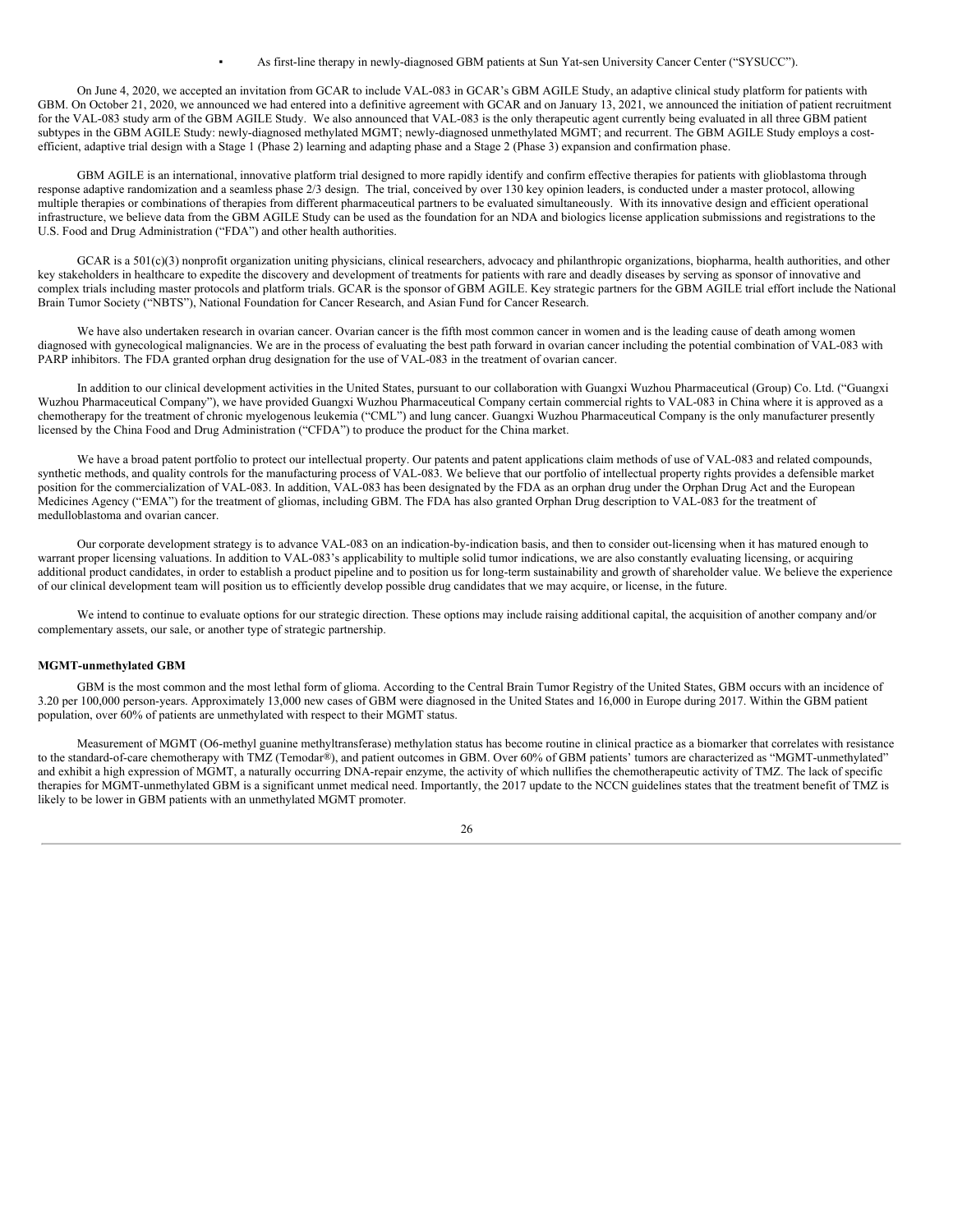# ▪ As first-line therapy in newly-diagnosed GBM patients at Sun Yat-sen University Cancer Center ("SYSUCC").

On June 4, 2020, we accepted an invitation from GCAR to include VAL-083 in GCAR's GBM AGILE Study, an adaptive clinical study platform for patients with GBM. On October 21, 2020, we announced we had entered into a definitive agreement with GCAR and on January 13, 2021, we announced the initiation of patient recruitment for the VAL-083 study arm of the GBM AGILE Study. We also announced that VAL-083 is the only therapeutic agent currently being evaluated in all three GBM patient subtypes in the GBM AGILE Study: newly-diagnosed methylated MGMT; newly-diagnosed unmethylated MGMT; and recurrent. The GBM AGILE Study employs a costefficient, adaptive trial design with a Stage 1 (Phase 2) learning and adapting phase and a Stage 2 (Phase 3) expansion and confirmation phase.

GBM AGILE is an international, innovative platform trial designed to more rapidly identify and confirm effective therapies for patients with glioblastoma through response adaptive randomization and a seamless phase 2/3 design. The trial, conceived by over 130 key opinion leaders, is conducted under a master protocol, allowing multiple therapies or combinations of therapies from different pharmaceutical partners to be evaluated simultaneously. With its innovative design and efficient operational infrastructure, we believe data from the GBM AGILE Study can be used as the foundation for an NDA and biologics license application submissions and registrations to the U.S. Food and Drug Administration ("FDA") and other health authorities.

GCAR is a 501(c)(3) nonprofit organization uniting physicians, clinical researchers, advocacy and philanthropic organizations, biopharma, health authorities, and other key stakeholders in healthcare to expedite the discovery and development of treatments for patients with rare and deadly diseases by serving as sponsor of innovative and complex trials including master protocols and platform trials. GCAR is the sponsor of GBM AGILE. Key strategic partners for the GBM AGILE trial effort include the National Brain Tumor Society ("NBTS"), National Foundation for Cancer Research, and Asian Fund for Cancer Research.

We have also undertaken research in ovarian cancer. Ovarian cancer is the fifth most common cancer in women and is the leading cause of death among women diagnosed with gynecological malignancies. We are in the process of evaluating the best path forward in ovarian cancer including the potential combination of VAL-083 with PARP inhibitors. The FDA granted orphan drug designation for the use of VAL-083 in the treatment of ovarian cancer.

In addition to our clinical development activities in the United States, pursuant to our collaboration with Guangxi Wuzhou Pharmaceutical (Group) Co. Ltd. ("Guangxi Wuzhou Pharmaceutical Company"), we have provided Guangxi Wuzhou Pharmaceutical Company certain commercial rights to VAL-083 in China where it is approved as a chemotherapy for the treatment of chronic myelogenous leukemia ("CML") and lung cancer. Guangxi Wuzhou Pharmaceutical Company is the only manufacturer presently licensed by the China Food and Drug Administration ("CFDA") to produce the product for the China market.

We have a broad patent portfolio to protect our intellectual property. Our patents and patent applications claim methods of use of VAL-083 and related compounds, synthetic methods, and quality controls for the manufacturing process of VAL-083. We believe that our portfolio of intellectual property rights provides a defensible market position for the commercialization of VAL-083. In addition, VAL-083 has been designated by the FDA as an orphan drug under the Orphan Drug Act and the European Medicines Agency ("EMA") for the treatment of gliomas, including GBM. The FDA has also granted Orphan Drug description to VAL-083 for the treatment of medulloblastoma and ovarian cancer.

Our corporate development strategy is to advance VAL-083 on an indication-by-indication basis, and then to consider out-licensing when it has matured enough to warrant proper licensing valuations. In addition to VAL-083's applicability to multiple solid tumor indications, we are also constantly evaluating licensing, or acquiring additional product candidates, in order to establish a product pipeline and to position us for long-term sustainability and growth of shareholder value. We believe the experience of our clinical development team will position us to efficiently develop possible drug candidates that we may acquire, or license, in the future.

We intend to continue to evaluate options for our strategic direction. These options may include raising additional capital, the acquisition of another company and/or complementary assets, our sale, or another type of strategic partnership.

## **MGMT-unmethylated GBM**

GBM is the most common and the most lethal form of glioma. According to the Central Brain Tumor Registry of the United States, GBM occurs with an incidence of 3.20 per 100,000 person-years. Approximately 13,000 new cases of GBM were diagnosed in the United States and 16,000 in Europe during 2017. Within the GBM patient population, over 60% of patients are unmethylated with respect to their MGMT status.

Measurement of MGMT (O6-methyl guanine methyltransferase) methylation status has become routine in clinical practice as a biomarker that correlates with resistance to the standard-of-care chemotherapy with TMZ (Temodar®), and patient outcomes in GBM. Over 60% of GBM patients' tumors are characterized as "MGMT-unmethylated" and exhibit a high expression of MGMT, a naturally occurring DNA-repair enzyme, the activity of which nullifies the chemotherapeutic activity of TMZ. The lack of specific therapies for MGMT-unmethylated GBM is a significant unmet medical need. Importantly, the 2017 update to the NCCN guidelines states that the treatment benefit of TMZ is likely to be lower in GBM patients with an unmethylated MGMT promoter.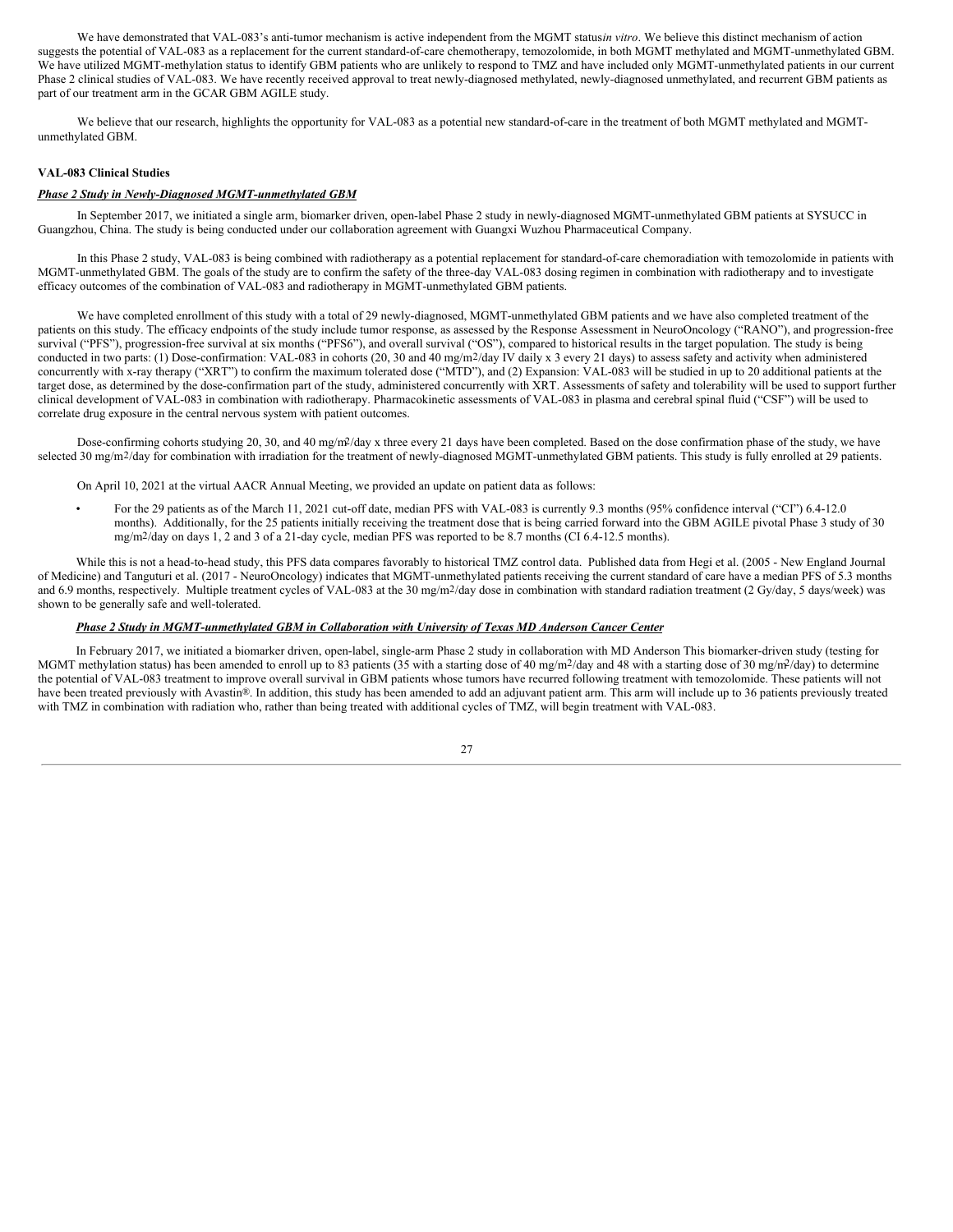We have demonstrated that VAL-083's anti-tumor mechanism is active independent from the MGMT status*in vitro*. We believe this distinct mechanism of action suggests the potential of VAL-083 as a replacement for the current standard-of-care chemotherapy, temozolomide, in both MGMT methylated and MGMT-unmethylated GBM. We have utilized MGMT-methylation status to identify GBM patients who are unlikely to respond to TMZ and have included only MGMT-unmethylated patients in our current Phase 2 clinical studies of VAL-083. We have recently received approval to treat newly-diagnosed methylated, newly-diagnosed unmethylated, and recurrent GBM patients as part of our treatment arm in the GCAR GBM AGILE study.

We believe that our research, highlights the opportunity for VAL-083 as a potential new standard-of-care in the treatment of both MGMT methylated and MGMTunmethylated GBM.

# **VAL-083 Clinical Studies**

#### *Phase 2 Study in Newly-Diagnosed MGMT-unmethylated GBM*

In September 2017, we initiated a single arm, biomarker driven, open-label Phase 2 study in newly-diagnosed MGMT-unmethylated GBM patients at SYSUCC in Guangzhou, China. The study is being conducted under our collaboration agreement with Guangxi Wuzhou Pharmaceutical Company.

In this Phase 2 study, VAL-083 is being combined with radiotherapy as a potential replacement for standard-of-care chemoradiation with temozolomide in patients with MGMT-unmethylated GBM. The goals of the study are to confirm the safety of the three-day VAL-083 dosing regimen in combination with radiotherapy and to investigate efficacy outcomes of the combination of VAL-083 and radiotherapy in MGMT-unmethylated GBM patients.

We have completed enrollment of this study with a total of 29 newly-diagnosed, MGMT-unmethylated GBM patients and we have also completed treatment of the patients on this study. The efficacy endpoints of the study include tumor response, as assessed by the Response Assessment in NeuroOncology ("RANO"), and progression-free survival ("PFS"), progression-free survival at six months ("PFS6"), and overall survival ("OS"), compared to historical results in the target population. The study is being conducted in two parts: (1) Dose-confirmation: VAL-083 in cohorts (20, 30 and 40 mg/m<sup>2</sup>/day IV daily x 3 every 21 days) to assess safety and activity when administered concurrently with x-ray therapy ("XRT") to confirm the maximum tolerated dose ("MTD"), and (2) Expansion: VAL-083 will be studied in up to 20 additional patients at the target dose, as determined by the dose-confirmation part of the study, administered concurrently with XRT. Assessments of safety and tolerability will be used to support further clinical development of VAL-083 in combination with radiotherapy. Pharmacokinetic assessments of VAL-083 in plasma and cerebral spinal fluid ("CSF") will be used to correlate drug exposure in the central nervous system with patient outcomes.

Dose-confirming cohorts studying 20, 30, and 40 mg/m2/day x three every 21 days have been completed. Based on the dose confirmation phase of the study, we have selected 30 mg/m<sup>2</sup>/day for combination with irradiation for the treatment of newly-diagnosed MGMT-unmethylated GBM patients. This study is fully enrolled at 29 patients.

On April 10, 2021 at the virtual AACR Annual Meeting, we provided an update on patient data as follows:

• For the 29 patients as of the March 11, 2021 cut-off date, median PFS with VAL-083 is currently 9.3 months (95% confidence interval ("CI") 6.4-12.0 months). Additionally, for the 25 patients initially receiving the treatment dose that is being carried forward into the GBM AGILE pivotal Phase 3 study of 30 mg/m2/day on days 1, 2 and 3 of a 21-day cycle, median PFS was reported to be 8.7 months (CI 6.4-12.5 months).

While this is not a head-to-head study, this PFS data compares favorably to historical TMZ control data. Published data from Hegi et al. (2005 - New England Journal of Medicine) and Tanguturi et al. (2017 - NeuroOncology) indicates that MGMT-unmethylated patients receiving the current standard of care have a median PFS of 5.3 months and 6.9 months, respectively. Multiple treatment cycles of VAL-083 at the 30 mg/m<sup>2</sup>/day dose in combination with standard radiation treatment (2 Gy/day, 5 days/week) was shown to be generally safe and well-tolerated.

#### *Phase 2 Study in MGMT-unmethylated GBM in Collaboration with University of Texas MD Anderson Cancer Center*

In February 2017, we initiated a biomarker driven, open-label, single-arm Phase 2 study in collaboration with MD Anderson This biomarker-driven study (testing for MGMT methylation status) has been amended to enroll up to 83 patients (35 with a starting dose of 40 mg/m2/day and 48 with a starting dose of 30 mg/m<sup>2</sup>/day) to determine the potential of VAL-083 treatment to improve overall survival in GBM patients whose tumors have recurred following treatment with temozolomide. These patients will not have been treated previously with Avastin®. In addition, this study has been amended to add an adjuvant patient arm. This arm will include up to 36 patients previously treated with TMZ in combination with radiation who, rather than being treated with additional cycles of TMZ, will begin treatment with VAL-083.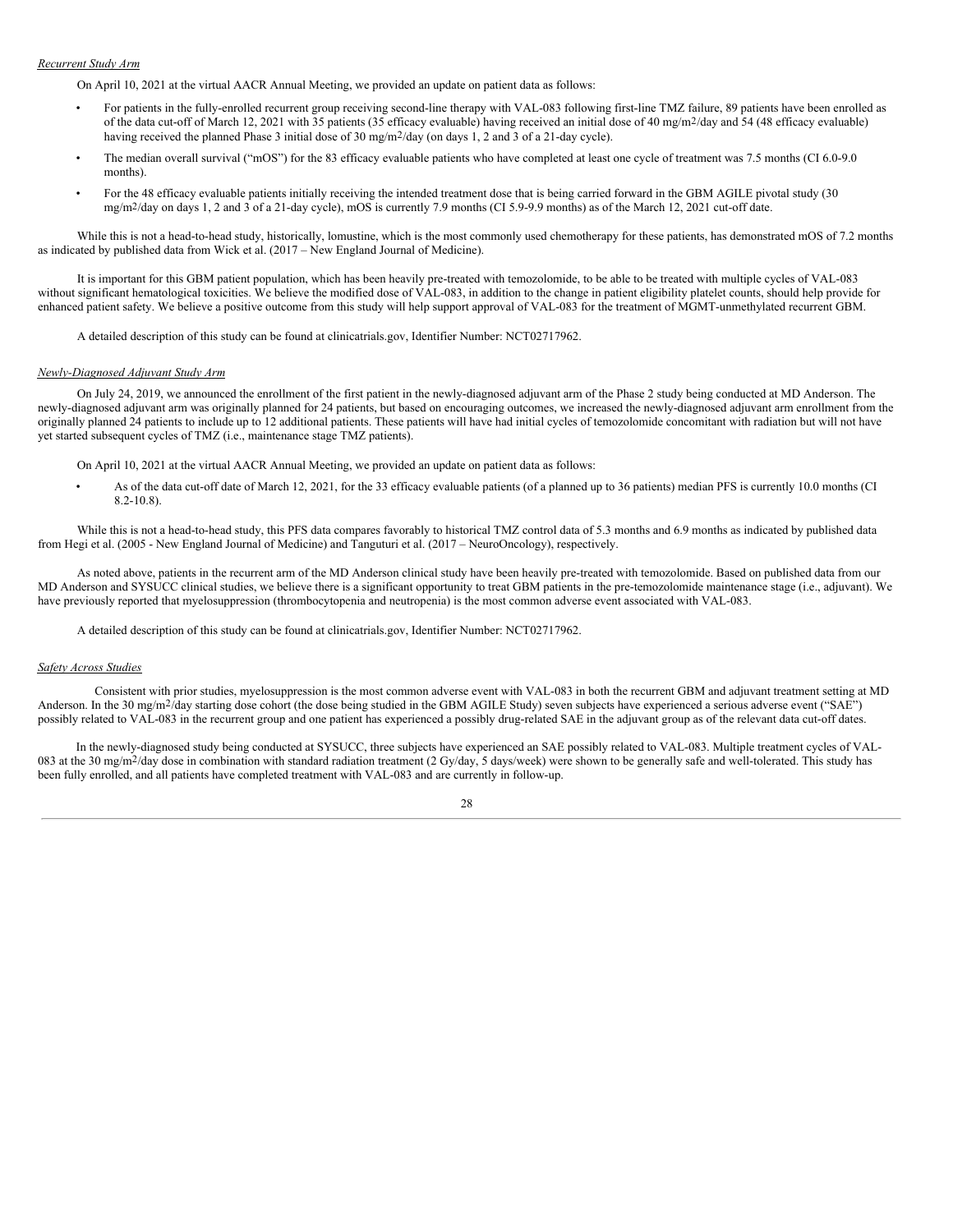# *Recurrent Study Arm*

On April 10, 2021 at the virtual AACR Annual Meeting, we provided an update on patient data as follows:

- For patients in the fully-enrolled recurrent group receiving second-line therapy with VAL-083 following first-line TMZ failure, 89 patients have been enrolled as of the data cut-off of March 12, 2021 with 35 patients (35 efficacy evaluable) having received an initial dose of 40 mg/m2/day and 54 (48 efficacy evaluable) having received the planned Phase 3 initial dose of 30 mg/m<sup>2</sup>/day (on days 1, 2 and 3 of a 21-day cycle).
- The median overall survival ("mOS") for the 83 efficacy evaluable patients who have completed at least one cycle of treatment was 7.5 months (CI 6.0-9.0 months).
- For the 48 efficacy evaluable patients initially receiving the intended treatment dose that is being carried forward in the GBM AGILE pivotal study (30 mg/m2/day on days 1, 2 and 3 of a 21-day cycle), mOS is currently 7.9 months (CI 5.9-9.9 months) as of the March 12, 2021 cut-off date.

While this is not a head-to-head study, historically, lomustine, which is the most commonly used chemotherapy for these patients, has demonstrated mOS of 7.2 months as indicated by published data from Wick et al. (2017 – New England Journal of Medicine).

It is important for this GBM patient population, which has been heavily pre-treated with temozolomide, to be able to be treated with multiple cycles of VAL-083 without significant hematological toxicities. We believe the modified dose of VAL-083, in addition to the change in patient eligibility platelet counts, should help provide for enhanced patient safety. We believe a positive outcome from this study will help support approval of VAL-083 for the treatment of MGMT-unmethylated recurrent GBM.

A detailed description of this study can be found at clinicatrials.gov, Identifier Number: NCT02717962.

#### *Newly-Diagnosed Adjuvant Study Arm*

On July 24, 2019, we announced the enrollment of the first patient in the newly-diagnosed adjuvant arm of the Phase 2 study being conducted at MD Anderson. The newly-diagnosed adjuvant arm was originally planned for 24 patients, but based on encouraging outcomes, we increased the newly-diagnosed adjuvant arm enrollment from the originally planned 24 patients to include up to 12 additional patients. These patients will have had initial cycles of temozolomide concomitant with radiation but will not have yet started subsequent cycles of TMZ (i.e., maintenance stage TMZ patients).

On April 10, 2021 at the virtual AACR Annual Meeting, we provided an update on patient data as follows:

As of the data cut-off date of March 12, 2021, for the 33 efficacy evaluable patients (of a planned up to 36 patients) median PFS is currently 10.0 months (CI 8.2-10.8).

While this is not a head-to-head study, this PFS data compares favorably to historical TMZ control data of 5.3 months and 6.9 months as indicated by published data from Hegi et al. (2005 - New England Journal of Medicine) and Tanguturi et al. (2017 – NeuroOncology), respectively.

As noted above, patients in the recurrent arm of the MD Anderson clinical study have been heavily pre-treated with temozolomide. Based on published data from our MD Anderson and SYSUCC clinical studies, we believe there is a significant opportunity to treat GBM patients in the pre-temozolomide maintenance stage (i.e., adjuvant). We have previously reported that myelosuppression (thrombocytopenia and neutropenia) is the most common adverse event associated with VAL-083.

A detailed description of this study can be found at clinicatrials.gov, Identifier Number: NCT02717962.

# *Safety Across Studies*

Consistent with prior studies, myelosuppression is the most common adverse event with VAL-083 in both the recurrent GBM and adjuvant treatment setting at MD Anderson. In the 30 mg/m<sup>2</sup>/day starting dose cohort (the dose being studied in the GBM AGILE Study) seven subjects have experienced a serious adverse event ("SAE") possibly related to VAL-083 in the recurrent group and one patient has experienced a possibly drug-related SAE in the adjuvant group as of the relevant data cut-off dates.

In the newly-diagnosed study being conducted at SYSUCC, three subjects have experienced an SAE possibly related to VAL-083. Multiple treatment cycles of VAL-083 at the 30 mg/m<sup>2</sup>/day dose in combination with standard radiation treatment (2 Gy/day, 5 days/week) were shown to be generally safe and well-tolerated. This study has been fully enrolled, and all patients have completed treatment with VAL-083 and are currently in follow-up.

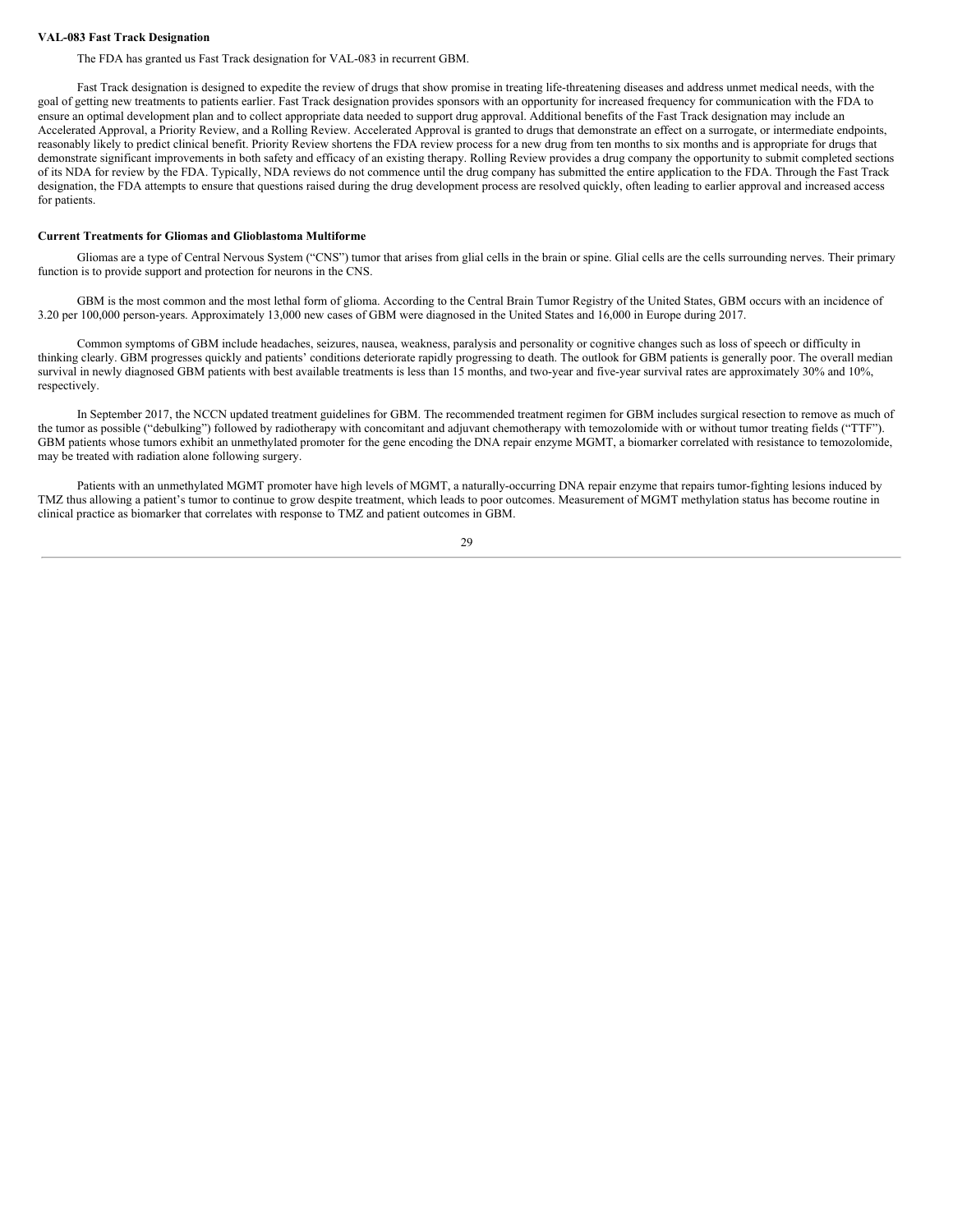#### **VAL-083 Fast Track Designation**

The FDA has granted us Fast Track designation for VAL-083 in recurrent GBM.

Fast Track designation is designed to expedite the review of drugs that show promise in treating life-threatening diseases and address unmet medical needs, with the goal of getting new treatments to patients earlier. Fast Track designation provides sponsors with an opportunity for increased frequency for communication with the FDA to ensure an optimal development plan and to collect appropriate data needed to support drug approval. Additional benefits of the Fast Track designation may include an Accelerated Approval, a Priority Review, and a Rolling Review. Accelerated Approval is granted to drugs that demonstrate an effect on a surrogate, or intermediate endpoints, reasonably likely to predict clinical benefit. Priority Review shortens the FDA review process for a new drug from ten months to six months and is appropriate for drugs that demonstrate significant improvements in both safety and efficacy of an existing therapy. Rolling Review provides a drug company the opportunity to submit completed sections of its NDA for review by the FDA. Typically, NDA reviews do not commence until the drug company has submitted the entire application to the FDA. Through the Fast Track designation, the FDA attempts to ensure that questions raised during the drug development process are resolved quickly, often leading to earlier approval and increased access for patients.

#### **Current Treatments for Gliomas and Glioblastoma Multiforme**

Gliomas are a type of Central Nervous System ("CNS") tumor that arises from glial cells in the brain or spine. Glial cells are the cells surrounding nerves. Their primary function is to provide support and protection for neurons in the CNS.

GBM is the most common and the most lethal form of glioma. According to the Central Brain Tumor Registry of the United States, GBM occurs with an incidence of 3.20 per 100,000 person-years. Approximately 13,000 new cases of GBM were diagnosed in the United States and 16,000 in Europe during 2017.

Common symptoms of GBM include headaches, seizures, nausea, weakness, paralysis and personality or cognitive changes such as loss of speech or difficulty in thinking clearly. GBM progresses quickly and patients' conditions deteriorate rapidly progressing to death. The outlook for GBM patients is generally poor. The overall median survival in newly diagnosed GBM patients with best available treatments is less than 15 months, and two-year and five-year survival rates are approximately 30% and 10%, respectively.

In September 2017, the NCCN updated treatment guidelines for GBM. The recommended treatment regimen for GBM includes surgical resection to remove as much of the tumor as possible ("debulking") followed by radiotherapy with concomitant and adjuvant chemotherapy with temozolomide with or without tumor treating fields ("TTF"). GBM patients whose tumors exhibit an unmethylated promoter for the gene encoding the DNA repair enzyme MGMT, a biomarker correlated with resistance to temozolomide, may be treated with radiation alone following surgery.

Patients with an unmethylated MGMT promoter have high levels of MGMT, a naturally-occurring DNA repair enzyme that repairs tumor-fighting lesions induced by TMZ thus allowing a patient's tumor to continue to grow despite treatment, which leads to poor outcomes. Measurement of MGMT methylation status has become routine in clinical practice as biomarker that correlates with response to TMZ and patient outcomes in GBM.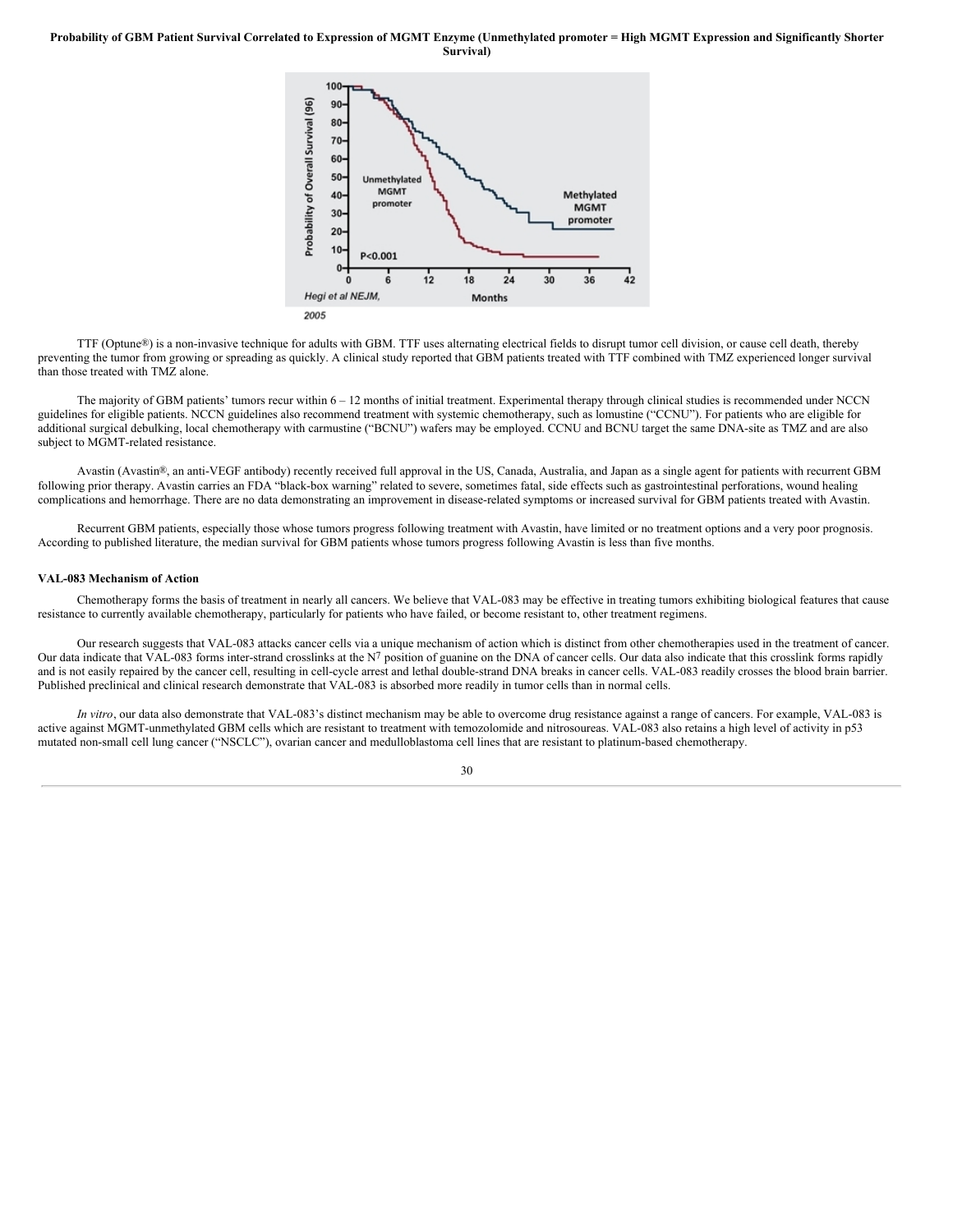#### Probability of GBM Patient Survival Correlated to Expression of MGMT Enzyme (Unmethylated promoter = High MGMT Expression and Significantly Shorter **Survival)**



TTF (Optune®) is a non-invasive technique for adults with GBM. TTF uses alternating electrical fields to disrupt tumor cell division, or cause cell death, thereby preventing the tumor from growing or spreading as quickly. A clinical study reported that GBM patients treated with TTF combined with TMZ experienced longer survival than those treated with TMZ alone.

The majority of GBM patients' tumors recur within 6 – 12 months of initial treatment. Experimental therapy through clinical studies is recommended under NCCN guidelines for eligible patients. NCCN guidelines also recommend treatment with systemic chemotherapy, such as lomustine ("CCNU"). For patients who are eligible for additional surgical debulking, local chemotherapy with carmustine ("BCNU") wafers may be employed. CCNU and BCNU target the same DNA-site as TMZ and are also subject to MGMT-related resistance.

Avastin (Avastin®, an anti-VEGF antibody) recently received full approval in the US, Canada, Australia, and Japan as a single agent for patients with recurrent GBM following prior therapy. Avastin carries an FDA "black-box warning" related to severe, sometimes fatal, side effects such as gastrointestinal perforations, wound healing complications and hemorrhage. There are no data demonstrating an improvement in disease-related symptoms or increased survival for GBM patients treated with Avastin.

Recurrent GBM patients, especially those whose tumors progress following treatment with Avastin, have limited or no treatment options and a very poor prognosis. According to published literature, the median survival for GBM patients whose tumors progress following Avastin is less than five months.

## **VAL-083 Mechanism of Action**

Chemotherapy forms the basis of treatment in nearly all cancers. We believe that VAL-083 may be effective in treating tumors exhibiting biological features that cause resistance to currently available chemotherapy, particularly for patients who have failed, or become resistant to, other treatment regimens.

Our research suggests that VAL-083 attacks cancer cells via a unique mechanism of action which is distinct from other chemotherapies used in the treatment of cancer. Our data indicate that VAL-083 forms inter-strand crosslinks at the  $N<sup>7</sup>$  position of guanine on the DNA of cancer cells. Our data also indicate that this crosslink forms rapidly and is not easily repaired by the cancer cell, resulting in cell-cycle arrest and lethal double-strand DNA breaks in cancer cells. VAL-083 readily crosses the blood brain barrier. Published preclinical and clinical research demonstrate that VAL-083 is absorbed more readily in tumor cells than in normal cells.

*In vitro*, our data also demonstrate that VAL-083's distinct mechanism may be able to overcome drug resistance against a range of cancers. For example, VAL-083 is active against MGMT-unmethylated GBM cells which are resistant to treatment with temozolomide and nitrosoureas. VAL-083 also retains a high level of activity in p53 mutated non-small cell lung cancer ("NSCLC"), ovarian cancer and medulloblastoma cell lines that are resistant to platinum-based chemotherapy.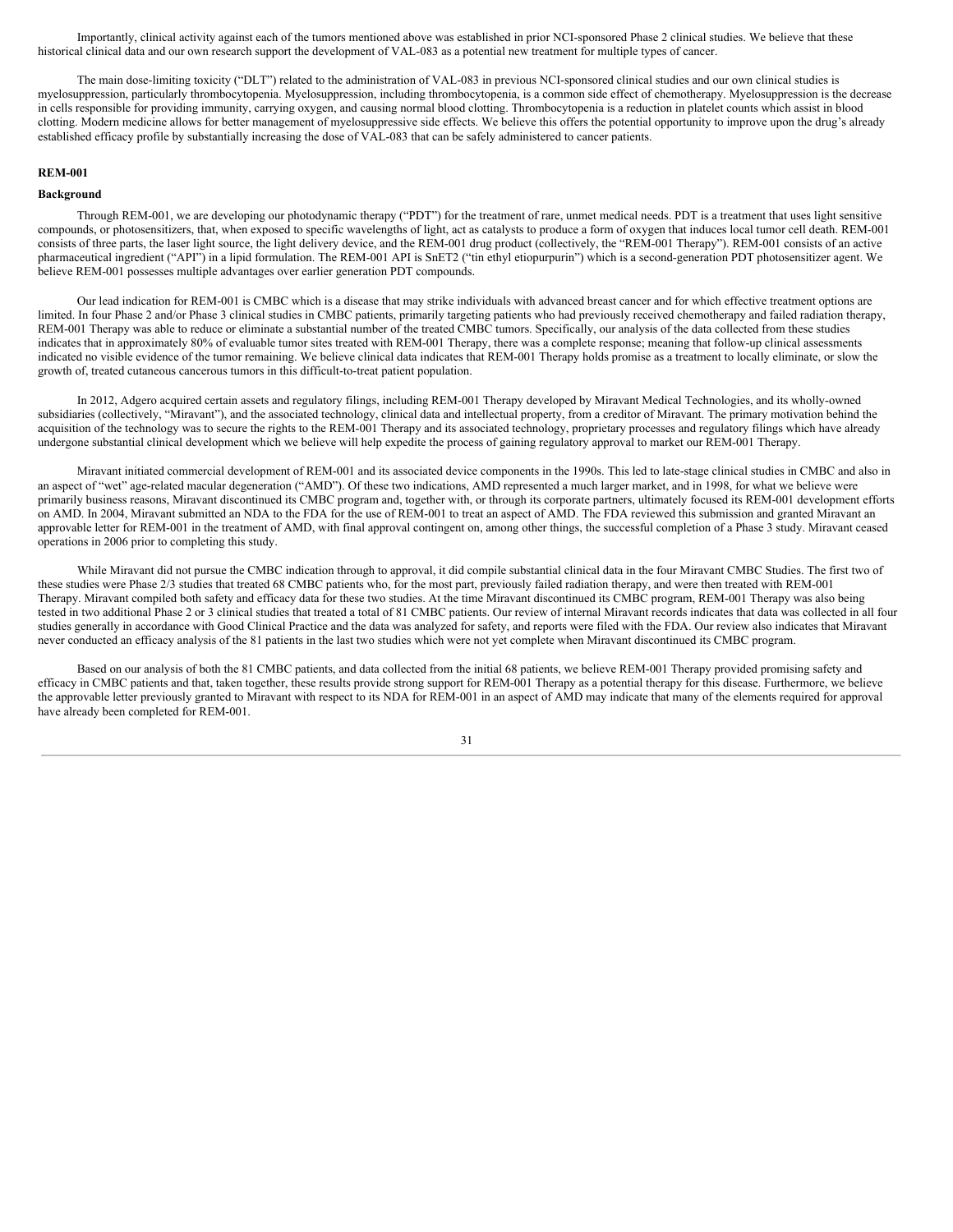Importantly, clinical activity against each of the tumors mentioned above was established in prior NCI-sponsored Phase 2 clinical studies. We believe that these historical clinical data and our own research support the development of VAL-083 as a potential new treatment for multiple types of cancer.

The main dose-limiting toxicity ("DLT") related to the administration of VAL-083 in previous NCI-sponsored clinical studies and our own clinical studies is myelosuppression, particularly thrombocytopenia. Myelosuppression, including thrombocytopenia, is a common side effect of chemotherapy. Myelosuppression is the decrease in cells responsible for providing immunity, carrying oxygen, and causing normal blood clotting. Thrombocytopenia is a reduction in platelet counts which assist in blood clotting. Modern medicine allows for better management of myelosuppressive side effects. We believe this offers the potential opportunity to improve upon the drug's already established efficacy profile by substantially increasing the dose of VAL-083 that can be safely administered to cancer patients.

#### **REM-001**

# **Background**

Through REM-001, we are developing our photodynamic therapy ("PDT") for the treatment of rare, unmet medical needs. PDT is a treatment that uses light sensitive compounds, or photosensitizers, that, when exposed to specific wavelengths of light, act as catalysts to produce a form of oxygen that induces local tumor cell death. REM-001 consists of three parts, the laser light source, the light delivery device, and the REM-001 drug product (collectively, the "REM-001 Therapy"). REM-001 consists of an active pharmaceutical ingredient ("API") in a lipid formulation. The REM-001 API is SnET2 ("tin ethyl etiopurpurin") which is a second-generation PDT photosensitizer agent. We believe REM-001 possesses multiple advantages over earlier generation PDT compounds.

Our lead indication for REM-001 is CMBC which is a disease that may strike individuals with advanced breast cancer and for which effective treatment options are limited. In four Phase 2 and/or Phase 3 clinical studies in CMBC patients, primarily targeting patients who had previously received chemotherapy and failed radiation therapy, REM-001 Therapy was able to reduce or eliminate a substantial number of the treated CMBC tumors. Specifically, our analysis of the data collected from these studies indicates that in approximately 80% of evaluable tumor sites treated with REM-001 Therapy, there was a complete response; meaning that follow-up clinical assessments indicated no visible evidence of the tumor remaining. We believe clinical data indicates that REM-001 Therapy holds promise as a treatment to locally eliminate, or slow the growth of, treated cutaneous cancerous tumors in this difficult-to-treat patient population.

In 2012, Adgero acquired certain assets and regulatory filings, including REM-001 Therapy developed by Miravant Medical Technologies, and its wholly-owned subsidiaries (collectively, "Miravant"), and the associated technology, clinical data and intellectual property, from a creditor of Miravant. The primary motivation behind the acquisition of the technology was to secure the rights to the REM-001 Therapy and its associated technology, proprietary processes and regulatory filings which have already undergone substantial clinical development which we believe will help expedite the process of gaining regulatory approval to market our REM-001 Therapy.

Miravant initiated commercial development of REM-001 and its associated device components in the 1990s. This led to late-stage clinical studies in CMBC and also in an aspect of "wet" age-related macular degeneration ("AMD"). Of these two indications, AMD represented a much larger market, and in 1998, for what we believe were primarily business reasons, Miravant discontinued its CMBC program and, together with, or through its corporate partners, ultimately focused its REM-001 development efforts on AMD. In 2004, Miravant submitted an NDA to the FDA for the use of REM-001 to treat an aspect of AMD. The FDA reviewed this submission and granted Miravant an approvable letter for REM-001 in the treatment of AMD, with final approval contingent on, among other things, the successful completion of a Phase 3 study. Miravant ceased operations in 2006 prior to completing this study.

While Miravant did not pursue the CMBC indication through to approval, it did compile substantial clinical data in the four Miravant CMBC Studies. The first two of these studies were Phase 2/3 studies that treated 68 CMBC patients who, for the most part, previously failed radiation therapy, and were then treated with REM-001 Therapy. Miravant compiled both safety and efficacy data for these two studies. At the time Miravant discontinued its CMBC program, REM-001 Therapy was also being tested in two additional Phase 2 or 3 clinical studies that treated a total of 81 CMBC patients. Our review of internal Miravant records indicates that data was collected in all four studies generally in accordance with Good Clinical Practice and the data was analyzed for safety, and reports were filed with the FDA. Our review also indicates that Miravant never conducted an efficacy analysis of the 81 patients in the last two studies which were not yet complete when Miravant discontinued its CMBC program.

Based on our analysis of both the 81 CMBC patients, and data collected from the initial 68 patients, we believe REM-001 Therapy provided promising safety and efficacy in CMBC patients and that, taken together, these results provide strong support for REM-001 Therapy as a potential therapy for this disease. Furthermore, we believe the approvable letter previously granted to Miravant with respect to its NDA for REM-001 in an aspect of AMD may indicate that many of the elements required for approval have already been completed for REM-001.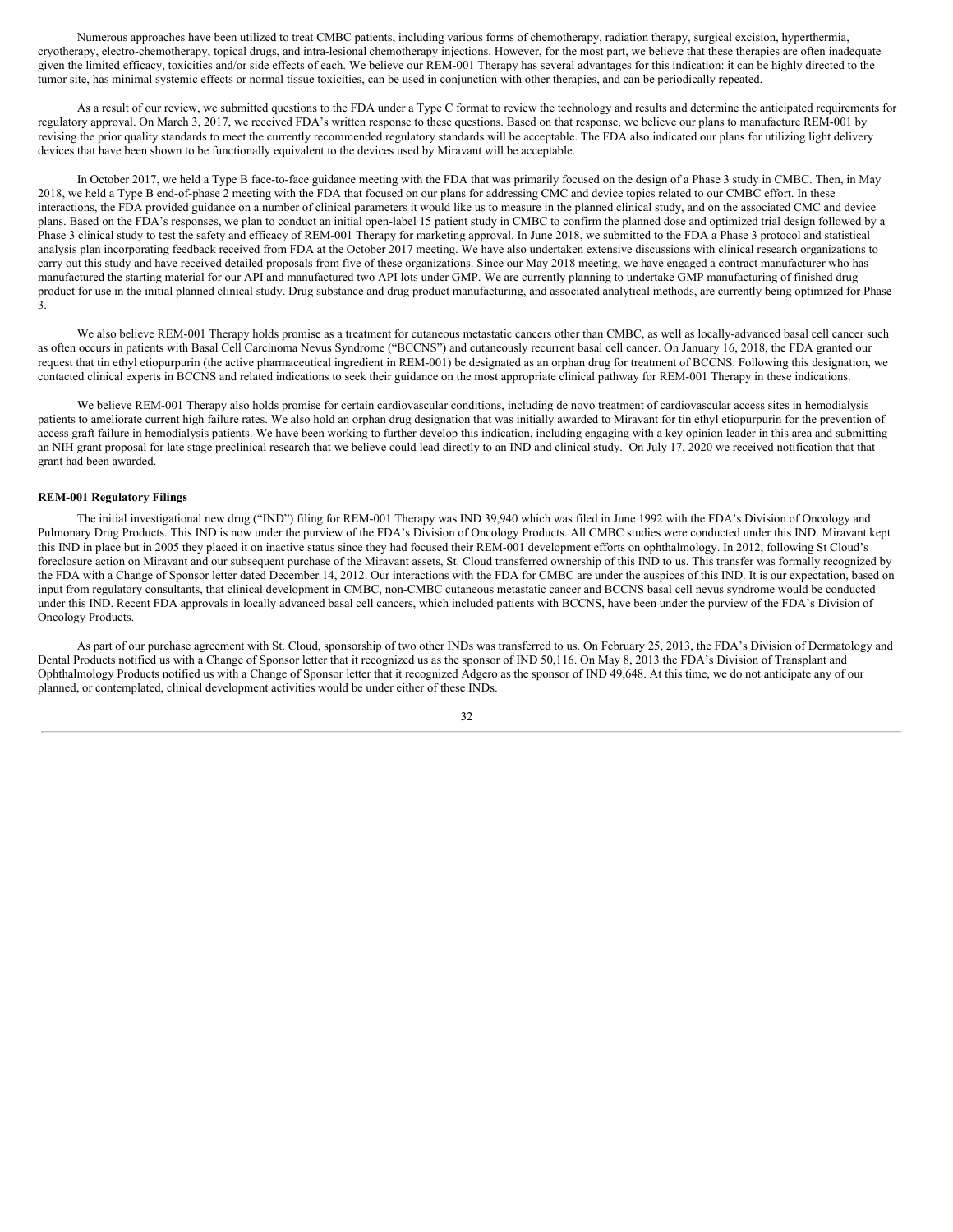Numerous approaches have been utilized to treat CMBC patients, including various forms of chemotherapy, radiation therapy, surgical excision, hyperthermia, cryotherapy, electro-chemotherapy, topical drugs, and intra-lesional chemotherapy injections. However, for the most part, we believe that these therapies are often inadequate given the limited efficacy, toxicities and/or side effects of each. We believe our REM-001 Therapy has several advantages for this indication: it can be highly directed to the tumor site, has minimal systemic effects or normal tissue toxicities, can be used in conjunction with other therapies, and can be periodically repeated.

As a result of our review, we submitted questions to the FDA under a Type C format to review the technology and results and determine the anticipated requirements for regulatory approval. On March 3, 2017, we received FDA's written response to these questions. Based on that response, we believe our plans to manufacture REM-001 by revising the prior quality standards to meet the currently recommended regulatory standards will be acceptable. The FDA also indicated our plans for utilizing light delivery devices that have been shown to be functionally equivalent to the devices used by Miravant will be acceptable.

In October 2017, we held a Type B face-to-face guidance meeting with the FDA that was primarily focused on the design of a Phase 3 study in CMBC. Then, in May 2018, we held a Type B end-of-phase 2 meeting with the FDA that focused on our plans for addressing CMC and device topics related to our CMBC effort. In these interactions, the FDA provided guidance on a number of clinical parameters it would like us to measure in the planned clinical study, and on the associated CMC and device plans. Based on the FDA's responses, we plan to conduct an initial open-label 15 patient study in CMBC to confirm the planned dose and optimized trial design followed by a Phase 3 clinical study to test the safety and efficacy of REM-001 Therapy for marketing approval. In June 2018, we submitted to the FDA a Phase 3 protocol and statistical analysis plan incorporating feedback received from FDA at the October 2017 meeting. We have also undertaken extensive discussions with clinical research organizations to carry out this study and have received detailed proposals from five of these organizations. Since our May 2018 meeting, we have engaged a contract manufacturer who has manufactured the starting material for our API and manufactured two API lots under GMP. We are currently planning to undertake GMP manufacturing of finished drug product for use in the initial planned clinical study. Drug substance and drug product manufacturing, and associated analytical methods, are currently being optimized for Phase 3.

We also believe REM-001 Therapy holds promise as a treatment for cutaneous metastatic cancers other than CMBC, as well as locally-advanced basal cell cancer such as often occurs in patients with Basal Cell Carcinoma Nevus Syndrome ("BCCNS") and cutaneously recurrent basal cell cancer. On January 16, 2018, the FDA granted our request that tin ethyl etiopurpurin (the active pharmaceutical ingredient in REM-001) be designated as an orphan drug for treatment of BCCNS. Following this designation, we contacted clinical experts in BCCNS and related indications to seek their guidance on the most appropriate clinical pathway for REM-001 Therapy in these indications.

We believe REM-001 Therapy also holds promise for certain cardiovascular conditions, including de novo treatment of cardiovascular access sites in hemodialysis patients to ameliorate current high failure rates. We also hold an orphan drug designation that was initially awarded to Miravant for tin ethyl etiopurpurin for the prevention of access graft failure in hemodialysis patients. We have been working to further develop this indication, including engaging with a key opinion leader in this area and submitting an NIH grant proposal for late stage preclinical research that we believe could lead directly to an IND and clinical study. On July 17, 2020 we received notification that that grant had been awarded.

# **REM-001 Regulatory Filings**

The initial investigational new drug ("IND") filing for REM-001 Therapy was IND 39,940 which was filed in June 1992 with the FDA's Division of Oncology and Pulmonary Drug Products. This IND is now under the purview of the FDA's Division of Oncology Products. All CMBC studies were conducted under this IND. Miravant kept this IND in place but in 2005 they placed it on inactive status since they had focused their REM-001 development efforts on ophthalmology. In 2012, following St Cloud's foreclosure action on Miravant and our subsequent purchase of the Miravant assets, St. Cloud transferred ownership of this IND to us. This transfer was formally recognized by the FDA with a Change of Sponsor letter dated December 14, 2012. Our interactions with the FDA for CMBC are under the auspices of this IND. It is our expectation, based on input from regulatory consultants, that clinical development in CMBC, non-CMBC cutaneous metastatic cancer and BCCNS basal cell nevus syndrome would be conducted under this IND. Recent FDA approvals in locally advanced basal cell cancers, which included patients with BCCNS, have been under the purview of the FDA's Division of Oncology Products.

As part of our purchase agreement with St. Cloud, sponsorship of two other INDs was transferred to us. On February 25, 2013, the FDA's Division of Dermatology and Dental Products notified us with a Change of Sponsor letter that it recognized us as the sponsor of IND 50,116. On May 8, 2013 the FDA's Division of Transplant and Ophthalmology Products notified us with a Change of Sponsor letter that it recognized Adgero as the sponsor of IND 49,648. At this time, we do not anticipate any of our planned, or contemplated, clinical development activities would be under either of these INDs.

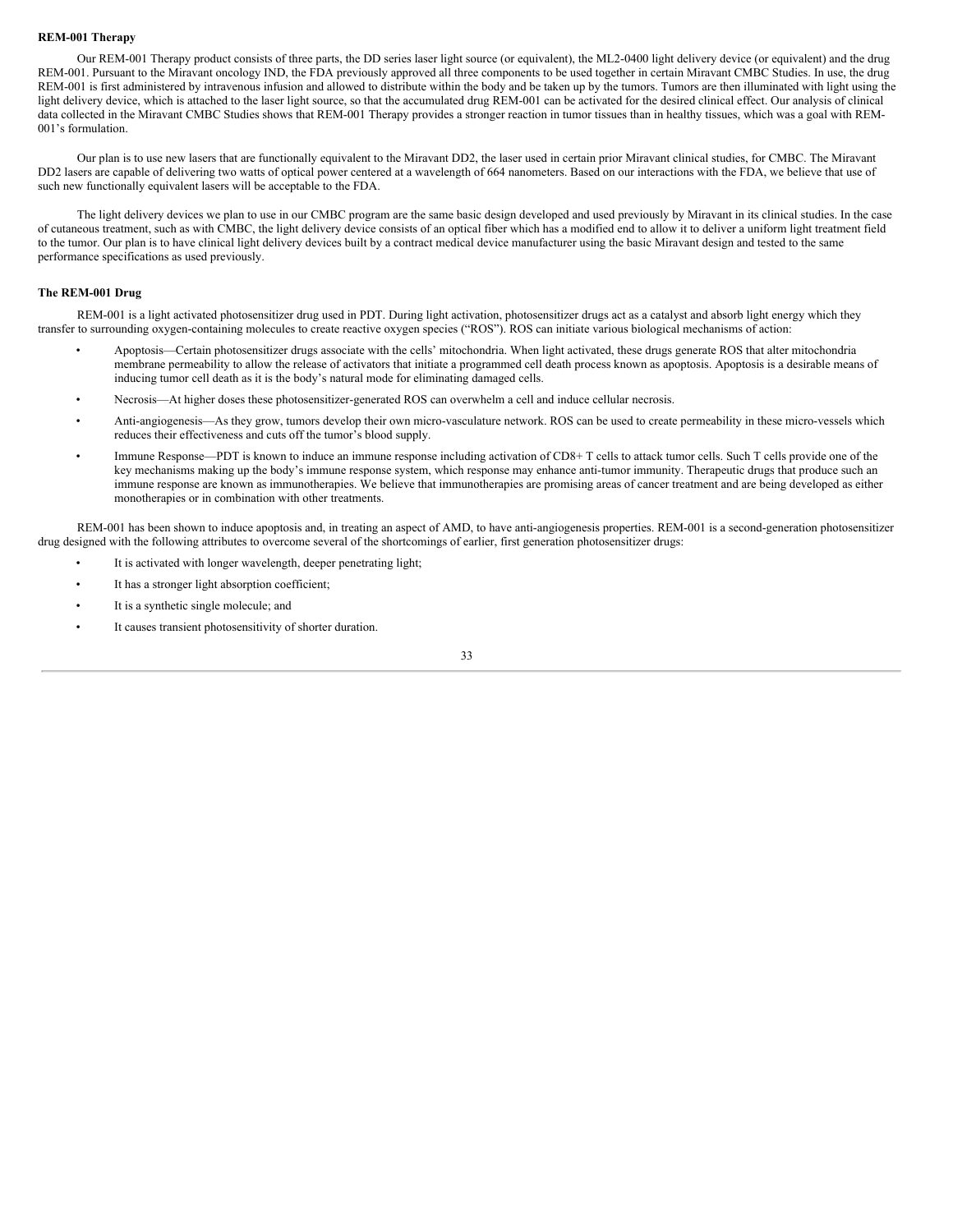#### **REM-001 Therapy**

Our REM-001 Therapy product consists of three parts, the DD series laser light source (or equivalent), the ML2-0400 light delivery device (or equivalent) and the drug REM-001. Pursuant to the Miravant oncology IND, the FDA previously approved all three components to be used together in certain Miravant CMBC Studies. In use, the drug REM-001 is first administered by intravenous infusion and allowed to distribute within the body and be taken up by the tumors. Tumors are then illuminated with light using the light delivery device, which is attached to the laser light source, so that the accumulated drug REM-001 can be activated for the desired clinical effect. Our analysis of clinical data collected in the Miravant CMBC Studies shows that REM-001 Therapy provides a stronger reaction in tumor tissues than in healthy tissues, which was a goal with REM-001's formulation.

Our plan is to use new lasers that are functionally equivalent to the Miravant DD2, the laser used in certain prior Miravant clinical studies, for CMBC. The Miravant DD2 lasers are capable of delivering two watts of optical power centered at a wavelength of 664 nanometers. Based on our interactions with the FDA, we believe that use of such new functionally equivalent lasers will be acceptable to the FDA.

The light delivery devices we plan to use in our CMBC program are the same basic design developed and used previously by Miravant in its clinical studies. In the case of cutaneous treatment, such as with CMBC, the light delivery device consists of an optical fiber which has a modified end to allow it to deliver a uniform light treatment field to the tumor. Our plan is to have clinical light delivery devices built by a contract medical device manufacturer using the basic Miravant design and tested to the same performance specifications as used previously.

# **The REM-001 Drug**

REM-001 is a light activated photosensitizer drug used in PDT. During light activation, photosensitizer drugs act as a catalyst and absorb light energy which they transfer to surrounding oxygen-containing molecules to create reactive oxygen species ("ROS"). ROS can initiate various biological mechanisms of action:

- Apoptosis—Certain photosensitizer drugs associate with the cells' mitochondria. When light activated, these drugs generate ROS that alter mitochondria membrane permeability to allow the release of activators that initiate a programmed cell death process known as apoptosis. Apoptosis is a desirable means of inducing tumor cell death as it is the body's natural mode for eliminating damaged cells.
- Necrosis—At higher doses these photosensitizer-generated ROS can overwhelm a cell and induce cellular necrosis.
- Anti-angiogenesis—As they grow, tumors develop their own micro-vasculature network. ROS can be used to create permeability in these micro-vessels which reduces their effectiveness and cuts off the tumor's blood supply.
- Immune Response—PDT is known to induce an immune response including activation of CD8+ T cells to attack tumor cells. Such T cells provide one of the key mechanisms making up the body's immune response system, which response may enhance anti-tumor immunity. Therapeutic drugs that produce such an immune response are known as immunotherapies. We believe that immunotherapies are promising areas of cancer treatment and are being developed as either monotherapies or in combination with other treatments.

REM-001 has been shown to induce apoptosis and, in treating an aspect of AMD, to have anti-angiogenesis properties. REM-001 is a second-generation photosensitizer drug designed with the following attributes to overcome several of the shortcomings of earlier, first generation photosensitizer drugs:

- It is activated with longer wavelength, deeper penetrating light;
- It has a stronger light absorption coefficient;
- It is a synthetic single molecule; and
- It causes transient photosensitivity of shorter duration.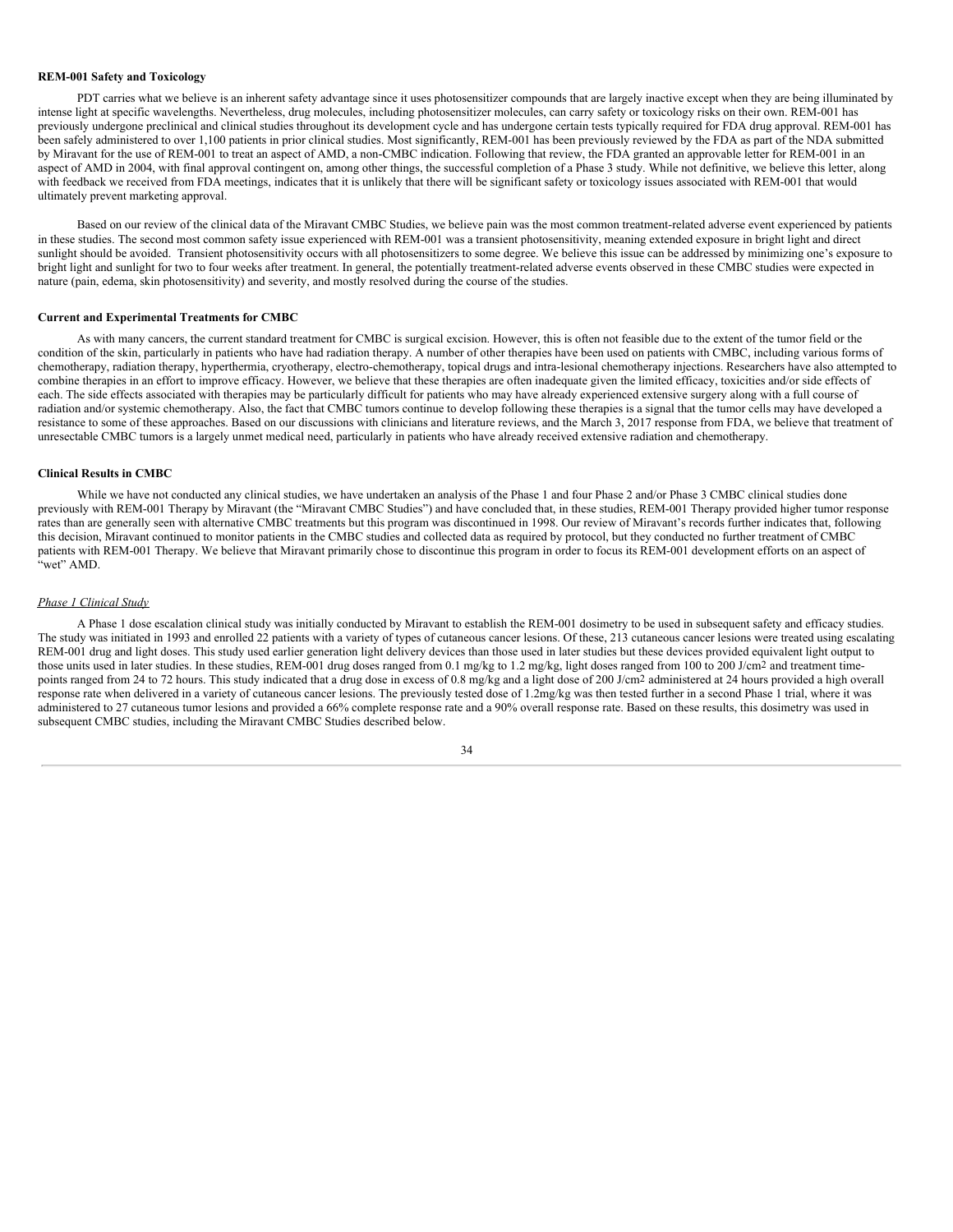## **REM-001 Safety and Toxicology**

PDT carries what we believe is an inherent safety advantage since it uses photosensitizer compounds that are largely inactive except when they are being illuminated by intense light at specific wavelengths. Nevertheless, drug molecules, including photosensitizer molecules, can carry safety or toxicology risks on their own. REM-001 has previously undergone preclinical and clinical studies throughout its development cycle and has undergone certain tests typically required for FDA drug approval. REM-001 has been safely administered to over 1,100 patients in prior clinical studies. Most significantly, REM-001 has been previously reviewed by the FDA as part of the NDA submitted by Miravant for the use of REM-001 to treat an aspect of AMD, a non-CMBC indication. Following that review, the FDA granted an approvable letter for REM-001 in an aspect of AMD in 2004, with final approval contingent on, among other things, the successful completion of a Phase 3 study. While not definitive, we believe this letter, along with feedback we received from FDA meetings, indicates that it is unlikely that there will be significant safety or toxicology issues associated with REM-001 that would ultimately prevent marketing approval.

Based on our review of the clinical data of the Miravant CMBC Studies, we believe pain was the most common treatment-related adverse event experienced by patients in these studies. The second most common safety issue experienced with REM-001 was a transient photosensitivity, meaning extended exposure in bright light and direct sunlight should be avoided. Transient photosensitivity occurs with all photosensitizers to some degree. We believe this issue can be addressed by minimizing one's exposure to bright light and sunlight for two to four weeks after treatment. In general, the potentially treatment-related adverse events observed in these CMBC studies were expected in nature (pain, edema, skin photosensitivity) and severity, and mostly resolved during the course of the studies.

## **Current and Experimental Treatments for CMBC**

As with many cancers, the current standard treatment for CMBC is surgical excision. However, this is often not feasible due to the extent of the tumor field or the condition of the skin, particularly in patients who have had radiation therapy. A number of other therapies have been used on patients with CMBC, including various forms of chemotherapy, radiation therapy, hyperthermia, cryotherapy, electro-chemotherapy, topical drugs and intra-lesional chemotherapy injections. Researchers have also attempted to combine therapies in an effort to improve efficacy. However, we believe that these therapies are often inadequate given the limited efficacy, toxicities and/or side effects of each. The side effects associated with therapies may be particularly difficult for patients who may have already experienced extensive surgery along with a full course of radiation and/or systemic chemotherapy. Also, the fact that CMBC tumors continue to develop following these therapies is a signal that the tumor cells may have developed a resistance to some of these approaches. Based on our discussions with clinicians and literature reviews, and the March 3, 2017 response from FDA, we believe that treatment of unresectable CMBC tumors is a largely unmet medical need, particularly in patients who have already received extensive radiation and chemotherapy.

# **Clinical Results in CMBC**

While we have not conducted any clinical studies, we have undertaken an analysis of the Phase 1 and four Phase 2 and/or Phase 3 CMBC clinical studies done previously with REM-001 Therapy by Miravant (the "Miravant CMBC Studies") and have concluded that, in these studies, REM-001 Therapy provided higher tumor response rates than are generally seen with alternative CMBC treatments but this program was discontinued in 1998. Our review of Miravant's records further indicates that, following this decision, Miravant continued to monitor patients in the CMBC studies and collected data as required by protocol, but they conducted no further treatment of CMBC patients with REM-001 Therapy. We believe that Miravant primarily chose to discontinue this program in order to focus its REM-001 development efforts on an aspect of "wet" AMD.

#### *Phase 1 Clinical Study*

A Phase 1 dose escalation clinical study was initially conducted by Miravant to establish the REM-001 dosimetry to be used in subsequent safety and efficacy studies. The study was initiated in 1993 and enrolled 22 patients with a variety of types of cutaneous cancer lesions. Of these, 213 cutaneous cancer lesions were treated using escalating REM-001 drug and light doses. This study used earlier generation light delivery devices than those used in later studies but these devices provided equivalent light output to those units used in later studies. In these studies, REM-001 drug doses ranged from 0.1 mg/kg to 1.2 mg/kg, light doses ranged from 100 to 200 J/cm<sup>2</sup> and treatment timepoints ranged from 24 to 72 hours. This study indicated that a drug dose in excess of 0.8 mg/kg and a light dose of 200 J/cm<sup>2</sup> administered at 24 hours provided a high overall response rate when delivered in a variety of cutaneous cancer lesions. The previously tested dose of 1.2mg/kg was then tested further in a second Phase 1 trial, where it was administered to 27 cutaneous tumor lesions and provided a 66% complete response rate and a 90% overall response rate. Based on these results, this dosimetry was used in subsequent CMBC studies, including the Miravant CMBC Studies described below.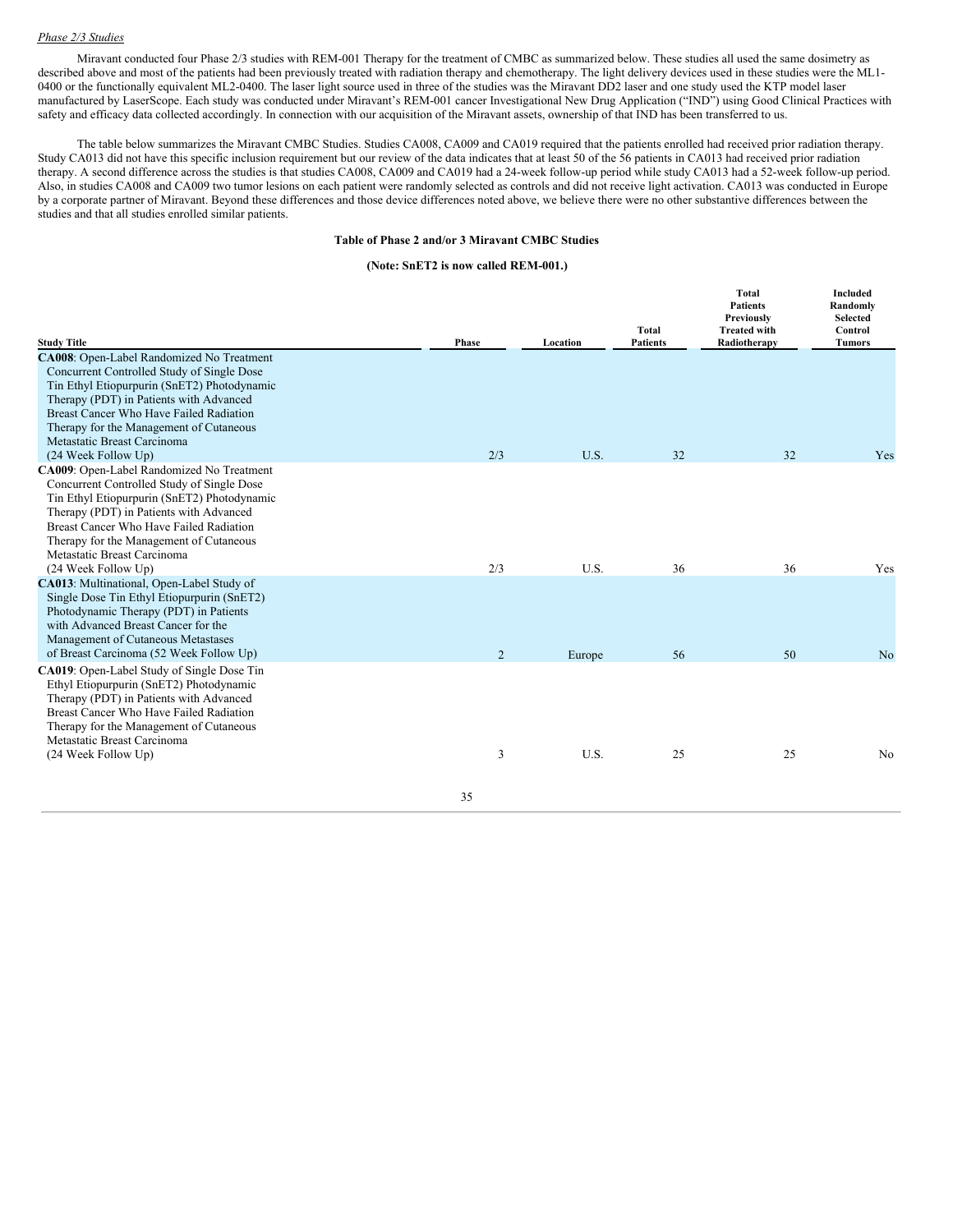# *Phase 2/3 Studies*

Miravant conducted four Phase 2/3 studies with REM-001 Therapy for the treatment of CMBC as summarized below. These studies all used the same dosimetry as described above and most of the patients had been previously treated with radiation therapy and chemotherapy. The light delivery devices used in these studies were the ML1- 0400 or the functionally equivalent ML2-0400. The laser light source used in three of the studies was the Miravant DD2 laser and one study used the KTP model laser manufactured by LaserScope. Each study was conducted under Miravant's REM-001 cancer Investigational New Drug Application ("IND") using Good Clinical Practices with safety and efficacy data collected accordingly. In connection with our acquisition of the Miravant assets, ownership of that IND has been transferred to us.

The table below summarizes the Miravant CMBC Studies. Studies CA008, CA009 and CA019 required that the patients enrolled had received prior radiation therapy. Study CA013 did not have this specific inclusion requirement but our review of the data indicates that at least 50 of the 56 patients in CA013 had received prior radiation therapy. A second difference across the studies is that studies CA008, CA009 and CA019 had a 24-week follow-up period while study CA013 had a 52-week follow-up period. Also, in studies CA008 and CA009 two tumor lesions on each patient were randomly selected as controls and did not receive light activation. CA013 was conducted in Europe by a corporate partner of Miravant. Beyond these differences and those device differences noted above, we believe there were no other substantive differences between the studies and that all studies enrolled similar patients.

# **Table of Phase 2 and/or 3 Miravant CMBC Studies**

# **(Note: SnET2 is now called REM-001.)**

| <b>Study Title</b>                                                     | Phase          | Location | Total<br><b>Patients</b> | <b>Total</b><br><b>Patients</b><br>Previously<br><b>Treated with</b> | Included<br>Randomly<br><b>Selected</b><br>Control<br><b>Tumors</b> |
|------------------------------------------------------------------------|----------------|----------|--------------------------|----------------------------------------------------------------------|---------------------------------------------------------------------|
| <b>CA008</b> : Open-Label Randomized No Treatment                      |                |          |                          | Radiotherapy                                                         |                                                                     |
| Concurrent Controlled Study of Single Dose                             |                |          |                          |                                                                      |                                                                     |
| Tin Ethyl Etiopurpurin (SnET2) Photodynamic                            |                |          |                          |                                                                      |                                                                     |
| Therapy (PDT) in Patients with Advanced                                |                |          |                          |                                                                      |                                                                     |
| Breast Cancer Who Have Failed Radiation                                |                |          |                          |                                                                      |                                                                     |
| Therapy for the Management of Cutaneous                                |                |          |                          |                                                                      |                                                                     |
| Metastatic Breast Carcinoma                                            |                |          |                          |                                                                      |                                                                     |
| (24 Week Follow Up)                                                    | 2/3            | U.S.     | 32                       | 32                                                                   | Yes                                                                 |
| CA009: Open-Label Randomized No Treatment                              |                |          |                          |                                                                      |                                                                     |
| Concurrent Controlled Study of Single Dose                             |                |          |                          |                                                                      |                                                                     |
| Tin Ethyl Etiopurpurin (SnET2) Photodynamic                            |                |          |                          |                                                                      |                                                                     |
| Therapy (PDT) in Patients with Advanced                                |                |          |                          |                                                                      |                                                                     |
| Breast Cancer Who Have Failed Radiation                                |                |          |                          |                                                                      |                                                                     |
| Therapy for the Management of Cutaneous<br>Metastatic Breast Carcinoma |                |          |                          |                                                                      |                                                                     |
| (24 Week Follow Up)                                                    | 2/3            | U.S.     | 36                       | 36                                                                   | Yes                                                                 |
| CA013: Multinational, Open-Label Study of                              |                |          |                          |                                                                      |                                                                     |
| Single Dose Tin Ethyl Etiopurpurin (SnET2)                             |                |          |                          |                                                                      |                                                                     |
| Photodynamic Therapy (PDT) in Patients                                 |                |          |                          |                                                                      |                                                                     |
| with Advanced Breast Cancer for the                                    |                |          |                          |                                                                      |                                                                     |
| Management of Cutaneous Metastases                                     |                |          |                          |                                                                      |                                                                     |
| of Breast Carcinoma (52 Week Follow Up)                                | $\overline{2}$ | Europe   | 56                       | 50                                                                   | No                                                                  |
| CA019: Open-Label Study of Single Dose Tin                             |                |          |                          |                                                                      |                                                                     |
| Ethyl Etiopurpurin (SnET2) Photodynamic                                |                |          |                          |                                                                      |                                                                     |
| Therapy (PDT) in Patients with Advanced                                |                |          |                          |                                                                      |                                                                     |
| Breast Cancer Who Have Failed Radiation                                |                |          |                          |                                                                      |                                                                     |
| Therapy for the Management of Cutaneous                                |                |          |                          |                                                                      |                                                                     |
| Metastatic Breast Carcinoma                                            |                |          |                          |                                                                      |                                                                     |
| (24 Week Follow Up)                                                    | 3              | U.S.     | 25                       | 25                                                                   | N <sub>0</sub>                                                      |
|                                                                        | 35             |          |                          |                                                                      |                                                                     |
|                                                                        |                |          |                          |                                                                      |                                                                     |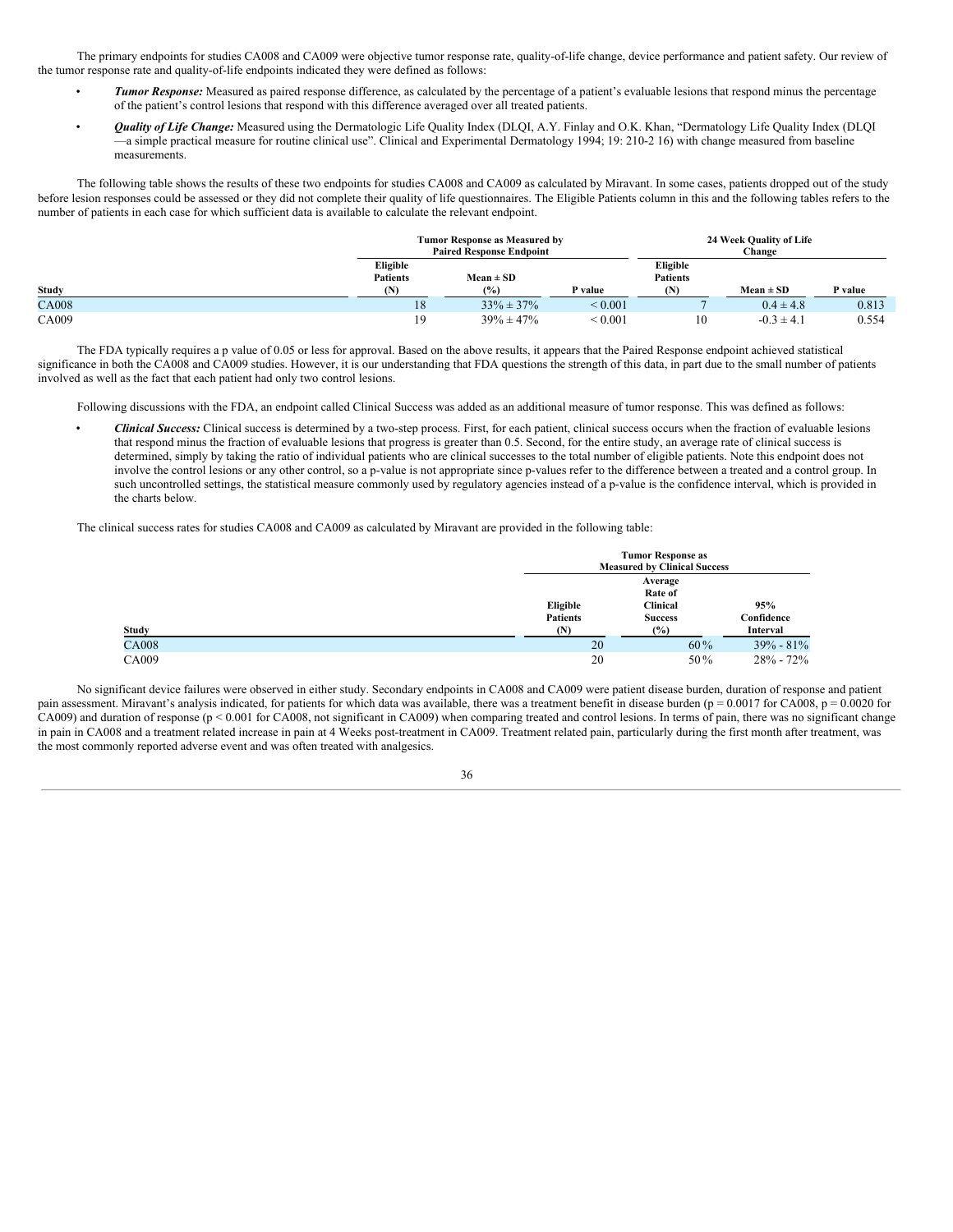The primary endpoints for studies CA008 and CA009 were objective tumor response rate, quality-of-life change, device performance and patient safety. Our review of the tumor response rate and quality-of-life endpoints indicated they were defined as follows:

- *Tumor Response:* Measured as paired response difference, as calculated by the percentage of a patient's evaluable lesions that respond minus the percentage of the patient's control lesions that respond with this difference averaged over all treated patients.
- *Quality of Life Change:* Measured using the Dermatologic Life Quality Index (DLQI, A.Y. Finlay and O.K. Khan, "Dermatology Life Quality Index (DLQI —a simple practical measure for routine clinical use". Clinical and Experimental Dermatology 1994; 19: 210-2 16) with change measured from baseline measurements.

The following table shows the results of these two endpoints for studies CA008 and CA009 as calculated by Miravant. In some cases, patients dropped out of the study before lesion responses could be assessed or they did not complete their quality of life questionnaires. The Eligible Patients column in this and the following tables refers to the number of patients in each case for which sufficient data is available to calculate the relevant endpoint.

|              | <b>Tumor Response as Measured by</b><br><b>Paired Response Endpoint</b> |                      | 24 Week Quality of Life<br>Change |                             |                |         |
|--------------|-------------------------------------------------------------------------|----------------------|-----------------------------------|-----------------------------|----------------|---------|
| Study        | Eligible<br><b>Patients</b><br>(N)                                      | $Mean \pm SD$<br>(%) | P value                           | Eligible<br><b>Patients</b> | $Mean \pm SD$  | P value |
| <b>CA008</b> | 18                                                                      | $33\% \pm 37\%$      | ${}_{0.001}$                      |                             | $0.4 \pm 4.8$  | 0.813   |
| <b>CA009</b> | 19                                                                      | $39\% \pm 47\%$      | ${}_{0.001}$                      |                             | $-0.3 \pm 4.1$ | 0.554   |

The FDA typically requires a p value of 0.05 or less for approval. Based on the above results, it appears that the Paired Response endpoint achieved statistical significance in both the CA008 and CA009 studies. However, it is our understanding that FDA questions the strength of this data, in part due to the small number of patients involved as well as the fact that each patient had only two control lesions.

Following discussions with the FDA, an endpoint called Clinical Success was added as an additional measure of tumor response. This was defined as follows:

• *Clinical Success:* Clinical success is determined by a two-step process. First, for each patient, clinical success occurs when the fraction of evaluable lesions that respond minus the fraction of evaluable lesions that progress is greater than 0.5. Second, for the entire study, an average rate of clinical success is determined, simply by taking the ratio of individual patients who are clinical successes to the total number of eligible patients. Note this endpoint does not involve the control lesions or any other control, so a p-value is not appropriate since p-values refer to the difference between a treated and a control group. In such uncontrolled settings, the statistical measure commonly used by regulatory agencies instead of a p-value is the confidence interval, which is provided in the charts below.

The clinical success rates for studies CA008 and CA009 as calculated by Miravant are provided in the following table:

|              |                 | <b>Tumor Response as</b><br><b>Measured by Clinical Success</b> |               |  |
|--------------|-----------------|-----------------------------------------------------------------|---------------|--|
|              |                 | Average<br>Rate of                                              |               |  |
|              | Eligible        | Clinical                                                        | 95%           |  |
|              | <b>Patients</b> | <b>Success</b>                                                  | Confidence    |  |
| Study        | (N)             | $\frac{6}{2}$                                                   | Interval      |  |
| <b>CA008</b> | 20              | $60\%$                                                          | $39\% - 81\%$ |  |
| CA009        | 20              | 50%                                                             | $28\% - 72\%$ |  |

No significant device failures were observed in either study. Secondary endpoints in CA008 and CA009 were patient disease burden, duration of response and patient pain assessment. Miravant's analysis indicated, for patients for which data was available, there was a treatment benefit in disease burden (p =  $0.0017$  for CA008, p =  $0.0020$  for CA009) and duration of response (p < 0.001 for CA008, not significant in CA009) when comparing treated and control lesions. In terms of pain, there was no significant change in pain in CA008 and a treatment related increase in pain at 4 Weeks post-treatment in CA009. Treatment related pain, particularly during the first month after treatment, was the most commonly reported adverse event and was often treated with analgesics.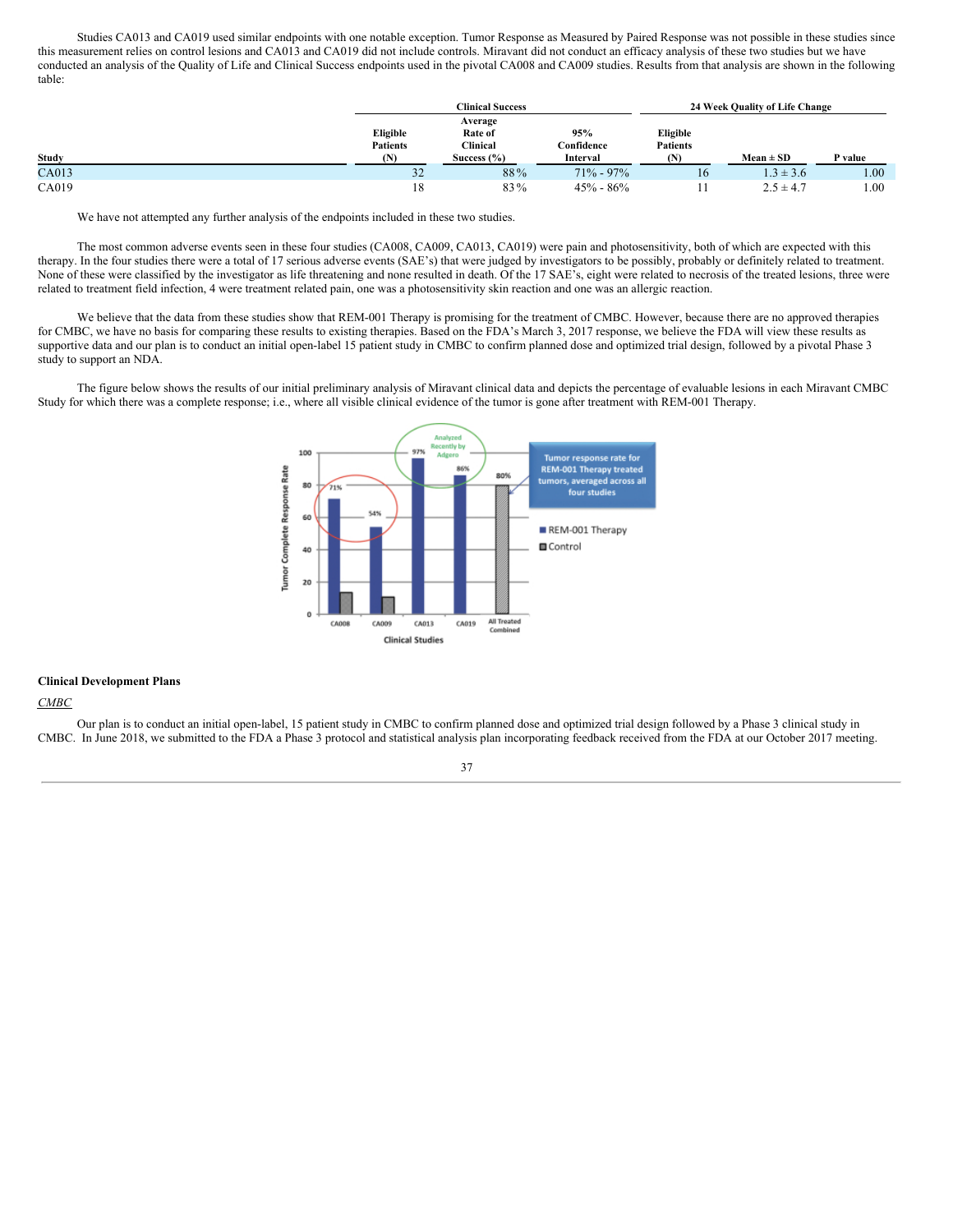Studies CA013 and CA019 used similar endpoints with one notable exception. Tumor Response as Measured by Paired Response was not possible in these studies since this measurement relies on control lesions and CA013 and CA019 did not include controls. Miravant did not conduct an efficacy analysis of these two studies but we have conducted an analysis of the Quality of Life and Clinical Success endpoints used in the pivotal CA008 and CA009 studies. Results from that analysis are shown in the following table:

|       | <b>Clinical Success</b>     |                                | 24 Week Quality of Life Change |                                  |               |         |
|-------|-----------------------------|--------------------------------|--------------------------------|----------------------------------|---------------|---------|
|       | Eligible<br><b>Patients</b> | Average<br>Rate of<br>Clinical | 95%<br>Confidence              | Eligible<br><b>Patients</b><br>N |               |         |
| Study | (N)                         | Success $(\% )$                | Interval                       |                                  | $Mean \pm SD$ | P value |
| CA013 | 32                          | 88%                            | $71\% - 97\%$                  | 16                               | $1.3 \pm 3.6$ | 1.00    |
| CA019 | 18                          | 83%                            | $45\% - 86\%$                  |                                  | $2.5 \pm 4.7$ | 00.1    |

We have not attempted any further analysis of the endpoints included in these two studies.

The most common adverse events seen in these four studies (CA008, CA009, CA013, CA019) were pain and photosensitivity, both of which are expected with this therapy. In the four studies there were a total of 17 serious adverse events (SAE's) that were judged by investigators to be possibly, probably or definitely related to treatment. None of these were classified by the investigator as life threatening and none resulted in death. Of the 17 SAE's, eight were related to necrosis of the treated lesions, three were related to treatment field infection, 4 were treatment related pain, one was a photosensitivity skin reaction and one was an allergic reaction.

We believe that the data from these studies show that REM-001 Therapy is promising for the treatment of CMBC. However, because there are no approved therapies for CMBC, we have no basis for comparing these results to existing therapies. Based on the FDA's March 3, 2017 response, we believe the FDA will view these results as supportive data and our plan is to conduct an initial open-label 15 patient study in CMBC to confirm planned dose and optimized trial design, followed by a pivotal Phase 3 study to support an NDA.

The figure below shows the results of our initial preliminary analysis of Miravant clinical data and depicts the percentage of evaluable lesions in each Miravant CMBC Study for which there was a complete response; i.e., where all visible clinical evidence of the tumor is gone after treatment with REM-001 Therapy.



# **Clinical Development Plans**

## *CMBC*

Our plan is to conduct an initial open-label, 15 patient study in CMBC to confirm planned dose and optimized trial design followed by a Phase 3 clinical study in CMBC. In June 2018, we submitted to the FDA a Phase 3 protocol and statistical analysis plan incorporating feedback received from the FDA at our October 2017 meeting.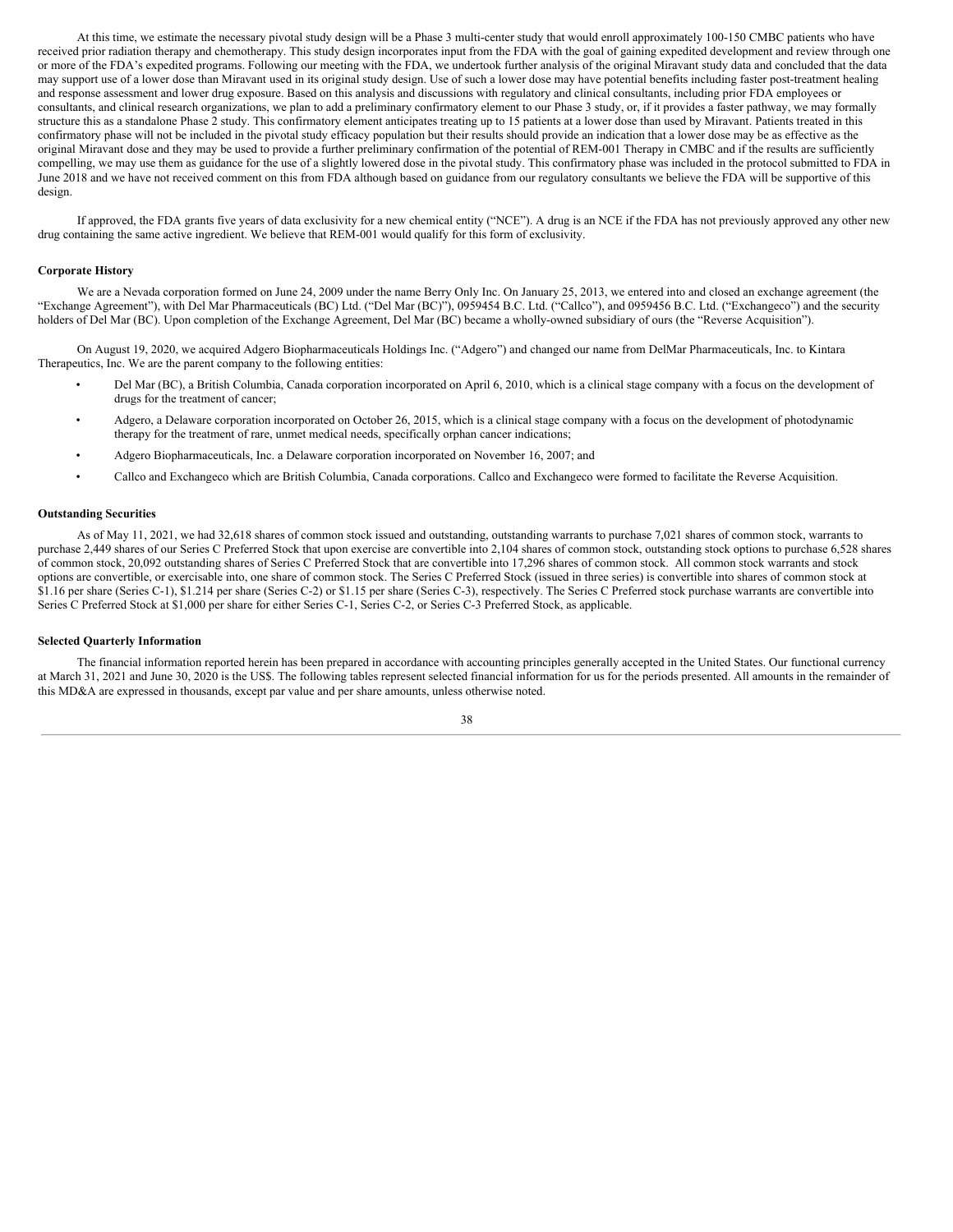At this time, we estimate the necessary pivotal study design will be a Phase 3 multi-center study that would enroll approximately 100-150 CMBC patients who have received prior radiation therapy and chemotherapy. This study design incorporates input from the FDA with the goal of gaining expedited development and review through one or more of the FDA's expedited programs. Following our meeting with the FDA, we undertook further analysis of the original Miravant study data and concluded that the data may support use of a lower dose than Miravant used in its original study design. Use of such a lower dose may have potential benefits including faster post-treatment healing and response assessment and lower drug exposure. Based on this analysis and discussions with regulatory and clinical consultants, including prior FDA employees or consultants, and clinical research organizations, we plan to add a preliminary confirmatory element to our Phase 3 study, or, if it provides a faster pathway, we may formally structure this as a standalone Phase 2 study. This confirmatory element anticipates treating up to 15 patients at a lower dose than used by Miravant. Patients treated in this confirmatory phase will not be included in the pivotal study efficacy population but their results should provide an indication that a lower dose may be as effective as the original Miravant dose and they may be used to provide a further preliminary confirmation of the potential of REM-001 Therapy in CMBC and if the results are sufficiently compelling, we may use them as guidance for the use of a slightly lowered dose in the pivotal study. This confirmatory phase was included in the protocol submitted to FDA in June 2018 and we have not received comment on this from FDA although based on guidance from our regulatory consultants we believe the FDA will be supportive of this design.

If approved, the FDA grants five years of data exclusivity for a new chemical entity ("NCE"). A drug is an NCE if the FDA has not previously approved any other new drug containing the same active ingredient. We believe that REM-001 would qualify for this form of exclusivity.

# **Corporate History**

We are a Nevada corporation formed on June 24, 2009 under the name Berry Only Inc. On January 25, 2013, we entered into and closed an exchange agreement (the "Exchange Agreement"), with Del Mar Pharmaceuticals (BC) Ltd. ("Del Mar (BC)"), 0959454 B.C. Ltd. ("Callco"), and 0959456 B.C. Ltd. ("Exchangeco") and the security holders of Del Mar (BC). Upon completion of the Exchange Agreement, Del Mar (BC) became a wholly-owned subsidiary of ours (the "Reverse Acquisition").

On August 19, 2020, we acquired Adgero Biopharmaceuticals Holdings Inc. ("Adgero") and changed our name from DelMar Pharmaceuticals, Inc. to Kintara Therapeutics, Inc. We are the parent company to the following entities:

- Del Mar (BC), a British Columbia, Canada corporation incorporated on April 6, 2010, which is a clinical stage company with a focus on the development of drugs for the treatment of cancer;
- Adgero, a Delaware corporation incorporated on October 26, 2015, which is a clinical stage company with a focus on the development of photodynamic therapy for the treatment of rare, unmet medical needs, specifically orphan cancer indications;
- Adgero Biopharmaceuticals, Inc. a Delaware corporation incorporated on November 16, 2007; and
- Callco and Exchangeco which are British Columbia, Canada corporations. Callco and Exchangeco were formed to facilitate the Reverse Acquisition.

# **Outstanding Securities**

As of May 11, 2021, we had 32,618 shares of common stock issued and outstanding, outstanding warrants to purchase 7,021 shares of common stock, warrants to purchase 2,449 shares of our Series C Preferred Stock that upon exercise are convertible into 2,104 shares of common stock, outstanding stock options to purchase 6,528 shares of common stock, 20,092 outstanding shares of Series C Preferred Stock that are convertible into 17,296 shares of common stock. All common stock warrants and stock options are convertible, or exercisable into, one share of common stock. The Series C Preferred Stock (issued in three series) is convertible into shares of common stock at \$1.16 per share (Series C-1), \$1.214 per share (Series C-2) or \$1.15 per share (Series C-3), respectively. The Series C Preferred stock purchase warrants are convertible into Series C Preferred Stock at \$1,000 per share for either Series C-1, Series C-2, or Series C-3 Preferred Stock, as applicable.

#### **Selected Quarterly Information**

The financial information reported herein has been prepared in accordance with accounting principles generally accepted in the United States. Our functional currency at March 31, 2021 and June 30, 2020 is the US\$. The following tables represent selected financial information for us for the periods presented. All amounts in the remainder of this MD&A are expressed in thousands, except par value and per share amounts, unless otherwise noted.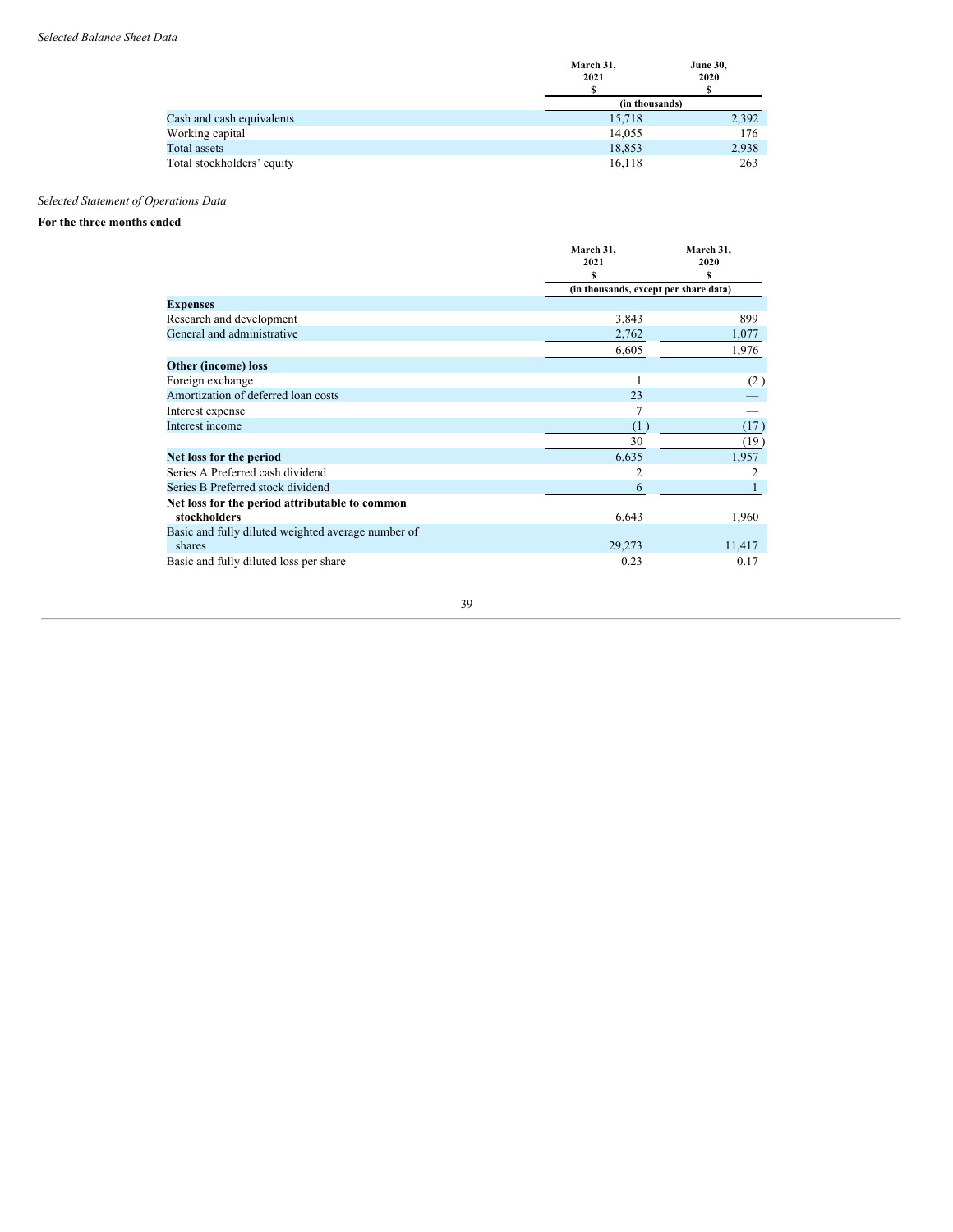|                            | March 31,<br>2021 | <b>June 30,</b><br>2020 |
|----------------------------|-------------------|-------------------------|
|                            | (in thousands)    |                         |
| Cash and cash equivalents  | 15,718            | 2,392                   |
| Working capital            | 14.055            | 176                     |
| Total assets               | 18,853            | 2,938                   |
| Total stockholders' equity | 16.118            | 263                     |

# *Selected Statement of Operations Data*

**For the three months ended**

|                                                    | March 31,<br>2021                     | March 31,<br>2020 |
|----------------------------------------------------|---------------------------------------|-------------------|
|                                                    | S                                     | S                 |
|                                                    | (in thousands, except per share data) |                   |
| <b>Expenses</b>                                    |                                       |                   |
| Research and development                           | 3,843                                 | 899               |
| General and administrative                         | 2,762                                 | 1,077             |
|                                                    | 6,605                                 | 1,976             |
| Other (income) loss                                |                                       |                   |
| Foreign exchange                                   |                                       | (2)               |
| Amortization of deferred loan costs                | 23                                    |                   |
| Interest expense                                   | 7                                     |                   |
| Interest income                                    | (1)                                   | (17)              |
|                                                    | 30                                    | (19)              |
| Net loss for the period                            | 6,635                                 | 1,957             |
| Series A Preferred cash dividend                   | 2                                     | 2                 |
| Series B Preferred stock dividend                  | 6                                     |                   |
| Net loss for the period attributable to common     |                                       |                   |
| stockholders                                       | 6,643                                 | 1,960             |
| Basic and fully diluted weighted average number of |                                       |                   |
| shares                                             | 29,273                                | 11,417            |
| Basic and fully diluted loss per share             | 0.23                                  | 0.17              |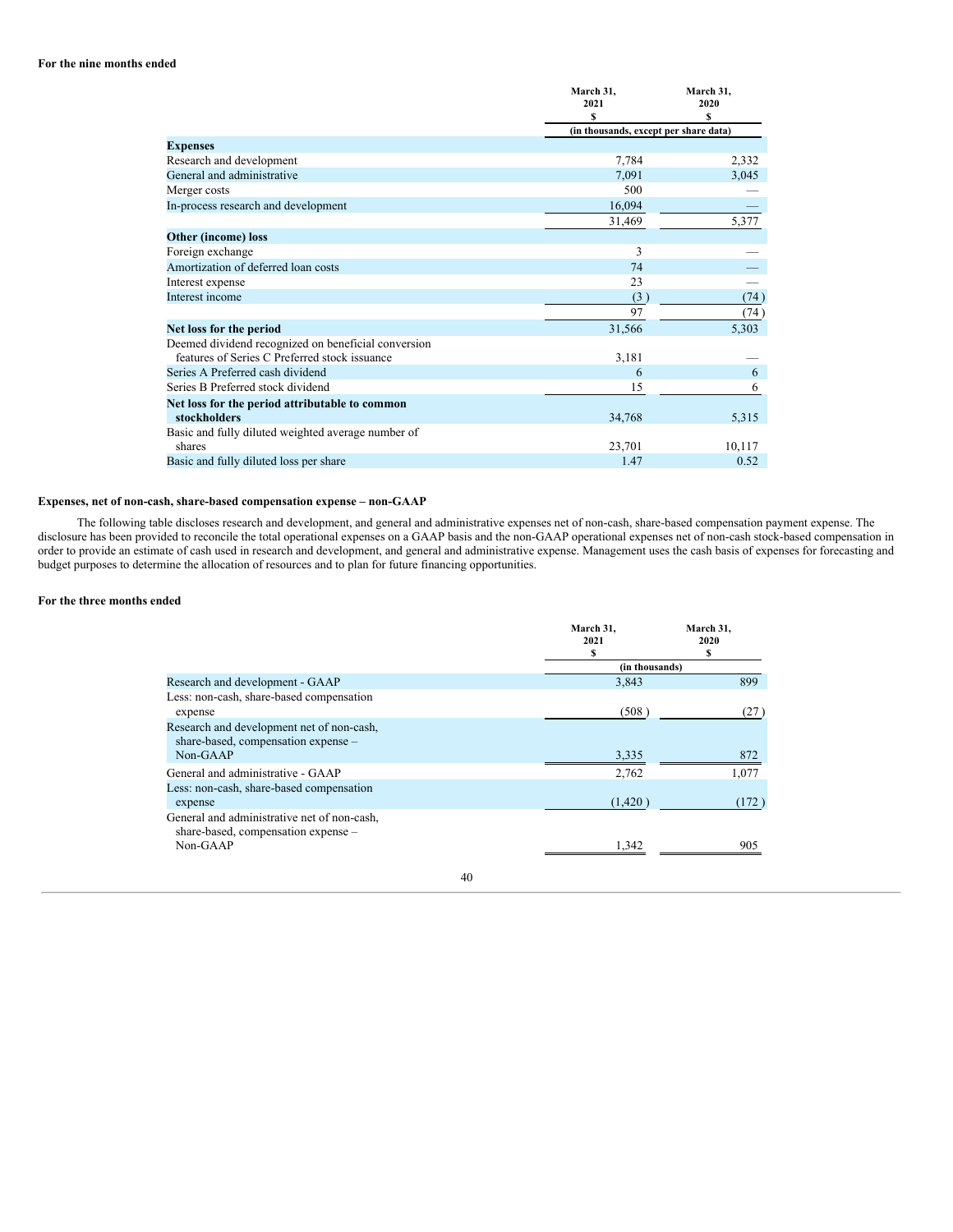# **For the nine months ended**

|                                                     | March 31.<br>2021                     | March 31.<br>2020 |
|-----------------------------------------------------|---------------------------------------|-------------------|
|                                                     | S                                     | S                 |
| <b>Expenses</b>                                     | (in thousands, except per share data) |                   |
| Research and development                            | 7,784                                 | 2,332             |
| General and administrative                          | 7.091                                 | 3,045             |
|                                                     |                                       |                   |
| Merger costs                                        | 500                                   |                   |
| In-process research and development                 | 16,094                                |                   |
|                                                     | 31,469                                | 5,377             |
| Other (income) loss                                 |                                       |                   |
| Foreign exchange                                    | 3                                     |                   |
| Amortization of deferred loan costs                 | 74                                    |                   |
| Interest expense                                    | 23                                    |                   |
| Interest income                                     | (3)                                   | (74)              |
|                                                     | 97                                    | (74)              |
| Net loss for the period                             | 31,566                                | 5,303             |
| Deemed dividend recognized on beneficial conversion |                                       |                   |
| features of Series C Preferred stock issuance       | 3,181                                 |                   |
| Series A Preferred cash dividend                    | 6                                     | 6                 |
| Series B Preferred stock dividend                   | 15                                    | 6                 |
| Net loss for the period attributable to common      |                                       |                   |
| stockholders                                        | 34,768                                | 5,315             |
| Basic and fully diluted weighted average number of  |                                       |                   |
| shares                                              | 23,701                                | 10,117            |
| Basic and fully diluted loss per share              | 1.47                                  | 0.52              |

# **Expenses, net of non-cash, share-based compensation expense – non-GAAP**

The following table discloses research and development, and general and administrative expenses net of non-cash, share-based compensation payment expense. The disclosure has been provided to reconcile the total operational expenses on a GAAP basis and the non-GAAP operational expenses net of non-cash stock-based compensation in order to provide an estimate of cash used in research and development, and general and administrative expense. Management uses the cash basis of expenses for forecasting and budget purposes to determine the allocation of resources and to plan for future financing opportunities.

# **For the three months ended**

|                                                                                                | March 31.<br>2021 | March 31,<br>2020 |
|------------------------------------------------------------------------------------------------|-------------------|-------------------|
|                                                                                                | S                 | s                 |
|                                                                                                | (in thousands)    |                   |
| Research and development - GAAP                                                                | 3,843             | 899               |
| Less: non-cash, share-based compensation<br>expense                                            | (508)             | (27)              |
| Research and development net of non-cash,<br>share-based, compensation expense -<br>Non-GAAP   | 3,335             | 872               |
| General and administrative - GAAP                                                              | 2,762             | 1,077             |
| Less: non-cash, share-based compensation<br>expense                                            | (1,420)           | (172)             |
| General and administrative net of non-cash,<br>share-based, compensation expense -<br>Non-GAAP | 1.342             | 905               |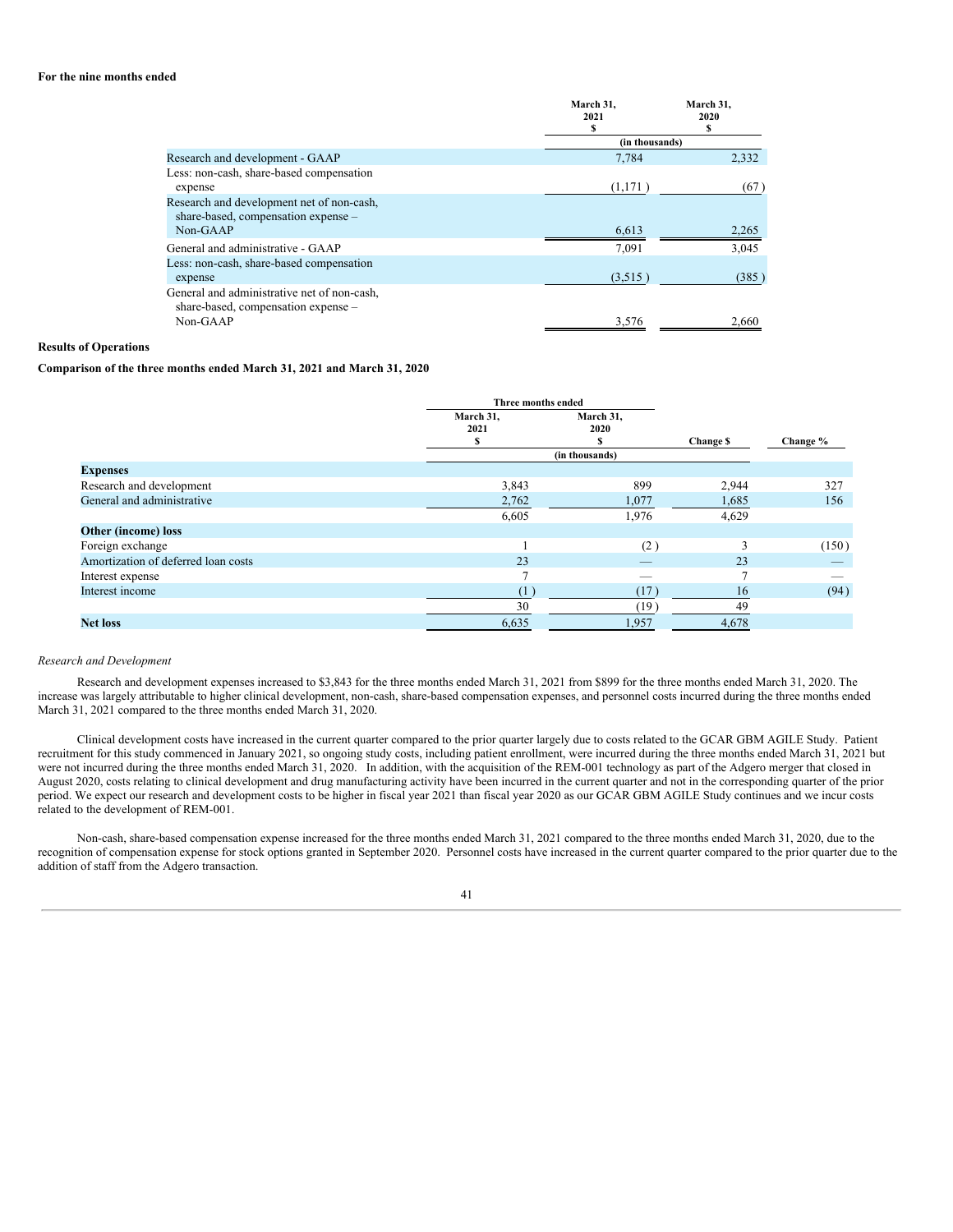## **For the nine months ended**

|                                                                                                | March 31.<br>2021<br>S | March 31,<br>2020<br>s |
|------------------------------------------------------------------------------------------------|------------------------|------------------------|
|                                                                                                | (in thousands)         |                        |
| Research and development - GAAP                                                                | 7,784                  | 2,332                  |
| Less: non-cash, share-based compensation<br>expense                                            | (1,171)                | (67)                   |
| Research and development net of non-cash,<br>share-based, compensation expense -<br>Non-GAAP   | 6,613                  | 2,265                  |
| General and administrative - GAAP<br>Less: non-cash, share-based compensation<br>expense       | 7.091<br>(3,515)       | 3,045<br>(385)         |
| General and administrative net of non-cash,<br>share-based, compensation expense –<br>Non-GAAP | 3,576                  | 2.660                  |

# **Results of Operations**

# **Comparison of the three months ended March 31, 2021 and March 31, 2020**

|                                     | Three months ended |                   |           |          |
|-------------------------------------|--------------------|-------------------|-----------|----------|
|                                     | March 31,<br>2021  | March 31,<br>2020 |           |          |
|                                     | э                  |                   | Change \$ | Change % |
|                                     |                    | (in thousands)    |           |          |
| <b>Expenses</b>                     |                    |                   |           |          |
| Research and development            | 3,843              | 899               | 2,944     | 327      |
| General and administrative          | 2,762              | 1,077             | 1,685     | 156      |
|                                     | 6,605              | 1,976             | 4,629     |          |
| Other (income) loss                 |                    |                   |           |          |
| Foreign exchange                    |                    | (2)               |           | (150)    |
| Amortization of deferred loan costs | 23                 |                   | 23        |          |
| Interest expense                    |                    |                   |           |          |
| Interest income                     | (1)                | (17)              | 16        | (94)     |
|                                     | 30                 | (19)              | 49        |          |
| <b>Net loss</b>                     | 6,635              | 1,957             | 4,678     |          |

## *Research and Development*

Research and development expenses increased to \$3,843 for the three months ended March 31, 2021 from \$899 for the three months ended March 31, 2020. The increase was largely attributable to higher clinical development, non-cash, share-based compensation expenses, and personnel costs incurred during the three months ended March 31, 2021 compared to the three months ended March 31, 2020.

Clinical development costs have increased in the current quarter compared to the prior quarter largely due to costs related to the GCAR GBM AGILE Study. Patient recruitment for this study commenced in January 2021, so ongoing study costs, including patient enrollment, were incurred during the three months ended March 31, 2021 but were not incurred during the three months ended March 31, 2020. In addition, with the acquisition of the REM-001 technology as part of the Adgero merger that closed in August 2020, costs relating to clinical development and drug manufacturing activity have been incurred in the current quarter and not in the corresponding quarter of the prior period. We expect our research and development costs to be higher in fiscal year 2021 than fiscal year 2020 as our GCAR GBM AGILE Study continues and we incur costs related to the development of REM-001.

Non-cash, share-based compensation expense increased for the three months ended March 31, 2021 compared to the three months ended March 31, 2020, due to the recognition of compensation expense for stock options granted in September 2020. Personnel costs have increased in the current quarter compared to the prior quarter due to the addition of staff from the Adgero transaction.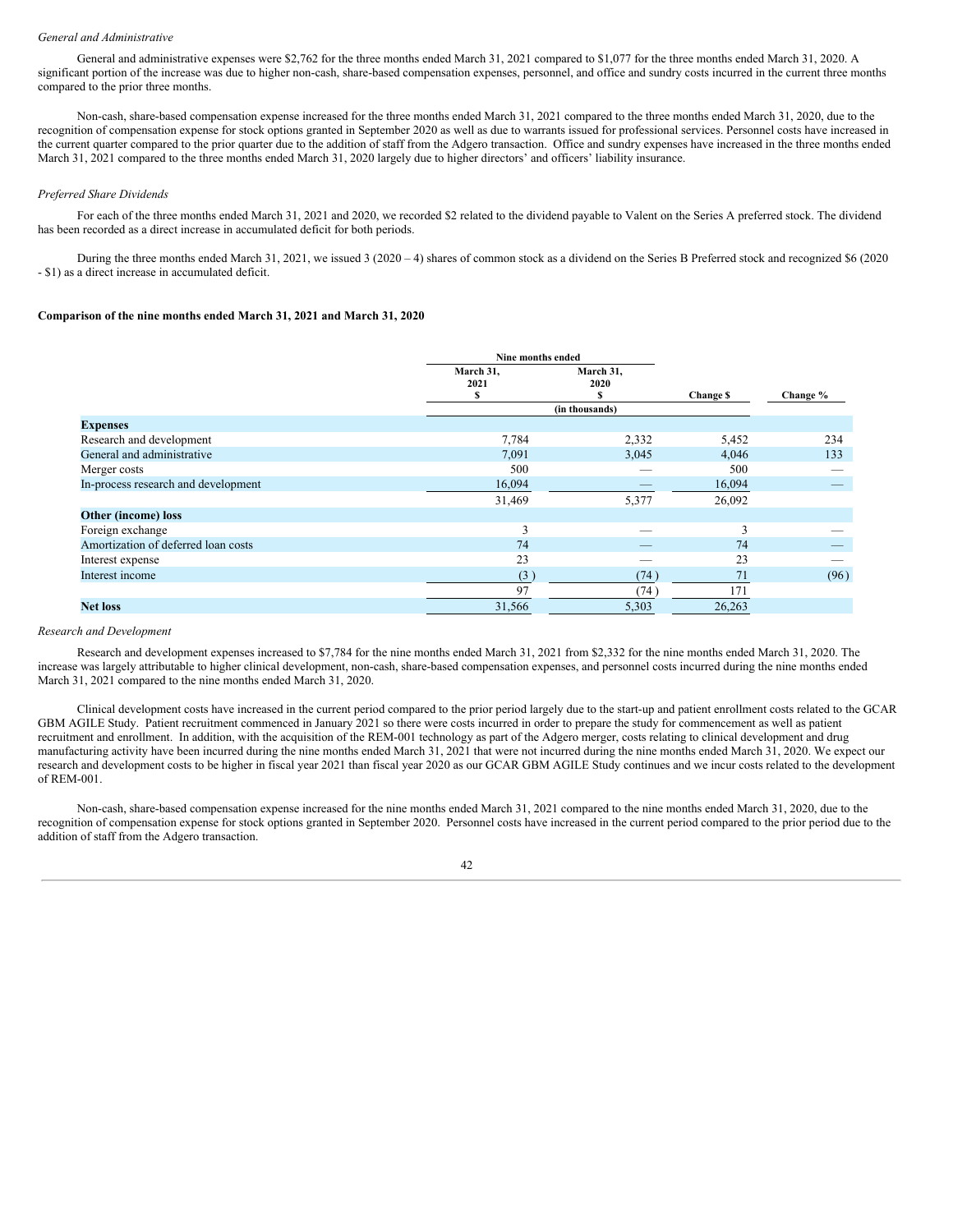#### *General and Administrative*

General and administrative expenses were \$2,762 for the three months ended March 31, 2021 compared to \$1,077 for the three months ended March 31, 2020. A significant portion of the increase was due to higher non-cash, share-based compensation expenses, personnel, and office and sundry costs incurred in the current three months compared to the prior three months.

Non-cash, share-based compensation expense increased for the three months ended March 31, 2021 compared to the three months ended March 31, 2020, due to the recognition of compensation expense for stock options granted in September 2020 as well as due to warrants issued for professional services. Personnel costs have increased in the current quarter compared to the prior quarter due to the addition of staff from the Adgero transaction. Office and sundry expenses have increased in the three months ended March 31, 2021 compared to the three months ended March 31, 2020 largely due to higher directors' and officers' liability insurance.

# *Preferred Share Dividends*

For each of the three months ended March 31, 2021 and 2020, we recorded \$2 related to the dividend payable to Valent on the Series A preferred stock. The dividend has been recorded as a direct increase in accumulated deficit for both periods.

During the three months ended March 31, 2021, we issued 3 (2020 – 4) shares of common stock as a dividend on the Series B Preferred stock and recognized \$6 (2020 - \$1) as a direct increase in accumulated deficit.

# **Comparison of the nine months ended March 31, 2021 and March 31, 2020**

|                                     | Nine months ended |                   |           |          |
|-------------------------------------|-------------------|-------------------|-----------|----------|
|                                     | March 31,<br>2021 | March 31,<br>2020 |           |          |
|                                     | \$                | s                 | Change \$ | Change % |
|                                     |                   | (in thousands)    |           |          |
| <b>Expenses</b>                     |                   |                   |           |          |
| Research and development            | 7,784             | 2,332             | 5,452     | 234      |
| General and administrative          | 7,091             | 3,045             | 4,046     | 133      |
| Merger costs                        | 500               |                   | 500       |          |
| In-process research and development | 16,094            |                   | 16,094    |          |
|                                     | 31,469            | 5,377             | 26,092    |          |
| Other (income) loss                 |                   |                   |           |          |
| Foreign exchange                    | 3                 |                   | 3         |          |
| Amortization of deferred loan costs | 74                |                   | 74        |          |
| Interest expense                    | 23                |                   | 23        |          |
| Interest income                     | (3)               | (74)              | 71        | (96)     |
|                                     | 97                | (74)              | 171       |          |
| <b>Net loss</b>                     | 31,566            | 5,303             | 26,263    |          |

#### *Research and Development*

Research and development expenses increased to \$7,784 for the nine months ended March 31, 2021 from \$2,332 for the nine months ended March 31, 2020. The increase was largely attributable to higher clinical development, non-cash, share-based compensation expenses, and personnel costs incurred during the nine months ended March 31, 2021 compared to the nine months ended March 31, 2020.

Clinical development costs have increased in the current period compared to the prior period largely due to the start-up and patient enrollment costs related to the GCAR GBM AGILE Study. Patient recruitment commenced in January 2021 so there were costs incurred in order to prepare the study for commencement as well as patient recruitment and enrollment. In addition, with the acquisition of the REM-001 technology as part of the Adgero merger, costs relating to clinical development and drug manufacturing activity have been incurred during the nine months ended March 31, 2021 that were not incurred during the nine months ended March 31, 2020. We expect our research and development costs to be higher in fiscal year 2021 than fiscal year 2020 as our GCAR GBM AGILE Study continues and we incur costs related to the development of REM-001.

Non-cash, share-based compensation expense increased for the nine months ended March 31, 2021 compared to the nine months ended March 31, 2020, due to the recognition of compensation expense for stock options granted in September 2020. Personnel costs have increased in the current period compared to the prior period due to the addition of staff from the Adgero transaction.

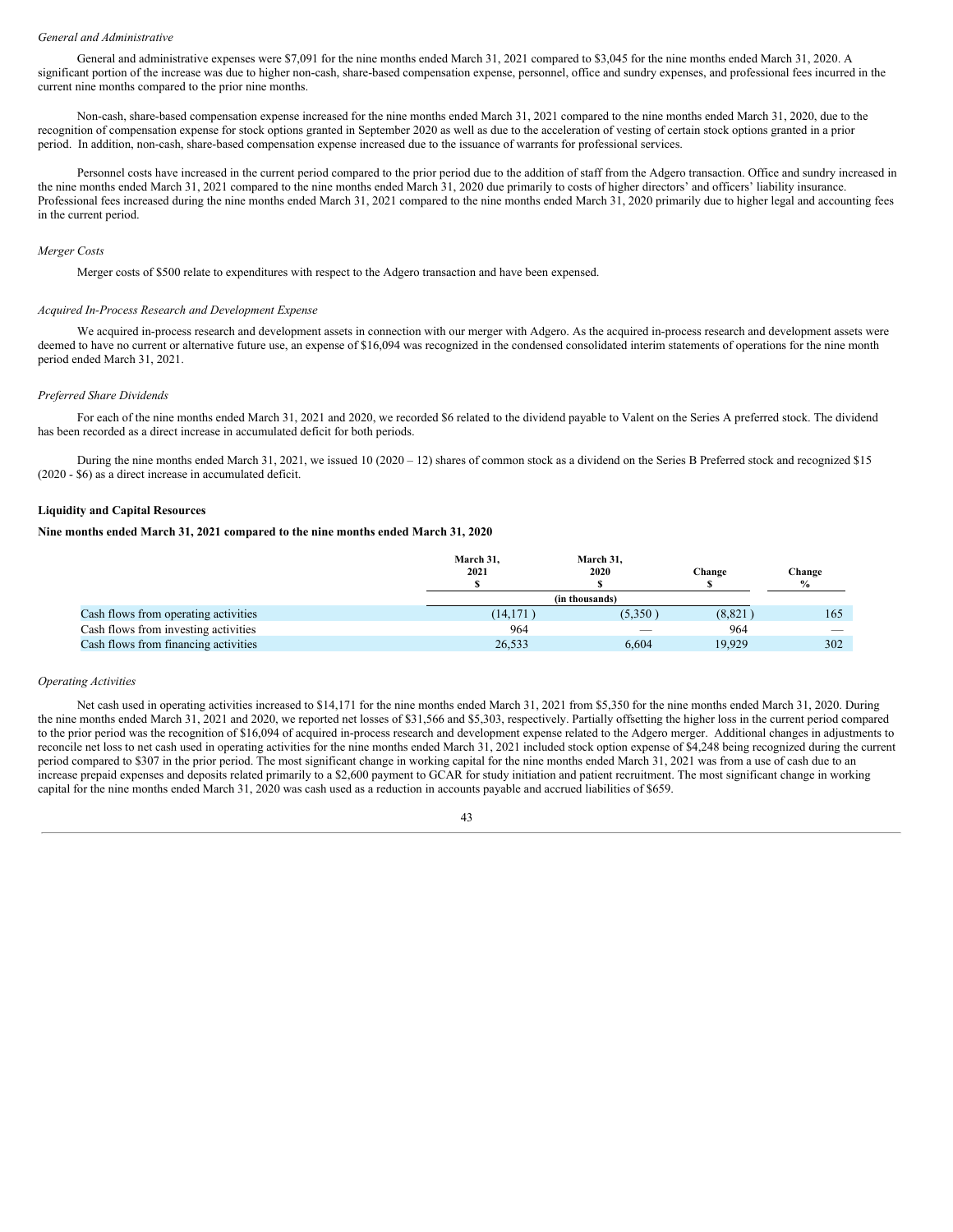#### *General and Administrative*

General and administrative expenses were \$7,091 for the nine months ended March 31, 2021 compared to \$3,045 for the nine months ended March 31, 2020. A significant portion of the increase was due to higher non-cash, share-based compensation expense, personnel, office and sundry expenses, and professional fees incurred in the current nine months compared to the prior nine months.

Non-cash, share-based compensation expense increased for the nine months ended March 31, 2021 compared to the nine months ended March 31, 2020, due to the recognition of compensation expense for stock options granted in September 2020 as well as due to the acceleration of vesting of certain stock options granted in a prior period. In addition, non-cash, share-based compensation expense increased due to the issuance of warrants for professional services.

Personnel costs have increased in the current period compared to the prior period due to the addition of staff from the Adgero transaction. Office and sundry increased in the nine months ended March 31, 2021 compared to the nine months ended March 31, 2020 due primarily to costs of higher directors' and officers' liability insurance. Professional fees increased during the nine months ended March 31, 2021 compared to the nine months ended March 31, 2020 primarily due to higher legal and accounting fees in the current period.

#### *Merger Costs*

Merger costs of \$500 relate to expenditures with respect to the Adgero transaction and have been expensed.

#### *Acquired In-Process Research and Development Expense*

We acquired in-process research and development assets in connection with our merger with Adgero. As the acquired in-process research and development assets were deemed to have no current or alternative future use, an expense of \$16,094 was recognized in the condensed consolidated interim statements of operations for the nine month period ended March 31, 2021.

#### *Preferred Share Dividends*

For each of the nine months ended March 31, 2021 and 2020, we recorded \$6 related to the dividend payable to Valent on the Series A preferred stock. The dividend has been recorded as a direct increase in accumulated deficit for both periods.

During the nine months ended March 31, 2021, we issued 10 (2020 – 12) shares of common stock as a dividend on the Series B Preferred stock and recognized \$15 (2020 - \$6) as a direct increase in accumulated deficit.

# **Liquidity and Capital Resources**

#### **Nine months ended March 31, 2021 compared to the nine months ended March 31, 2020**

|                                      | March 31,<br>2021 | March 31,<br>2020 | Change  | Change<br>$\frac{6}{6}$  |
|--------------------------------------|-------------------|-------------------|---------|--------------------------|
|                                      |                   | (in thousands)    |         |                          |
| Cash flows from operating activities | (14, 171)         | (5,350)           | (8,821) | 165                      |
| Cash flows from investing activities | 964               |                   | 964     | $\overline{\phantom{a}}$ |
| Cash flows from financing activities | 26,533            | 6.604             | 19.929  | 302                      |

# *Operating Activities*

Net cash used in operating activities increased to \$14,171 for the nine months ended March 31, 2021 from \$5,350 for the nine months ended March 31, 2020. During the nine months ended March 31, 2021 and 2020, we reported net losses of \$31,566 and \$5,303, respectively. Partially offsetting the higher loss in the current period compared to the prior period was the recognition of \$16,094 of acquired in-process research and development expense related to the Adgero merger. Additional changes in adjustments to reconcile net loss to net cash used in operating activities for the nine months ended March 31, 2021 included stock option expense of \$4,248 being recognized during the current period compared to \$307 in the prior period. The most significant change in working capital for the nine months ended March 31, 2021 was from a use of cash due to an increase prepaid expenses and deposits related primarily to a \$2,600 payment to GCAR for study initiation and patient recruitment. The most significant change in working capital for the nine months ended March 31, 2020 was cash used as a reduction in accounts payable and accrued liabilities of \$659.

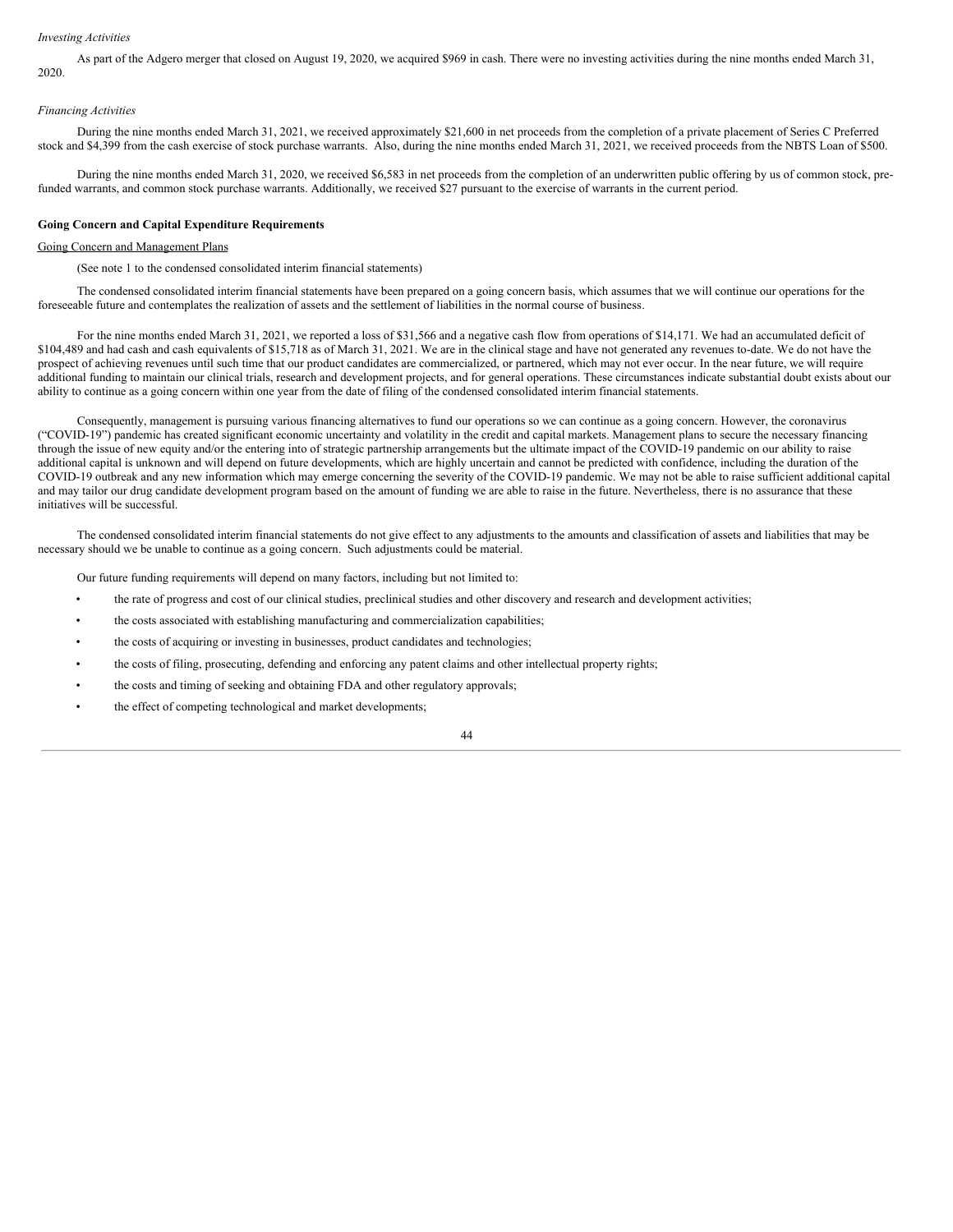#### *Investing Activities*

As part of the Adgero merger that closed on August 19, 2020, we acquired \$969 in cash. There were no investing activities during the nine months ended March 31, 2020.

# *Financing Activities*

During the nine months ended March 31, 2021, we received approximately \$21,600 in net proceeds from the completion of a private placement of Series C Preferred stock and \$4,399 from the cash exercise of stock purchase warrants. Also, during the nine months ended March 31, 2021, we received proceeds from the NBTS Loan of \$500.

During the nine months ended March 31, 2020, we received \$6,583 in net proceeds from the completion of an underwritten public offering by us of common stock, prefunded warrants, and common stock purchase warrants. Additionally, we received \$27 pursuant to the exercise of warrants in the current period.

#### **Going Concern and Capital Expenditure Requirements**

# Going Concern and Management Plans

(See note 1 to the condensed consolidated interim financial statements)

The condensed consolidated interim financial statements have been prepared on a going concern basis, which assumes that we will continue our operations for the foreseeable future and contemplates the realization of assets and the settlement of liabilities in the normal course of business.

For the nine months ended March 31, 2021, we reported a loss of \$31,566 and a negative cash flow from operations of \$14,171. We had an accumulated deficit of \$104,489 and had cash and cash equivalents of \$15,718 as of March 31, 2021. We are in the clinical stage and have not generated any revenues to-date. We do not have the prospect of achieving revenues until such time that our product candidates are commercialized, or partnered, which may not ever occur. In the near future, we will require additional funding to maintain our clinical trials, research and development projects, and for general operations. These circumstances indicate substantial doubt exists about our ability to continue as a going concern within one year from the date of filing of the condensed consolidated interim financial statements.

Consequently, management is pursuing various financing alternatives to fund our operations so we can continue as a going concern. However, the coronavirus ("COVID-19") pandemic has created significant economic uncertainty and volatility in the credit and capital markets. Management plans to secure the necessary financing through the issue of new equity and/or the entering into of strategic partnership arrangements but the ultimate impact of the COVID-19 pandemic on our ability to raise additional capital is unknown and will depend on future developments, which are highly uncertain and cannot be predicted with confidence, including the duration of the COVID-19 outbreak and any new information which may emerge concerning the severity of the COVID-19 pandemic. We may not be able to raise sufficient additional capital and may tailor our drug candidate development program based on the amount of funding we are able to raise in the future. Nevertheless, there is no assurance that these initiatives will be successful.

The condensed consolidated interim financial statements do not give effect to any adjustments to the amounts and classification of assets and liabilities that may be necessary should we be unable to continue as a going concern. Such adjustments could be material.

Our future funding requirements will depend on many factors, including but not limited to:

- the rate of progress and cost of our clinical studies, preclinical studies and other discovery and research and development activities;
- the costs associated with establishing manufacturing and commercialization capabilities;
- the costs of acquiring or investing in businesses, product candidates and technologies;
- the costs of filing, prosecuting, defending and enforcing any patent claims and other intellectual property rights;
- the costs and timing of seeking and obtaining FDA and other regulatory approvals;
- the effect of competing technological and market developments;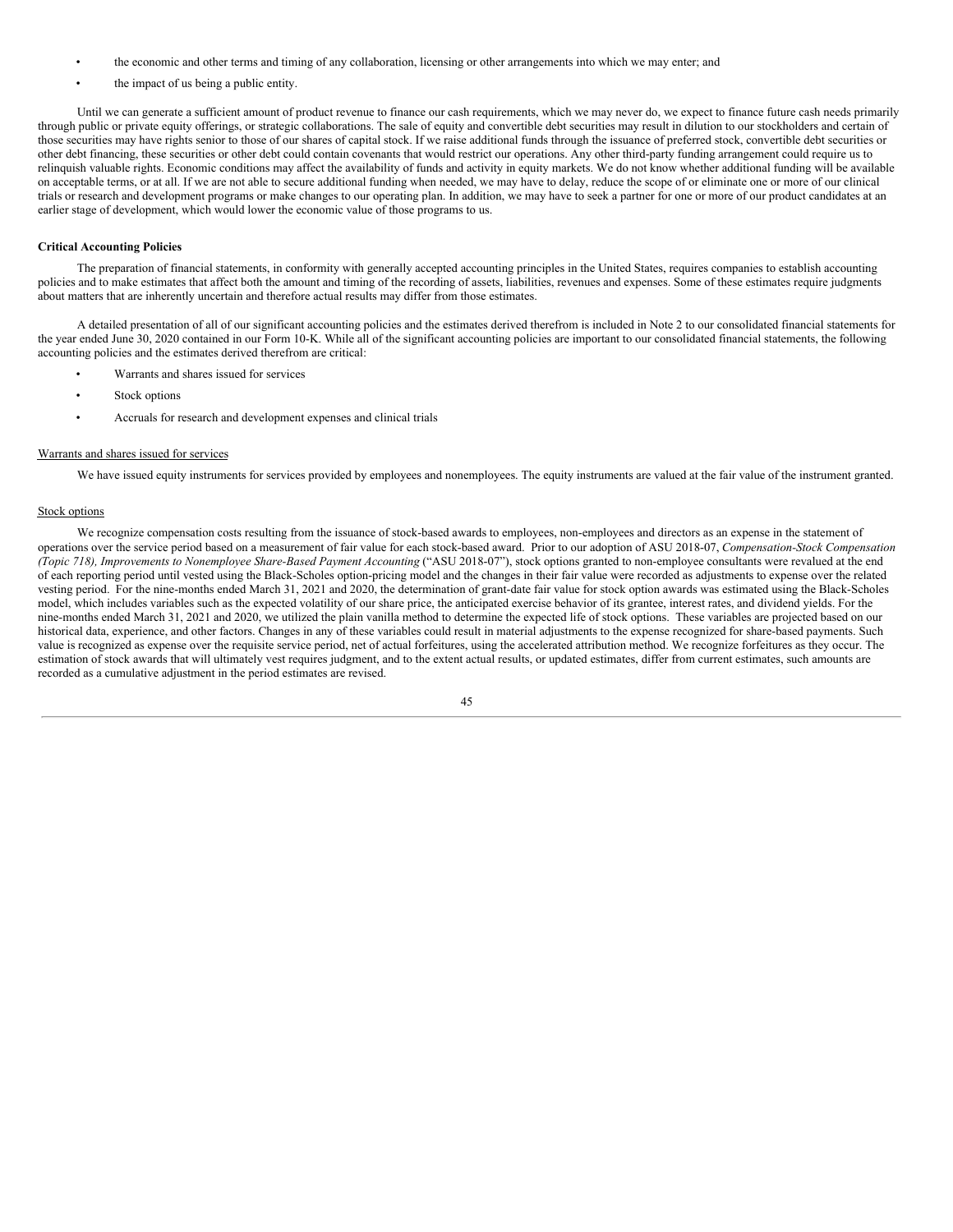- the economic and other terms and timing of any collaboration, licensing or other arrangements into which we may enter; and
- the impact of us being a public entity.

Until we can generate a sufficient amount of product revenue to finance our cash requirements, which we may never do, we expect to finance future cash needs primarily through public or private equity offerings, or strategic collaborations. The sale of equity and convertible debt securities may result in dilution to our stockholders and certain of those securities may have rights senior to those of our shares of capital stock. If we raise additional funds through the issuance of preferred stock, convertible debt securities or other debt financing, these securities or other debt could contain covenants that would restrict our operations. Any other third-party funding arrangement could require us to relinquish valuable rights. Economic conditions may affect the availability of funds and activity in equity markets. We do not know whether additional funding will be available on acceptable terms, or at all. If we are not able to secure additional funding when needed, we may have to delay, reduce the scope of or eliminate one or more of our clinical trials or research and development programs or make changes to our operating plan. In addition, we may have to seek a partner for one or more of our product candidates at an earlier stage of development, which would lower the economic value of those programs to us.

# **Critical Accounting Policies**

The preparation of financial statements, in conformity with generally accepted accounting principles in the United States, requires companies to establish accounting policies and to make estimates that affect both the amount and timing of the recording of assets, liabilities, revenues and expenses. Some of these estimates require judgments about matters that are inherently uncertain and therefore actual results may differ from those estimates.

A detailed presentation of all of our significant accounting policies and the estimates derived therefrom is included in Note 2 to our consolidated financial statements for the year ended June 30, 2020 contained in our Form 10-K. While all of the significant accounting policies are important to our consolidated financial statements, the following accounting policies and the estimates derived therefrom are critical:

- Warrants and shares issued for services
- Stock options
- Accruals for research and development expenses and clinical trials

#### Warrants and shares issued for services

We have issued equity instruments for services provided by employees and nonemployees. The equity instruments are valued at the fair value of the instrument granted.

#### Stock options

We recognize compensation costs resulting from the issuance of stock-based awards to employees, non-employees and directors as an expense in the statement of operations over the service period based on a measurement of fair value for each stock-based award. Prior to our adoption of ASU 2018-07, *Compensation-Stock Compensation (Topic 718), Improvements to Nonemployee Share-Based Payment Accounting* ("ASU 2018-07"), stock options granted to non-employee consultants were revalued at the end of each reporting period until vested using the Black-Scholes option-pricing model and the changes in their fair value were recorded as adjustments to expense over the related vesting period. For the nine-months ended March 31, 2021 and 2020, the determination of grant-date fair value for stock option awards was estimated using the Black-Scholes model, which includes variables such as the expected volatility of our share price, the anticipated exercise behavior of its grantee, interest rates, and dividend yields. For the nine-months ended March 31, 2021 and 2020, we utilized the plain vanilla method to determine the expected life of stock options. These variables are projected based on our historical data, experience, and other factors. Changes in any of these variables could result in material adjustments to the expense recognized for share-based payments. Such value is recognized as expense over the requisite service period, net of actual forfeitures, using the accelerated attribution method. We recognize forfeitures as they occur. The estimation of stock awards that will ultimately vest requires judgment, and to the extent actual results, or updated estimates, differ from current estimates, such amounts are recorded as a cumulative adjustment in the period estimates are revised.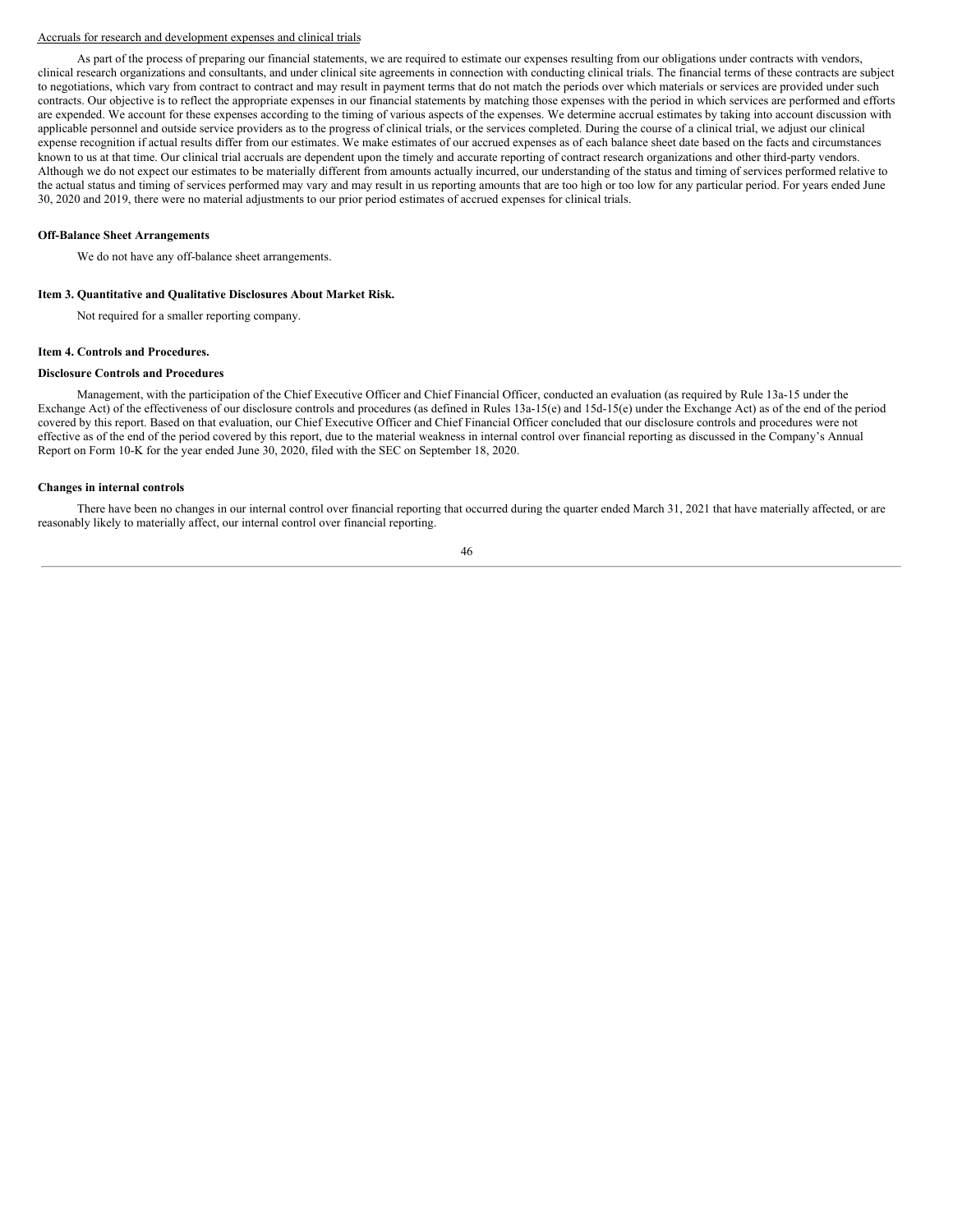#### Accruals for research and development expenses and clinical trials

As part of the process of preparing our financial statements, we are required to estimate our expenses resulting from our obligations under contracts with vendors, clinical research organizations and consultants, and under clinical site agreements in connection with conducting clinical trials. The financial terms of these contracts are subject to negotiations, which vary from contract to contract and may result in payment terms that do not match the periods over which materials or services are provided under such contracts. Our objective is to reflect the appropriate expenses in our financial statements by matching those expenses with the period in which services are performed and efforts are expended. We account for these expenses according to the timing of various aspects of the expenses. We determine accrual estimates by taking into account discussion with applicable personnel and outside service providers as to the progress of clinical trials, or the services completed. During the course of a clinical trial, we adjust our clinical expense recognition if actual results differ from our estimates. We make estimates of our accrued expenses as of each balance sheet date based on the facts and circumstances known to us at that time. Our clinical trial accruals are dependent upon the timely and accurate reporting of contract research organizations and other third-party vendors. Although we do not expect our estimates to be materially different from amounts actually incurred, our understanding of the status and timing of services performed relative to the actual status and timing of services performed may vary and may result in us reporting amounts that are too high or too low for any particular period. For years ended June 30, 2020 and 2019, there were no material adjustments to our prior period estimates of accrued expenses for clinical trials.

#### **Off-Balance Sheet Arrangements**

We do not have any off-balance sheet arrangements.

#### <span id="page-47-0"></span>**Item 3. Quantitative and Qualitative Disclosures About Market Risk.**

Not required for a smaller reporting company.

#### <span id="page-47-1"></span>**Item 4. Controls and Procedures.**

# **Disclosure Controls and Procedures**

Management, with the participation of the Chief Executive Officer and Chief Financial Officer, conducted an evaluation (as required by Rule 13a-15 under the Exchange Act) of the effectiveness of our disclosure controls and procedures (as defined in Rules 13a-15(e) and 15d-15(e) under the Exchange Act) as of the end of the period covered by this report. Based on that evaluation, our Chief Executive Officer and Chief Financial Officer concluded that our disclosure controls and procedures were not effective as of the end of the period covered by this report, due to the material weakness in internal control over financial reporting as discussed in the Company's Annual Report on Form 10-K for the year ended June 30, 2020, filed with the SEC on September 18, 2020.

#### **Changes in internal controls**

There have been no changes in our internal control over financial reporting that occurred during the quarter ended March 31, 2021 that have materially affected, or are reasonably likely to materially affect, our internal control over financial reporting.

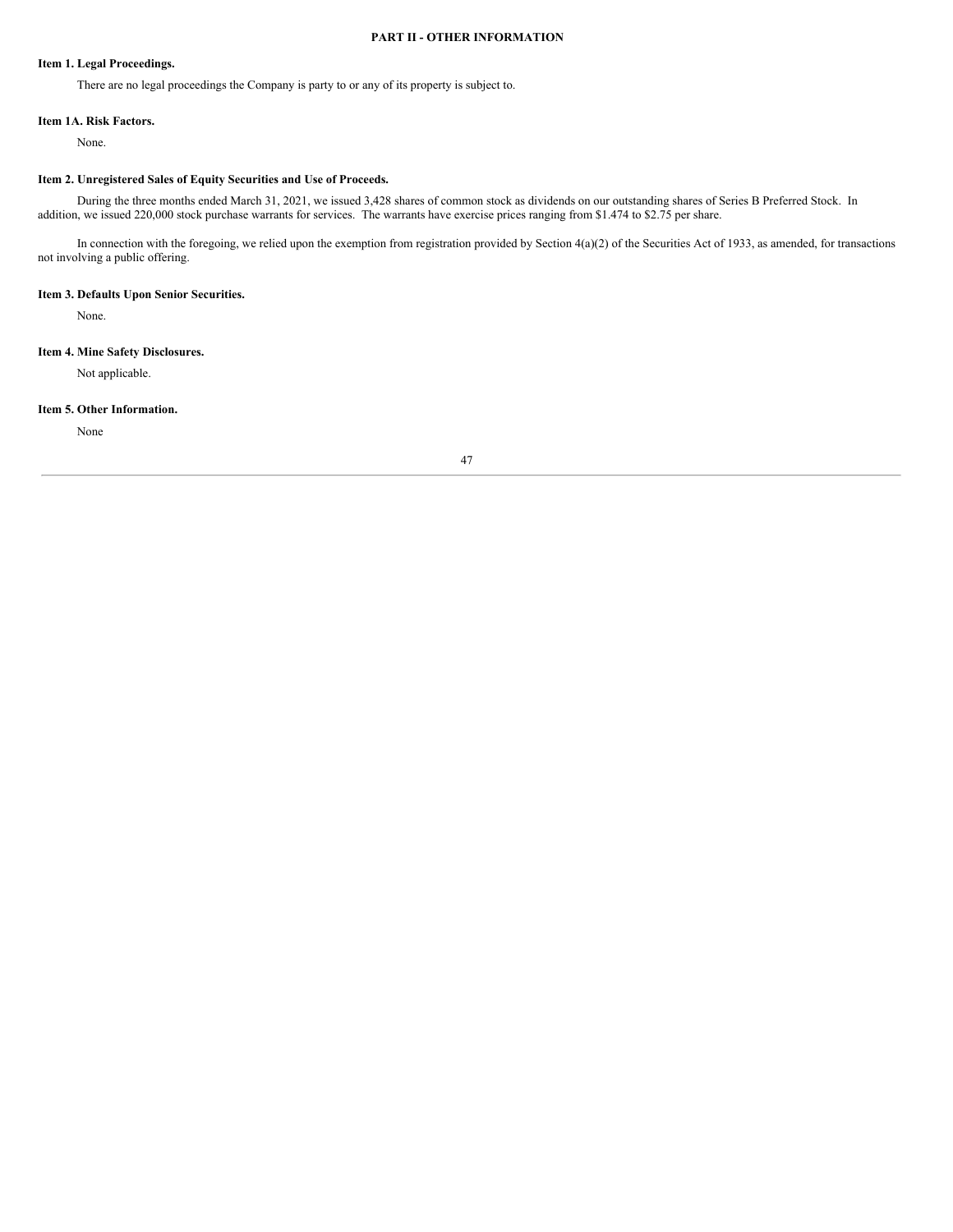# **PART II - OTHER INFORMATION**

## <span id="page-48-1"></span><span id="page-48-0"></span>**Item 1. Legal Proceedings.**

There are no legal proceedings the Company is party to or any of its property is subject to.

# <span id="page-48-2"></span>**Item 1A. Risk Factors.**

None.

# <span id="page-48-3"></span>**Item 2. Unregistered Sales of Equity Securities and Use of Proceeds.**

During the three months ended March 31, 2021, we issued 3,428 shares of common stock as dividends on our outstanding shares of Series B Preferred Stock. In addition, we issued 220,000 stock purchase warrants for services. The warrants have exercise prices ranging from \$1.474 to \$2.75 per share.

In connection with the foregoing, we relied upon the exemption from registration provided by Section 4(a)(2) of the Securities Act of 1933, as amended, for transactions not involving a public offering.

# <span id="page-48-4"></span>**Item 3. Defaults Upon Senior Securities.**

None.

# <span id="page-48-5"></span>**Item 4. Mine Safety Disclosures.**

Not applicable.

# <span id="page-48-6"></span>**Item 5. Other Information.**

None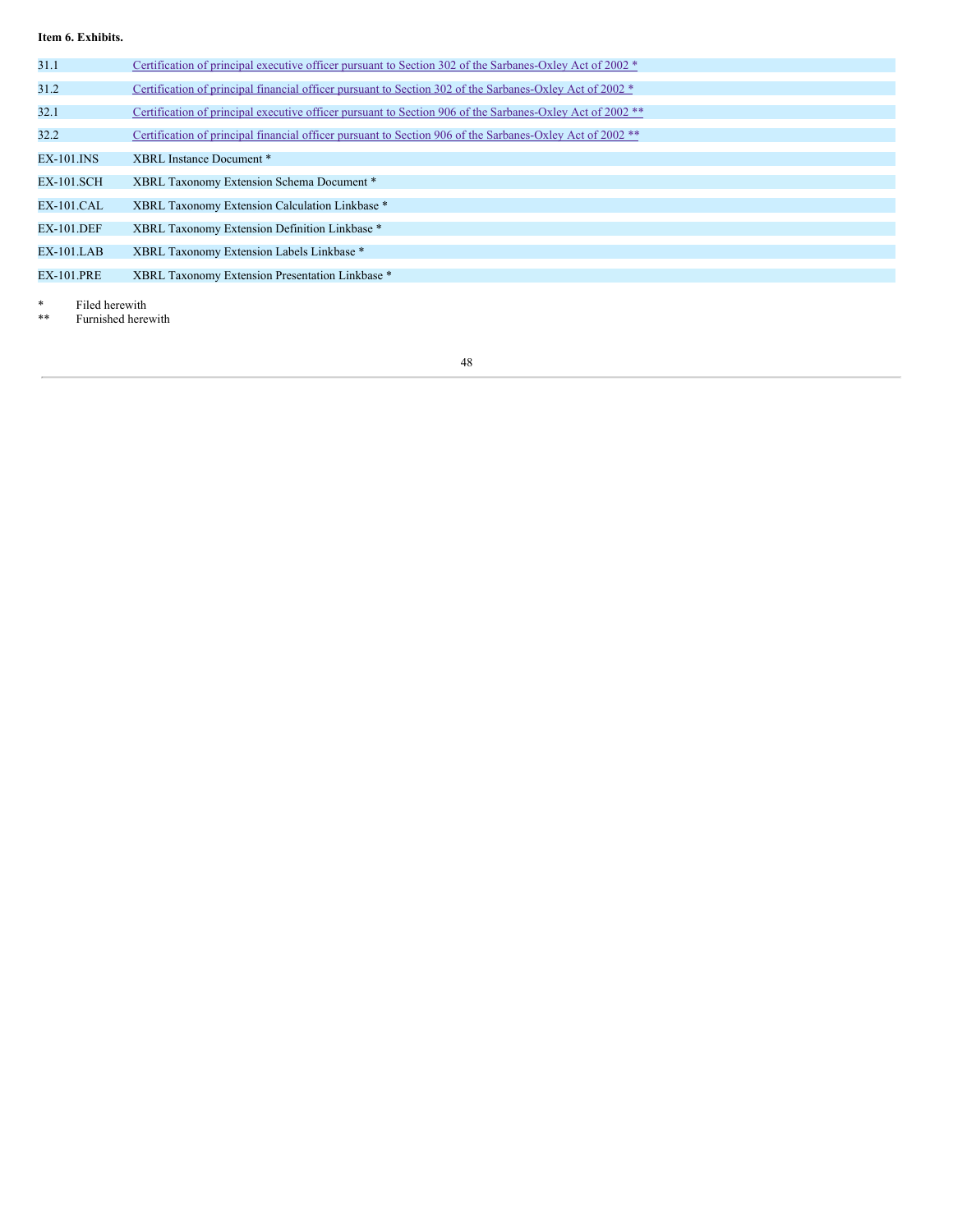<span id="page-49-0"></span>**Item 6. Exhibits.**

| 31.1              | Certification of principal executive officer pursuant to Section 302 of the Sarbanes-Oxley Act of 2002 *             |
|-------------------|----------------------------------------------------------------------------------------------------------------------|
| 31.2              | Certification of principal financial officer pursuant to Section 302 of the Sarbanes-Oxley Act of 2002 *             |
| 32.1              | Certification of principal executive officer pursuant to Section 906 of the Sarbanes-Oxley Act of 2002 <sup>**</sup> |
| 32.2              | Certification of principal financial officer pursuant to Section 906 of the Sarbanes-Oxley Act of 2002 <sup>**</sup> |
| <b>EX-101.INS</b> | XBRL Instance Document *                                                                                             |
| <b>EX-101.SCH</b> | XBRL Taxonomy Extension Schema Document *                                                                            |
| $EX-101.CAL$      | XBRL Taxonomy Extension Calculation Linkbase *                                                                       |
| <b>EX-101.DEF</b> | XBRL Taxonomy Extension Definition Linkbase *                                                                        |
| $EX-101.LAB$      | XBRL Taxonomy Extension Labels Linkbase *                                                                            |
| <b>EX-101.PRE</b> | XBRL Taxonomy Extension Presentation Linkbase *                                                                      |
|                   |                                                                                                                      |

\* Filed herewith<br>\*\* Furnished here

Furnished herewith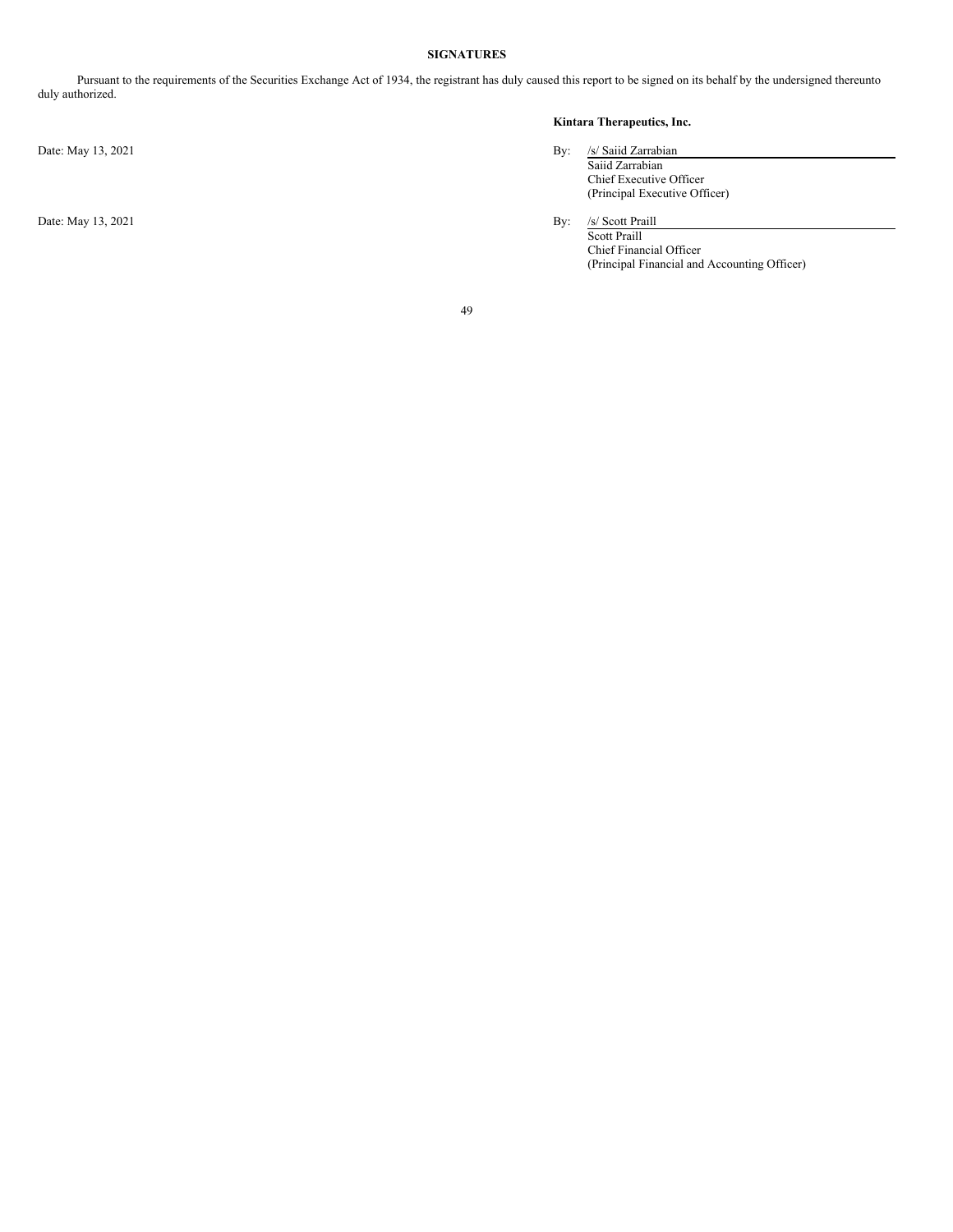# **SIGNATURES**

Pursuant to the requirements of the Securities Exchange Act of 1934, the registrant has duly caused this report to be signed on its behalf by the undersigned thereunto duly authorized.

Date: May 13, 2021 By: /s/ Saiid Zarrabian

Date: May 13, 2021 By: /s/ Scott Praill

# **Kintara Therapeutics, Inc.**

Saiid Zarrabian Chief Executive Officer (Principal Executive Officer)

Scott Praill Chief Financial Officer (Principal Financial and Accounting Officer)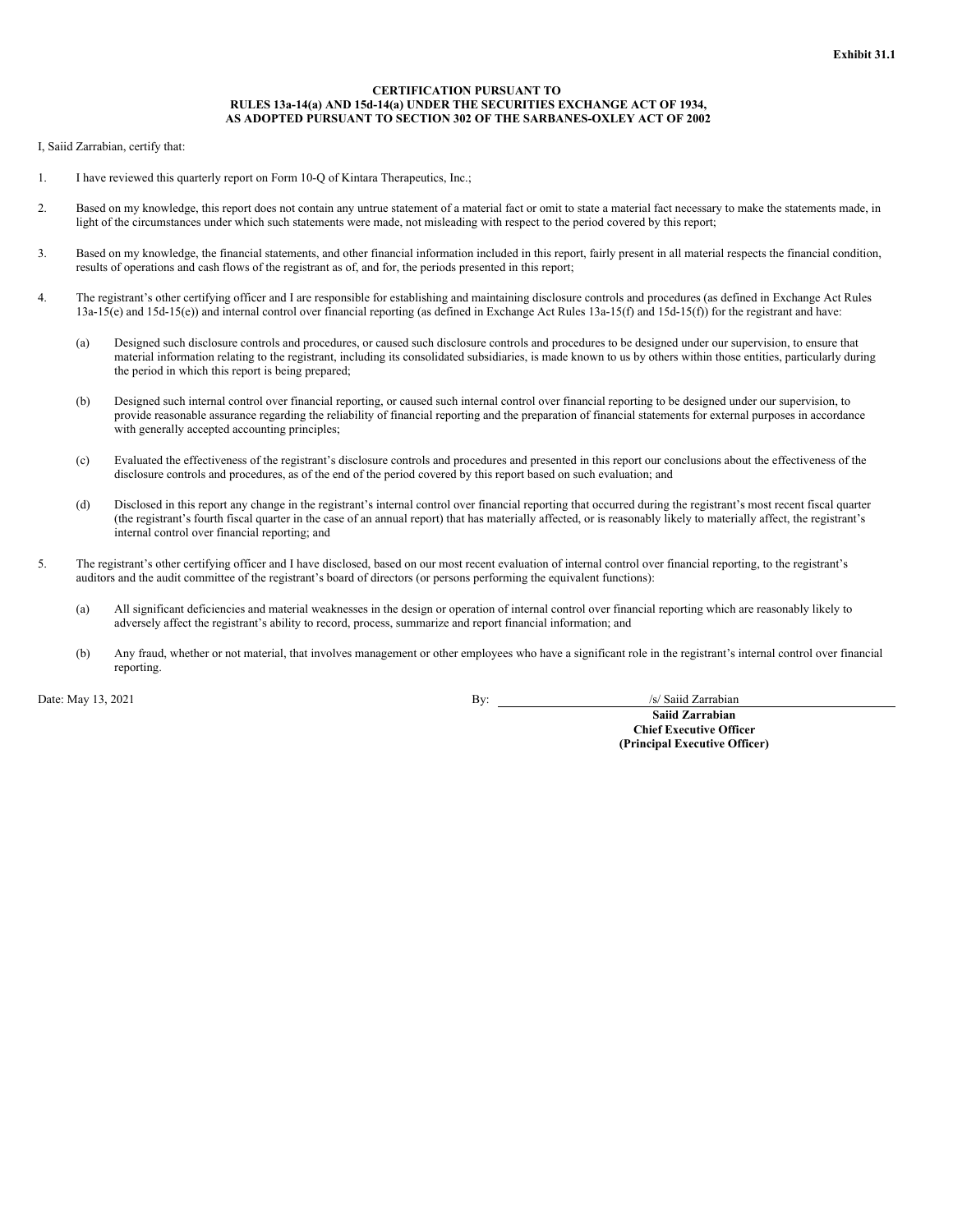## **CERTIFICATION PURSUANT TO RULES 13a-14(a) AND 15d-14(a) UNDER THE SECURITIES EXCHANGE ACT OF 1934, AS ADOPTED PURSUANT TO SECTION 302 OF THE SARBANES-OXLEY ACT OF 2002**

<span id="page-51-0"></span>I, Saiid Zarrabian, certify that:

- 1. I have reviewed this quarterly report on Form 10-Q of Kintara Therapeutics, Inc.;
- 2. Based on my knowledge, this report does not contain any untrue statement of a material fact or omit to state a material fact necessary to make the statements made, in light of the circumstances under which such statements were made, not misleading with respect to the period covered by this report;
- 3. Based on my knowledge, the financial statements, and other financial information included in this report, fairly present in all material respects the financial condition, results of operations and cash flows of the registrant as of, and for, the periods presented in this report;
- 4. The registrant's other certifying officer and I are responsible for establishing and maintaining disclosure controls and procedures (as defined in Exchange Act Rules  $13a-15(e)$  and  $15d-15(e)$ ) and internal control over financial reporting (as defined in Exchange Act Rules  $13a-15(f)$  and  $15d-15(f)$ ) for the registrant and have:
	- (a) Designed such disclosure controls and procedures, or caused such disclosure controls and procedures to be designed under our supervision, to ensure that material information relating to the registrant, including its consolidated subsidiaries, is made known to us by others within those entities, particularly during the period in which this report is being prepared;
	- (b) Designed such internal control over financial reporting, or caused such internal control over financial reporting to be designed under our supervision, to provide reasonable assurance regarding the reliability of financial reporting and the preparation of financial statements for external purposes in accordance with generally accepted accounting principles;
	- (c) Evaluated the effectiveness of the registrant's disclosure controls and procedures and presented in this report our conclusions about the effectiveness of the disclosure controls and procedures, as of the end of the period covered by this report based on such evaluation; and
	- (d) Disclosed in this report any change in the registrant's internal control over financial reporting that occurred during the registrant's most recent fiscal quarter (the registrant's fourth fiscal quarter in the case of an annual report) that has materially affected, or is reasonably likely to materially affect, the registrant's internal control over financial reporting; and
- 5. The registrant's other certifying officer and I have disclosed, based on our most recent evaluation of internal control over financial reporting, to the registrant's auditors and the audit committee of the registrant's board of directors (or persons performing the equivalent functions):
	- (a) All significant deficiencies and material weaknesses in the design or operation of internal control over financial reporting which are reasonably likely to adversely affect the registrant's ability to record, process, summarize and report financial information; and
	- (b) Any fraud, whether or not material, that involves management or other employees who have a significant role in the registrant's internal control over financial reporting.

Date: May 13, 2021 **By:** /s/ Saiid Zarrabian by: /s/ Saiid Zarrabian

**Saiid Zarrabian Chief Executive Officer (Principal Executive Officer)**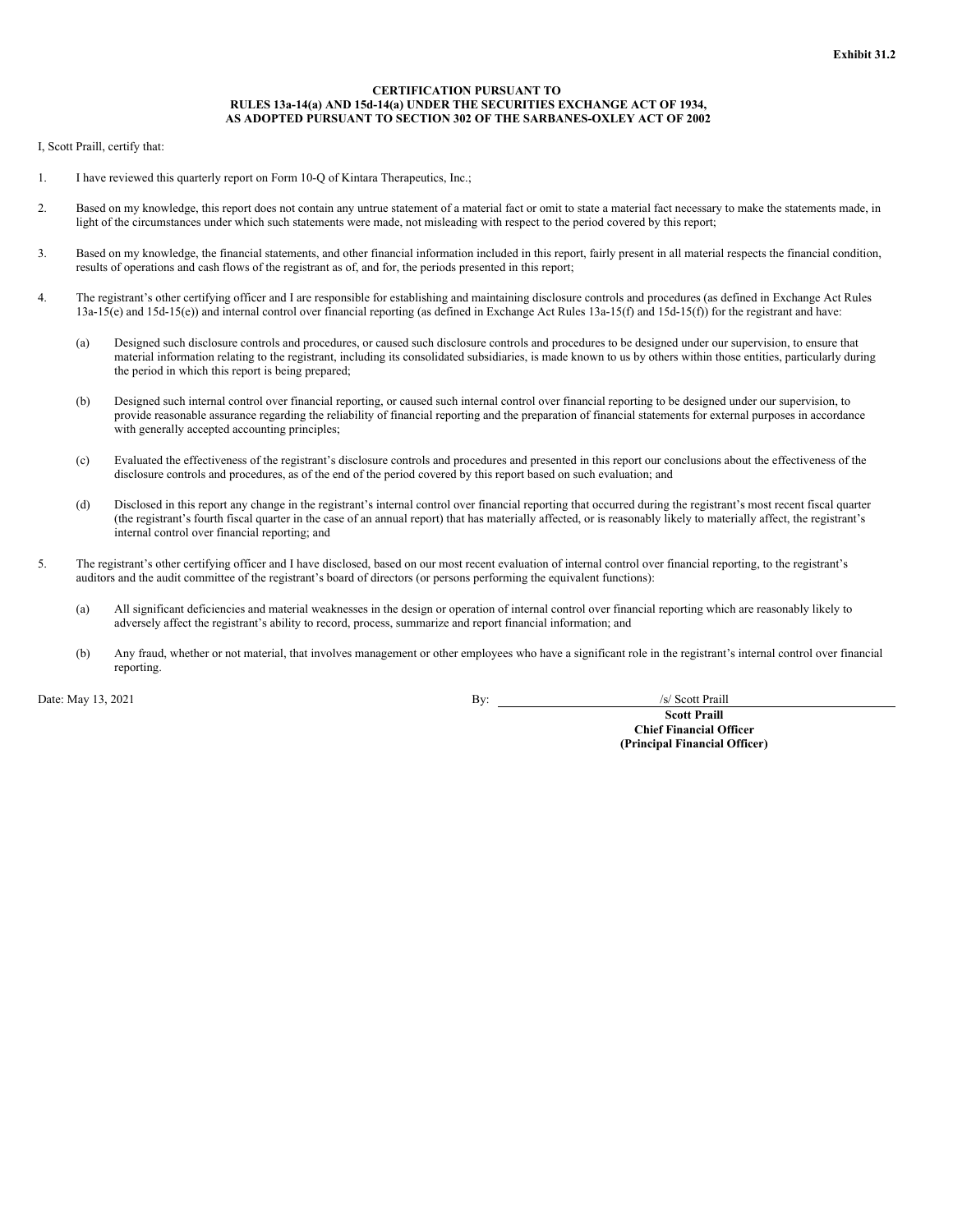## **CERTIFICATION PURSUANT TO RULES 13a-14(a) AND 15d-14(a) UNDER THE SECURITIES EXCHANGE ACT OF 1934, AS ADOPTED PURSUANT TO SECTION 302 OF THE SARBANES-OXLEY ACT OF 2002**

<span id="page-52-0"></span>I, Scott Praill, certify that:

- 1. I have reviewed this quarterly report on Form 10-Q of Kintara Therapeutics, Inc.;
- 2. Based on my knowledge, this report does not contain any untrue statement of a material fact or omit to state a material fact necessary to make the statements made, in light of the circumstances under which such statements were made, not misleading with respect to the period covered by this report;
- 3. Based on my knowledge, the financial statements, and other financial information included in this report, fairly present in all material respects the financial condition, results of operations and cash flows of the registrant as of, and for, the periods presented in this report;
- 4. The registrant's other certifying officer and I are responsible for establishing and maintaining disclosure controls and procedures (as defined in Exchange Act Rules  $13a-15(e)$  and  $15d-15(e)$ ) and internal control over financial reporting (as defined in Exchange Act Rules  $13a-15(f)$  and  $15d-15(f)$ ) for the registrant and have:
	- (a) Designed such disclosure controls and procedures, or caused such disclosure controls and procedures to be designed under our supervision, to ensure that material information relating to the registrant, including its consolidated subsidiaries, is made known to us by others within those entities, particularly during the period in which this report is being prepared;
	- (b) Designed such internal control over financial reporting, or caused such internal control over financial reporting to be designed under our supervision, to provide reasonable assurance regarding the reliability of financial reporting and the preparation of financial statements for external purposes in accordance with generally accepted accounting principles;
	- (c) Evaluated the effectiveness of the registrant's disclosure controls and procedures and presented in this report our conclusions about the effectiveness of the disclosure controls and procedures, as of the end of the period covered by this report based on such evaluation; and
	- (d) Disclosed in this report any change in the registrant's internal control over financial reporting that occurred during the registrant's most recent fiscal quarter (the registrant's fourth fiscal quarter in the case of an annual report) that has materially affected, or is reasonably likely to materially affect, the registrant's internal control over financial reporting; and
- 5. The registrant's other certifying officer and I have disclosed, based on our most recent evaluation of internal control over financial reporting, to the registrant's auditors and the audit committee of the registrant's board of directors (or persons performing the equivalent functions):
	- (a) All significant deficiencies and material weaknesses in the design or operation of internal control over financial reporting which are reasonably likely to adversely affect the registrant's ability to record, process, summarize and report financial information; and
	- (b) Any fraud, whether or not material, that involves management or other employees who have a significant role in the registrant's internal control over financial reporting.

Date: May 13, 2021 **By:** /s/ Scott Praill

**Scott Praill Chief Financial Officer (Principal Financial Officer)**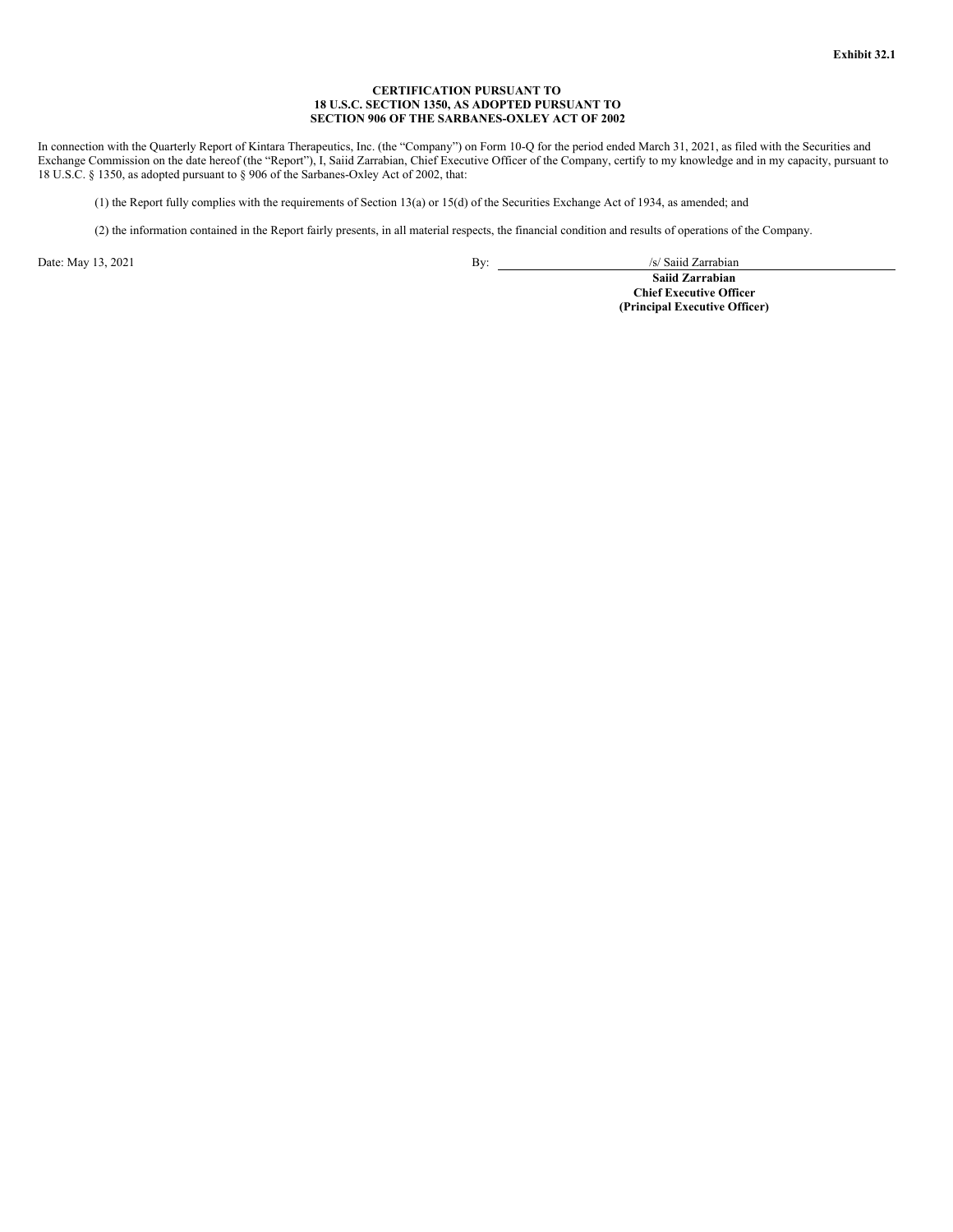## **CERTIFICATION PURSUANT TO 18 U.S.C. SECTION 1350, AS ADOPTED PURSUANT TO SECTION 906 OF THE SARBANES-OXLEY ACT OF 2002**

<span id="page-53-0"></span>In connection with the Quarterly Report of Kintara Therapeutics, Inc. (the "Company") on Form 10-Q for the period ended March 31, 2021, as filed with the Securities and Exchange Commission on the date hereof (the "Report"), I, Saiid Zarrabian, Chief Executive Officer of the Company, certify to my knowledge and in my capacity, pursuant to 18 U.S.C. § 1350, as adopted pursuant to § 906 of the Sarbanes-Oxley Act of 2002, that:

(1) the Report fully complies with the requirements of Section 13(a) or 15(d) of the Securities Exchange Act of 1934, as amended; and

(2) the information contained in the Report fairly presents, in all material respects, the financial condition and results of operations of the Company.

Date: May 13, 2021 By: /s/ Saiid Zarrabian

**Saiid Zarrabian Chief Executive Officer (Principal Executive Officer)**